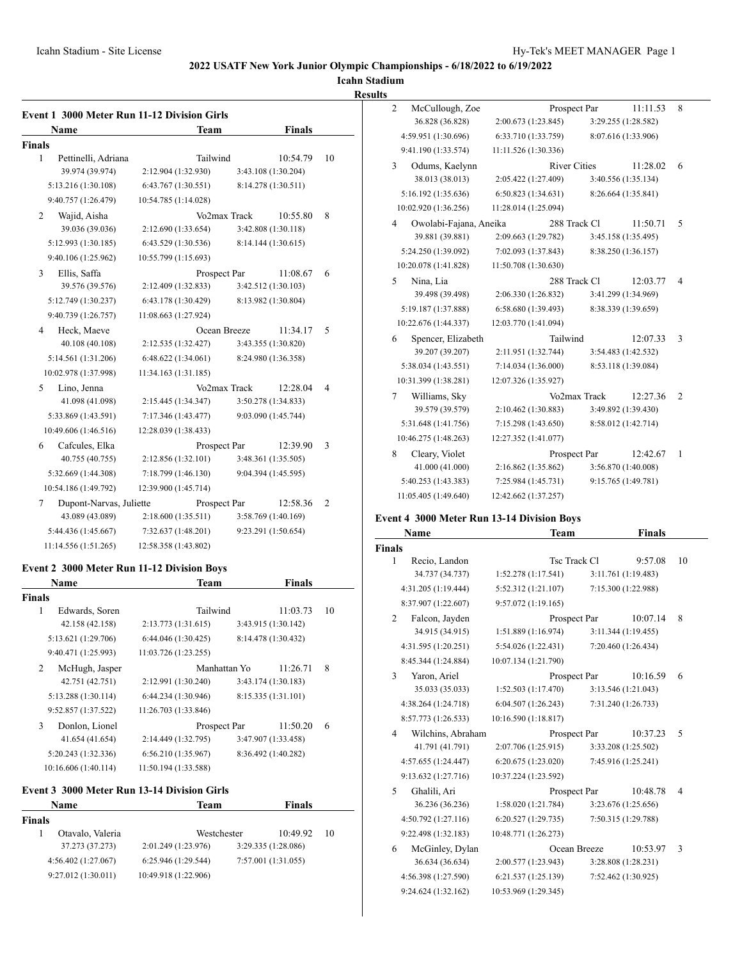**Icahn Stadium**

**Results**

| <b>Name</b>                  | <b>Team</b>          |              | <b>Finals</b>       |                |
|------------------------------|----------------------|--------------|---------------------|----------------|
| <b>Finals</b>                |                      |              |                     |                |
| 1<br>Pettinelli, Adriana     | Tailwind             |              | 10:54.79            | 10             |
| 39.974 (39.974)              | 2:12.904 (1:32.930)  |              | 3:43.108 (1:30.204) |                |
| 5:13.216 (1:30.108)          | 6:43.767 (1:30.551)  |              | 8:14.278 (1:30.511) |                |
| 9:40.757 (1:26.479)          | 10:54.785 (1:14.028) |              |                     |                |
| Wajid, Aisha<br>2            |                      | Vo2max Track | 10:55.80            | 8              |
| 39.036 (39.036)              | 2:12.690 (1:33.654)  |              | 3:42.808 (1:30.118) |                |
| 5:12.993 (1:30.185)          | 6:43.529 (1:30.536)  |              | 8:14.144 (1:30.615) |                |
| 9:40.106 (1:25.962)          | 10:55.799 (1:15.693) |              |                     |                |
| 3<br>Ellis, Saffa            | Prospect Par         |              | 11:08.67            | 6              |
| 39.576 (39.576)              | 2:12.409 (1:32.833)  |              | 3:42.512 (1:30.103) |                |
| 5:12.749 (1:30.237)          | 6:43.178 (1:30.429)  |              | 8:13.982 (1:30.804) |                |
| 9:40.739 (1:26.757)          | 11:08.663 (1:27.924) |              |                     |                |
| Heck, Maeve<br>4             | Ocean Breeze         |              | 11:34.17            | 5              |
| 40.108 (40.108)              | 2:12.535 (1:32.427)  |              | 3:43.355 (1:30.820) |                |
| 5:14.561 (1:31.206)          | 6:48.622 (1:34.061)  |              | 8:24.980 (1:36.358) |                |
| 10:02.978 (1:37.998)         | 11:34.163 (1:31.185) |              |                     |                |
| Lino, Jenna<br>5             |                      | Vo2max Track | 12:28.04            | 4              |
| 41.098 (41.098)              | 2:15.445 (1:34.347)  |              | 3:50.278 (1:34.833) |                |
| 5:33.869 (1:43.591)          | 7:17.346 (1:43.477)  |              | 9:03.090 (1:45.744) |                |
| 10:49.606 (1:46.516)         | 12:28.039 (1:38.433) |              |                     |                |
| Cafcules, Elka<br>6          | Prospect Par         |              | 12:39.90            | 3              |
| 40.755 (40.755)              | 2:12.856 (1:32.101)  |              | 3:48.361 (1:35.505) |                |
| 5:32.669 (1:44.308)          | 7:18.799 (1:46.130)  |              | 9:04.394 (1:45.595) |                |
| 10:54.186 (1:49.792)         | 12:39.900 (1:45.714) |              |                     |                |
| Dupont-Narvas, Juliette<br>7 | Prospect Par         |              | 12:58.36            | $\overline{2}$ |
| 43.089 (43.089)              | 2:18.600 (1:35.511)  |              | 3:58.769 (1:40.169) |                |
| 5:44.436 (1:45.667)          | 7:32.637 (1:48.201)  |              | 9:23.291 (1:50.654) |                |
| 11:14.556 (1:51.265)         | 12:58.358 (1:43.802) |              |                     |                |

# **Event 2 3000 Meter Run 11-12 Division Boys**

| <b>Name</b>          | <b>Team</b>          | <b>Finals</b>       |    |
|----------------------|----------------------|---------------------|----|
| Finals               |                      |                     |    |
| 1<br>Edwards, Soren  | Tailwind             | 11:03.73            | 10 |
| 42.158 (42.158)      | 2:13.773 (1:31.615)  | 3:43.915 (1:30.142) |    |
| 5:13.621 (1:29.706)  | 6:44.046(1:30.425)   | 8:14.478 (1:30.432) |    |
| 9:40.471 (1:25.993)  | 11:03.726 (1:23.255) |                     |    |
| 2<br>McHugh, Jasper  | Manhattan Yo         | 11:26.71            | 8  |
| 42.751 (42.751)      | 2:12.991 (1:30.240)  | 3:43.174 (1:30.183) |    |
| 5:13.288 (1:30.114)  | 6:44.234(1:30.946)   | 8:15.335 (1:31.101) |    |
| 9:52.857 (1:37.522)  | 11:26.703 (1:33.846) |                     |    |
| 3<br>Donlon, Lionel  | Prospect Par         | 11:50.20            | 6  |
| 41.654 (41.654)      | 2:14.449 (1:32.795)  | 3:47.907 (1:33.458) |    |
| 5:20.243 (1:32.336)  | 6:56.210(1:35.967)   | 8:36.492 (1:40.282) |    |
| 10:16.606 (1:40.114) | 11:50.194 (1:33.588) |                     |    |
|                      |                      |                     |    |

# **Event 3 3000 Meter Run 13-14 Division Girls**

| Team                 | <b>Finals</b>       |             |
|----------------------|---------------------|-------------|
|                      |                     |             |
|                      | 10:49.92            | 10          |
| 2:01.249 (1:23.976)  | 3:29.335 (1:28.086) |             |
| 6:25.946(1:29.544)   | 7:57.001 (1:31.055) |             |
| 10:49.918 (1:22.906) |                     |             |
|                      |                     | Westchester |

| $\overline{c}$ | McCullough, Zoe        | Prospect Par         | 11:11.53            | 8 |
|----------------|------------------------|----------------------|---------------------|---|
|                | 36.828 (36.828)        | 2:00.673 (1:23.845)  | 3:29.255 (1:28.582) |   |
|                | 4:59.951 (1:30.696)    | 6:33.710 (1:33.759)  | 8:07.616 (1:33.906) |   |
|                | 9:41.190 (1:33.574)    | 11:11.526 (1:30.336) |                     |   |
| 3              | Odums, Kaelynn         | <b>River Cities</b>  | 11:28.02            | 6 |
|                | 38.013 (38.013)        | 2:05.422 (1:27.409)  | 3:40.556 (1:35.134) |   |
|                | 5:16.192 (1:35.636)    | 6:50.823(1:34.631)   | 8:26.664 (1:35.841) |   |
|                | 10:02.920 (1:36.256)   | 11:28.014 (1:25.094) |                     |   |
| 4              | Owolabi-Fajana, Aneika | 288 Track Cl         | 11:50.71            | 5 |
|                | 39.881 (39.881)        | 2:09.663 (1:29.782)  | 3:45.158 (1:35.495) |   |
|                | 5:24.250 (1:39.092)    | 7:02.093 (1:37.843)  | 8:38.250 (1:36.157) |   |
|                | 10:20.078 (1:41.828)   | 11:50.708 (1:30.630) |                     |   |
| 5              | Nina, Lia              | 288 Track Cl         | 12:03.77            | 4 |
|                | 39.498 (39.498)        | 2:06.330 (1:26.832)  | 3:41.299 (1:34.969) |   |
|                | 5:19.187 (1:37.888)    | 6:58.680 (1:39.493)  | 8:38.339 (1:39.659) |   |
|                | 10:22.676 (1:44.337)   | 12:03.770 (1:41.094) |                     |   |
| 6              | Spencer, Elizabeth     | Tailwind             | 12:07.33            | 3 |
|                | 39.207 (39.207)        | 2:11.951 (1:32.744)  | 3:54.483 (1:42.532) |   |
|                | 5:38.034 (1:43.551)    | 7:14.034 (1:36.000)  | 8:53.118 (1:39.084) |   |
|                | 10:31.399 (1:38.281)   | 12:07.326 (1:35.927) |                     |   |
| 7              | Williams, Sky          | Vo2max Track         | 12:27.36            | 2 |
|                | 39.579 (39.579)        | 2:10.462 (1:30.883)  | 3:49.892 (1:39.430) |   |
|                | 5:31.648 (1:41.756)    | 7:15.298 (1:43.650)  | 8:58.012 (1:42.714) |   |
|                | 10:46.275 (1:48.263)   | 12:27.352 (1:41.077) |                     |   |
| 8              | Cleary, Violet         | Prospect Par         | 12:42.67            | 1 |
|                | 41.000 (41.000)        | 2:16.862 (1:35.862)  | 3:56.870 (1:40.008) |   |
|                | 5:40.253 (1:43.383)    | 7:25.984 (1:45.731)  | 9:15.765 (1:49.781) |   |
|                | 11:05.405 (1:49.640)   | 12:42.662 (1:37.257) |                     |   |

# **Event 4 3000 Meter Run 13-14 Division Boys**

|                | Name                | Team                 |                     | <b>Finals</b> |
|----------------|---------------------|----------------------|---------------------|---------------|
| <b>Finals</b>  |                     |                      |                     |               |
| 1              | Recio, Landon       |                      | Tsc Track Cl        | 9:57.08<br>10 |
|                | 34.737 (34.737)     | 1:52.278(1:17.541)   | 3:11.761 (1:19.483) |               |
|                | 4:31.205 (1:19.444) | 5:52.312 (1:21.107)  | 7:15.300 (1:22.988) |               |
|                | 8:37.907 (1:22.607) | 9:57.072 (1:19.165)  |                     |               |
| $\mathfrak{D}$ | Falcon, Jayden      |                      | Prospect Par        | 8<br>10:07.14 |
|                | 34.915 (34.915)     | 1:51.889(1:16.974)   | 3:11.344 (1:19.455) |               |
|                | 4:31.595 (1:20.251) | 5:54.026 (1:22.431)  | 7:20.460 (1:26.434) |               |
|                | 8:45.344 (1:24.884) | 10:07.134 (1:21.790) |                     |               |
| 3              | Yaron, Ariel        |                      | Prospect Par        | 10:16.59<br>6 |
|                | 35.033 (35.033)     | 1:52.503(1:17.470)   | 3:13.546 (1:21.043) |               |
|                | 4:38.264 (1:24.718) | 6:04.507(1:26.243)   | 7:31.240 (1:26.733) |               |
|                | 8:57.773 (1:26.533) | 10:16.590 (1:18.817) |                     |               |
| $\overline{4}$ | Wilchins, Abraham   |                      | Prospect Par        | 10:37.23<br>5 |
|                | 41.791 (41.791)     | 2:07.706 (1:25.915)  | 3:33.208 (1:25.502) |               |
|                | 4:57.655 (1:24.447) | 6:20.675 (1:23.020)  | 7:45.916 (1:25.241) |               |
|                | 9:13.632 (1:27.716) | 10:37.224 (1:23.592) |                     |               |
| 5              | Ghalili, Ari        |                      | Prospect Par        | 10:48.78<br>4 |
|                | 36.236 (36.236)     | 1:58.020(1:21.784)   | 3:23.676 (1:25.656) |               |
|                | 4:50.792 (1:27.116) | 6:20.527 (1:29.735)  | 7:50.315 (1:29.788) |               |
|                | 9:22.498 (1:32.183) | 10:48.771 (1:26.273) |                     |               |
| 6              | McGinley, Dylan     |                      | Ocean Breeze        | 10:53.97<br>3 |
|                | 36.634 (36.634)     | 2:00.577 (1:23.943)  | 3:28.808 (1:28.231) |               |
|                | 4:56.398 (1:27.590) | 6:21.537 (1:25.139)  | 7:52.462 (1:30.925) |               |
|                | 9:24.624 (1:32.162) | 10:53.969 (1:29.345) |                     |               |
|                |                     |                      |                     |               |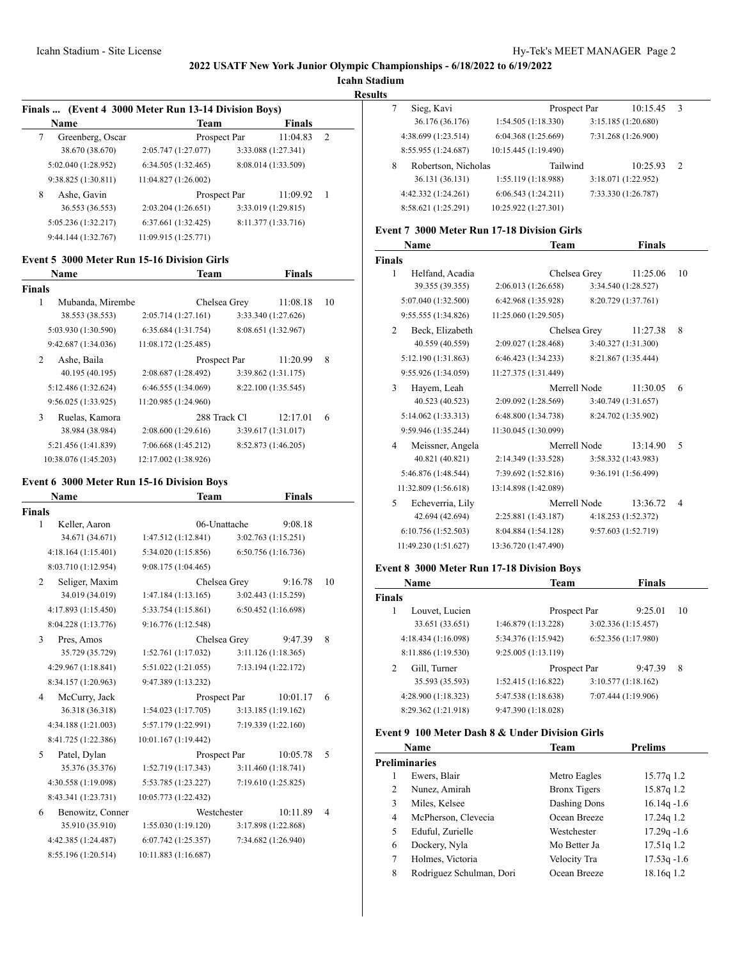**Icahn Stadium**

**Results**

| Finals  (Event 4 3000 Meter Run 13-14 Division Boys) |                      |  |                     |                |  |
|------------------------------------------------------|----------------------|--|---------------------|----------------|--|
| Name                                                 | <b>Team</b>          |  | <b>Finals</b>       |                |  |
| Greenberg, Oscar<br>7                                | Prospect Par         |  | 11:04.83            | $\overline{2}$ |  |
| 38.670 (38.670)                                      | 2:05.747 (1:27.077)  |  | 3:33.088 (1:27.341) |                |  |
| 5:02.040 (1:28.952)                                  | 6:34.505(1:32.465)   |  | 8:08.014 (1:33.509) |                |  |
| 9:38.825 (1:30.811)                                  | 11:04.827 (1:26.002) |  |                     |                |  |
| 8<br>Ashe, Gavin                                     | Prospect Par         |  | 11:09.92            | -1             |  |
| 36.553 (36.553)                                      | 2:03.204(1:26.651)   |  | 3:33.019 (1:29.815) |                |  |
| 5:05.236 (1:32.217)                                  | 6:37.661 (1:32.425)  |  | 8:11.377 (1:33.716) |                |  |
| 9:44.144 (1:32.767)                                  | 11:09.915 (1:25.771) |  |                     |                |  |

### **Event 5 3000 Meter Run 15-16 Division Girls**

|        | <b>Name</b>          |                      | <b>Team</b>  |                     | <b>Finals</b> |    |
|--------|----------------------|----------------------|--------------|---------------------|---------------|----|
| Finals |                      |                      |              |                     |               |    |
| 1      | Mubanda, Mirembe     |                      | Chelsea Grey |                     | 11:08.18      | 10 |
|        | 38.553 (38.553)      | 2:05.714(1:27.161)   |              | 3:33.340 (1:27.626) |               |    |
|        | 5:03.930 (1:30.590)  | 6:35.684 (1:31.754)  |              | 8:08.651 (1:32.967) |               |    |
|        | 9:42.687 (1:34.036)  | 11:08.172 (1:25.485) |              |                     |               |    |
| 2      | Ashe, Baila          |                      | Prospect Par |                     | 11:20.99      | 8  |
|        | 40.195 (40.195)      | 2:08.687 (1:28.492)  |              | 3:39.862 (1:31.175) |               |    |
|        | 5:12.486 (1:32.624)  | 6:46.555(1:34.069)   |              | 8:22.100 (1:35.545) |               |    |
|        | 9:56.025 (1:33.925)  | 11:20.985 (1:24.960) |              |                     |               |    |
| 3      | Ruelas, Kamora       |                      | 288 Track Cl |                     | 12:17.01      | 6  |
|        | 38.984 (38.984)      | 2:08.600(1:29.616)   |              | 3:39.617 (1:31.017) |               |    |
|        | 5:21.456 (1:41.839)  | 7:06.668 (1:45.212)  |              | 8:52.873 (1:46.205) |               |    |
|        | 10:38.076 (1:45.203) | 12:17.002 (1:38.926) |              |                     |               |    |
|        |                      |                      |              |                     |               |    |

# **Event 6 3000 Meter Run 15-16 Division Boys**

|               | Name                | Team                 | <b>Finals</b>       |    |
|---------------|---------------------|----------------------|---------------------|----|
| <b>Finals</b> |                     |                      |                     |    |
| 1             | Keller, Aaron       | 06-Unattache         | 9:08.18             |    |
|               | 34.671 (34.671)     | 1:47.512(1:12.841)   | 3:02.763(1:15.251)  |    |
|               | 4:18.164(1:15.401)  | 5:34.020 (1:15.856)  | 6:50.756 (1:16.736) |    |
|               | 8:03.710 (1:12.954) | 9:08.175 (1:04.465)  |                     |    |
| 2             | Seliger, Maxim      | Chelsea Grey         | 9:16.78             | 10 |
|               | 34.019 (34.019)     | 1:47.184(1:13.165)   | 3:02.443 (1:15.259) |    |
|               | 4:17.893 (1:15.450) | 5:33.754 (1:15.861)  | 6:50.452(1:16.698)  |    |
|               | 8:04.228 (1:13.776) | 9:16.776 (1:12.548)  |                     |    |
| 3             | Pres, Amos          | Chelsea Grey         | 9:47.39             | 8  |
|               | 35.729 (35.729)     | 1:52.761 (1:17.032)  | 3:11.126(1:18.365)  |    |
|               | 4:29.967 (1:18.841) | 5:51.022 (1:21.055)  | 7:13.194 (1:22.172) |    |
|               | 8:34.157 (1:20.963) | 9:47.389 (1:13.232)  |                     |    |
| 4             | McCurry, Jack       | Prospect Par         | 10:01.17            | 6  |
|               | 36.318 (36.318)     | 1:54.023(1:17.705)   | 3:13.185(1:19.162)  |    |
|               | 4:34.188 (1:21.003) | 5:57.179 (1:22.991)  | 7:19.339 (1:22.160) |    |
|               | 8:41.725 (1:22.386) | 10:01.167 (1:19.442) |                     |    |
| 5             | Patel, Dylan        | Prospect Par         | 10:05.78            | 5  |
|               | 35.376 (35.376)     | 1:52.719 (1:17.343)  | 3:11.460 (1:18.741) |    |
|               | 4:30.558 (1:19.098) | 5:53.785 (1:23.227)  | 7:19.610 (1:25.825) |    |
|               | 8:43.341 (1:23.731) | 10:05.773 (1:22.432) |                     |    |
| 6             | Benowitz, Conner    | Westchester          | 10:11.89            | 4  |
|               | 35.910 (35.910)     | 1:55.030(1:19.120)   | 3:17.898 (1:22.868) |    |
|               | 4:42.385 (1:24.487) | 6:07.742 (1:25.357)  | 7:34.682 (1:26.940) |    |
|               | 8:55.196 (1:20.514) | 10:11.883 (1:16.687) |                     |    |
|               |                     |                      |                     |    |

|   | Sieg, Kavi          | Prospect Par         |                     | 10:15.45 | 3             |
|---|---------------------|----------------------|---------------------|----------|---------------|
|   | 36.176 (36.176)     | 1:54.505(1:18.330)   | 3:15.185 (1:20.680) |          |               |
|   | 4:38.699 (1:23.514) | 6:04.368 (1:25.669)  | 7:31.268 (1:26.900) |          |               |
|   | 8:55.955 (1:24.687) | 10:15.445 (1:19.490) |                     |          |               |
| 8 | Robertson, Nicholas | Tailwind             |                     | 10:25.93 | $\mathcal{L}$ |
|   | 36.131 (36.131)     | 1:55.119(1:18.988)   | 3:18.071 (1:22.952) |          |               |
|   | 4:42.332 (1:24.261) | 6:06.543(1:24.211)   | 7:33.330 (1:26.787) |          |               |
|   | 8:58.621 (1:25.291) | 10:25.922 (1:27.301) |                     |          |               |

# **Event 7 3000 Meter Run 17-18 Division Girls**

|               | Name                 | Team                 | <b>Finals</b>       |    |
|---------------|----------------------|----------------------|---------------------|----|
| <b>Finals</b> |                      |                      |                     |    |
| 1             | Helfand, Acadia      | Chelsea Grey         | 11:25.06            | 10 |
|               | 39.355 (39.355)      | 2:06.013 (1:26.658)  | 3:34.540 (1:28.527) |    |
|               | 5:07.040 (1:32.500)  | 6:42.968 (1:35.928)  | 8:20.729 (1:37.761) |    |
|               | 9:55.555 (1:34.826)  | 11:25.060 (1:29.505) |                     |    |
| 2             | Beck, Elizabeth      | Chelsea Grey         | 11:27.38            | 8  |
|               | 40.559 (40.559)      | 2:09.027 (1:28.468)  | 3:40.327 (1:31.300) |    |
|               | 5:12.190 (1:31.863)  | 6:46.423(1:34.233)   | 8:21.867 (1:35.444) |    |
|               | 9:55.926 (1:34.059)  | 11:27.375 (1:31.449) |                     |    |
| 3             | Hayem, Leah          | Merrell Node         | 11:30.05            | 6  |
|               | 40.523 (40.523)      | 2:09.092 (1:28.569)  | 3:40.749 (1:31.657) |    |
|               | 5:14.062 (1:33.313)  | 6:48.800 (1:34.738)  | 8:24.702 (1:35.902) |    |
|               | 9:59.946 (1:35.244)  | 11:30.045 (1:30.099) |                     |    |
| 4             | Meissner, Angela     | Merrell Node         | 13:14.90            | 5  |
|               | 40.821 (40.821)      | 2:14.349 (1:33.528)  | 3:58.332 (1:43.983) |    |
|               | 5:46.876 (1:48.544)  | 7:39.692 (1:52.816)  | 9:36.191 (1:56.499) |    |
|               | 11:32.809 (1:56.618) | 13:14.898 (1:42.089) |                     |    |
| 5             | Echeverria, Lily     | Merrell Node         | 13:36.72            | 4  |
|               | 42.694 (42.694)      | 2:25.881 (1:43.187)  | 4:18.253 (1:52.372) |    |
|               | 6:10.756(1:52.503)   | 8:04.884 (1:54.128)  | 9:57.603 (1:52.719) |    |
|               | 11:49.230 (1:51.627) | 13:36.720 (1:47.490) |                     |    |
|               |                      |                      |                     |    |

# **Event 8 3000 Meter Run 17-18 Division Boys**

| Name                | <b>Team</b>         | <b>Finals</b>       |    |
|---------------------|---------------------|---------------------|----|
| <b>Finals</b>       |                     |                     |    |
| Louvet, Lucien<br>1 | Prospect Par        | 9:25.01             | 10 |
| 33.651 (33.651)     | 1:46.879 (1:13.228) | 3:02.336(1:15.457)  |    |
| 4:18.434 (1:16.098) | 5:34.376 (1:15.942) | 6:52.356 (1:17.980) |    |
| 8:11.886 (1:19.530) | 9:25.005(1:13.119)  |                     |    |
| Gill, Turner<br>2   | Prospect Par        | 9:47.39             | 8  |
| 35.593 (35.593)     | 1:52.415(1:16.822)  | 3:10.577(1:18.162)  |    |
| 4:28.900 (1:18.323) | 5:47.538 (1:18.638) | 7:07.444 (1:19.906) |    |
| 8:29.362 (1:21.918) | 9:47.390 (1:18.028) |                     |    |

### **Event 9 100 Meter Dash 8 & Under Division Girls**

|   | Name                     | Team                | Prelims        |
|---|--------------------------|---------------------|----------------|
|   | Preliminaries            |                     |                |
|   | Ewers, Blair             | Metro Eagles        | 15.77q 1.2     |
| 2 | Nunez, Amirah            | <b>Bronx Tigers</b> | 15.87q 1.2     |
| 3 | Miles, Kelsee            | Dashing Dons        | $16.14q - 1.6$ |
| 4 | McPherson, Clevecia      | Ocean Breeze        | 17.24g 1.2     |
| 5 | Eduful, Zurielle         | Westchester         | $17.29q - 1.6$ |
| 6 | Dockery, Nyla            | Mo Better Ja        | 17.51q 1.2     |
| 7 | Holmes, Victoria         | Velocity Tra        | $17.53q - 1.6$ |
| 8 | Rodriguez Schulman, Dori | Ocean Breeze        | 18.16g 1.2     |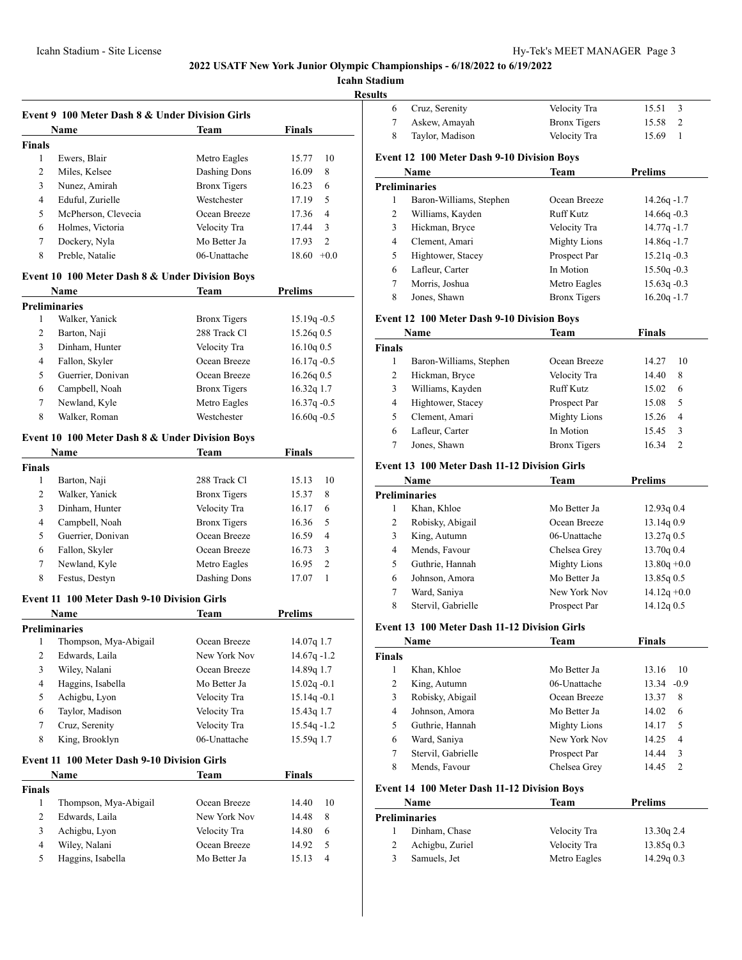**Icahn Stad** 

**Result** 

|                | Event 9 100 Meter Dash 8 & Under Division Girls    |                     |                         |
|----------------|----------------------------------------------------|---------------------|-------------------------|
|                | <b>Name</b>                                        | Team                | <b>Finals</b>           |
| <b>Finals</b>  |                                                    |                     |                         |
| 1              | Ewers, Blair                                       | Metro Eagles        | 15.77<br>10             |
| 2              | Miles, Kelsee                                      | Dashing Dons        | 16.09<br>8              |
| 3              | Nunez, Amirah                                      | <b>Bronx Tigers</b> | 6<br>16.23              |
| $\overline{4}$ | Eduful, Zurielle                                   | Westchester         | 5<br>17.19              |
| 5              | McPherson, Clevecia                                | Ocean Breeze        | $\overline{4}$<br>17.36 |
| 6              | Holmes, Victoria                                   | Velocity Tra        | 3<br>17.44              |
| 7              | Dockery, Nyla                                      | Mo Better Ja        | $\overline{2}$<br>17.93 |
| 8              | Preble, Natalie                                    | 06-Unattache        | $18.60 + 0.0$           |
|                | Event 10 100 Meter Dash 8 & Under Division Boys    |                     | <b>Prelims</b>          |
|                | Name                                               | Team                |                         |
|                | <b>Preliminaries</b>                               |                     |                         |
| 1              | Walker, Yanick                                     | <b>Bronx Tigers</b> | $15.19q -0.5$           |
| 2              | Barton, Naji                                       | 288 Track Cl        | 15.26q0.5               |
| 3              | Dinham, Hunter                                     | Velocity Tra        | 16.10q0.5               |
| 4              | Fallon, Skyler                                     | Ocean Breeze        | $16.17q - 0.5$          |
| 5              | Guerrier, Donivan                                  | Ocean Breeze        | $16.26q$ 0.5            |
| 6              | Campbell, Noah                                     | <b>Bronx Tigers</b> | 16.32q 1.7              |
| 7              | Newland, Kyle                                      | Metro Eagles        | $16.37q -0.5$           |
| 8              | Walker, Roman                                      | Westchester         | $16.60q - 0.5$          |
|                | Event 10 100 Meter Dash 8 & Under Division Boys    |                     |                         |
|                | Name                                               | Team                | <b>Finals</b>           |
| <b>Finals</b>  |                                                    |                     |                         |
| 1              | Barton, Naji                                       | 288 Track Cl        | 15.13<br>10             |
| 2              | Walker, Yanick                                     | <b>Bronx</b> Tigers | 8<br>15.37              |
| 3              | Dinham, Hunter                                     | Velocity Tra        | 16.17<br>6              |
| 4              | Campbell, Noah                                     | <b>Bronx</b> Tigers | 16.36<br>5              |
| 5              | Guerrier, Donivan                                  | Ocean Breeze        | 16.59<br>4              |
| 6              | Fallon, Skyler                                     | Ocean Breeze        | 16.73<br>3              |
| 7              | Newland, Kyle                                      | Metro Eagles        | 2<br>16.95              |
| 8              | Festus, Destyn                                     | Dashing Dons        | 1<br>17.07              |
|                | Event 11 100 Meter Dash 9-10 Division Girls        |                     |                         |
|                | Name                                               | Team                | Prelims                 |
|                | <b>Preliminaries</b>                               |                     |                         |
|                | 1 Thompson, Mya-Abigail                            | Ocean Breeze        | 14.07q 1.7              |
| 2              | Edwards, Laila                                     | New York Nov        | $14.67q - 1.2$          |
| 3              | Wiley, Nalani                                      | Ocean Breeze        | 14.89q 1.7              |
| 4              | Haggins, Isabella                                  | Mo Better Ja        | $15.02q - 0.1$          |
| 5              | Achigbu, Lyon                                      | Velocity Tra        | $15.14q - 0.1$          |
| 6              | Taylor, Madison                                    | Velocity Tra        | 15.43q 1.7              |
| 7              | Cruz, Serenity                                     | Velocity Tra        | $15.54q - 1.2$          |
| 8              | King, Brooklyn                                     | 06-Unattache        | 15.59q 1.7              |
|                | <b>Event 11 100 Meter Dash 9-10 Division Girls</b> |                     |                         |
|                | Name                                               | Team                | <b>Finals</b>           |
| <b>Finals</b>  |                                                    |                     |                         |
| 1              | Thompson, Mya-Abigail                              | Ocean Breeze        | 14.40<br>10             |
| 2              | Edwards, Laila                                     | New York Nov        | 8<br>14.48              |
| 3              | Achigbu, Lyon                                      | Velocity Tra        | 6<br>14.80              |
| 4              | Wiley, Nalani                                      | Ocean Breeze        | 5<br>14.92              |
| 5              | Haggins, Isabella                                  | Mo Better Ja        | 4<br>15.13              |

| tadium         |                                                   |                     |                       |
|----------------|---------------------------------------------------|---------------------|-----------------------|
| ults<br>6      |                                                   |                     | 3<br>15.51            |
|                | Cruz, Serenity                                    | Velocity Tra        |                       |
| 7              | Askew, Amayah                                     | <b>Bronx Tigers</b> | 15.58<br>2            |
| 8              | Taylor, Madison                                   | Velocity Tra        | 15.69<br>$\mathbf{1}$ |
|                | <b>Event 12 100 Meter Dash 9-10 Division Boys</b> |                     |                       |
|                | Name                                              | Team                | <b>Prelims</b>        |
|                | <b>Preliminaries</b>                              |                     |                       |
| 1              | Baron-Williams, Stephen                           | Ocean Breeze        | $14.26q - 1.7$        |
| 2              | Williams, Kayden                                  | Ruff Kutz           | $14.66q - 0.3$        |
| 3              | Hickman, Bryce                                    | Velocity Tra        | $14.77q - 1.7$        |
| 4              | Clement, Amari                                    | <b>Mighty Lions</b> | $14.86q - 1.7$        |
| 5              | Hightower, Stacey                                 | Prospect Par        | $15.21q - 0.3$        |
| 6              | Lafleur, Carter                                   | In Motion           | $15.50q -0.3$         |
| 7              | Morris, Joshua                                    | Metro Eagles        | $15.63q -0.3$         |
| 8              | Jones, Shawn                                      | <b>Bronx Tigers</b> | $16.20q - 1.7$        |
|                | <b>Event 12 100 Meter Dash 9-10 Division Boys</b> |                     |                       |
|                | Name                                              | Team                | Finals                |
| <b>Finals</b>  |                                                   |                     |                       |
| 1              | Baron-Williams, Stephen                           | Ocean Breeze        | 14.27<br>10           |
| $\overline{c}$ | Hickman, Bryce                                    | Velocity Tra        | 8<br>14.40            |
|                |                                                   |                     |                       |

|   | $Dth$ on $nth$ internsters the price | .                   | .     |                |  |
|---|--------------------------------------|---------------------|-------|----------------|--|
|   | Hickman, Bryce                       | Velocity Tra        | 14.40 | 8              |  |
| 3 | Williams, Kayden                     | <b>Ruff Kutz</b>    | 15.02 | 6              |  |
| 4 | Hightower, Stacey                    | Prospect Par        | 15.08 | -5             |  |
| 5 | Clement, Amari                       | <b>Mighty Lions</b> | 15.26 | $\overline{4}$ |  |
| 6 | Lafleur, Carter                      | In Motion           | 15.45 | - 3            |  |
|   | Jones, Shawn                         | <b>Bronx</b> Tigers | 16.34 |                |  |
|   |                                      |                     |       |                |  |

# **Event 13 100 Meter Dash 11-12 Division Girls**

| Name                 |                    | Team                | <b>Prelims</b> |  |
|----------------------|--------------------|---------------------|----------------|--|
| <b>Preliminaries</b> |                    |                     |                |  |
| 1                    | Khan, Khloe        | Mo Better Ja        | $12.93q$ 0.4   |  |
| 2                    | Robisky, Abigail   | Ocean Breeze        | 13.14g 0.9     |  |
| 3                    | King, Autumn       | 06-Unattache        | $13.27q$ 0.5   |  |
| 4                    | Mends, Favour      | Chelsea Grey        | 13.70q0.4      |  |
| 5                    | Guthrie, Hannah    | <b>Mighty Lions</b> | $13.80q + 0.0$ |  |
| 6                    | Johnson, Amora     | Mo Better Ja        | $13.85q$ 0.5   |  |
| 7                    | Ward, Saniya       | New York Nov        | $14.12q + 0.0$ |  |
| 8                    | Stervil, Gabrielle | Prospect Par        | $14.12q$ 0.5   |  |

### **Event 13 100 Meter Dash 11-12 Division Girls**

|        | Name               | Team                | <b>Finals</b>          |  |
|--------|--------------------|---------------------|------------------------|--|
| Finals |                    |                     |                        |  |
|        | Khan, Khloe        | Mo Better Ja        | 13.16<br>10            |  |
| 2      | King, Autumn       | 06-Unattache        | $13.34 - 0.9$          |  |
| 3      | Robisky, Abigail   | Ocean Breeze        | 13.37<br>8             |  |
| 4      | Johnson, Amora     | Mo Better Ja        | 14.02<br>6             |  |
| 5      | Guthrie, Hannah    | <b>Mighty Lions</b> | 14.17<br>5             |  |
| 6      | Ward, Saniya       | New York Nov        | 14.25<br>4             |  |
| 7      | Stervil, Gabrielle | Prospect Par        | 3<br>14.44             |  |
| 8      | Mends, Favour      | Chelsea Grey        | $\mathcal{D}$<br>14.45 |  |

# **Event 14 100 Meter Dash 11-12 Division Boys**

| <b>Name</b> |                      | Team         | <b>Prelims</b> |
|-------------|----------------------|--------------|----------------|
|             | <b>Preliminaries</b> |              |                |
|             | Dinham, Chase        | Velocity Tra | 13.30g 2.4     |
|             | Achigbu, Zuriel      | Velocity Tra | $13.85q$ 0.3   |
| 3           | Samuels, Jet         | Metro Eagles | $14.29q$ 0.3   |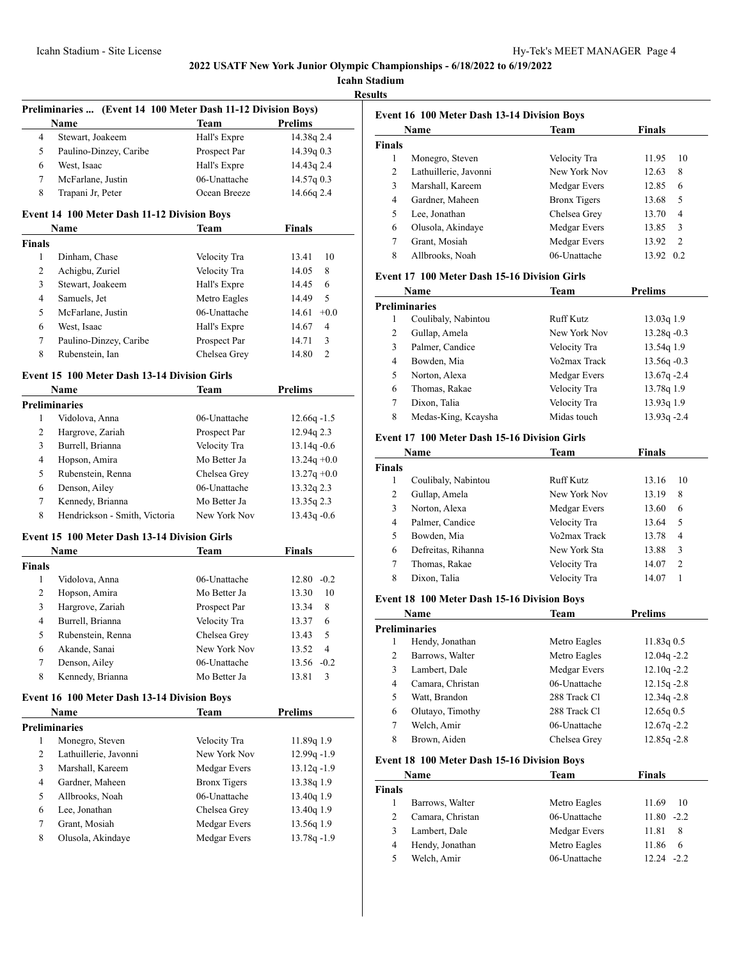**Icahn Stadium**

**Results**

|                | Preliminaries  (Event 14 100 Meter Dash 11-12 Division Boys)<br>Name | Team                | Prelims                 |
|----------------|----------------------------------------------------------------------|---------------------|-------------------------|
| 4              | Stewart, Joakeem                                                     | Hall's Expre        | 14.38q 2.4              |
| 5              | Paulino-Dinzey, Caribe                                               | Prospect Par        | 14.39q 0.3              |
| 6              | West, Isaac                                                          | Hall's Expre        | 14.43g 2.4              |
| 7              | McFarlane, Justin                                                    | 06-Unattache        | 14.57q0.3               |
| 8              | Trapani Jr, Peter                                                    | Ocean Breeze        | 14.66q 2.4              |
|                | <b>Event 14 100 Meter Dash 11-12 Division Boys</b>                   |                     |                         |
|                | <b>Name</b>                                                          | Team                | <b>Finals</b>           |
| <b>Finals</b>  |                                                                      |                     |                         |
| 1              | Dinham, Chase                                                        | Velocity Tra        | 10<br>13.41             |
| 2              | Achigbu, Zuriel                                                      | Velocity Tra        | 14.05<br>8              |
| 3              | Stewart, Joakeem                                                     | Hall's Expre        | 6<br>14.45              |
| $\overline{4}$ | Samuels, Jet                                                         | Metro Eagles        | 5<br>14.49              |
| 5              | McFarlane, Justin                                                    | 06-Unattache        | $+0.0$<br>14.61         |
| 6              | West, Isaac                                                          | Hall's Expre        | $\overline{4}$<br>14.67 |
| 7              | Paulino-Dinzey, Caribe                                               | Prospect Par        | 3<br>14.71              |
| 8              | Rubenstein, Ian                                                      | Chelsea Grey        | 14.80<br>2              |
|                | <b>Event 15 100 Meter Dash 13-14 Division Girls</b>                  |                     |                         |
|                | Name                                                                 | Team                | <b>Prelims</b>          |
|                | <b>Preliminaries</b>                                                 |                     |                         |
| 1              | Vidolova, Anna                                                       | 06-Unattache        | $12.66q - 1.5$          |
| 2              | Hargrove, Zariah                                                     | Prospect Par        | 12.94q 2.3              |
| 3              | Burrell, Brianna                                                     | Velocity Tra        | $13.14q - 0.6$          |
| 4              | Hopson, Amira                                                        | Mo Better Ja        | $13.24q + 0.0$          |
| 5              | Rubenstein, Renna                                                    | Chelsea Grey        | $13.27q +0.0$           |
| 6              | Denson, Ailey                                                        | 06-Unattache        | 13.32q 2.3              |
| 7              | Kennedy, Brianna                                                     | Mo Better Ja        | 13.35q 2.3              |
| 8              | Hendrickson - Smith, Victoria                                        | New York Nov        | $13.43q -0.6$           |
|                | Event 15 100 Meter Dash 13-14 Division Girls<br>Name                 | Team                | <b>Finals</b>           |
| <b>Finals</b>  |                                                                      |                     |                         |
| 1              | Vidolova, Anna                                                       | 06-Unattache        | $12.80 -0.2$            |
| 2              | Hopson, Amira                                                        | Mo Better Ja        | 13.30<br>10             |
| 3              | Hargrove, Zariah                                                     | Prospect Par        | 13.34<br>8              |
| 4              | Burrell, Brianna                                                     | Velocity Tra        | 6<br>13.37              |
| 5              | Rubenstein, Renna                                                    | Chelsea Grey        | 5<br>13.43              |
| 6              | Akande, Sanai                                                        | New York Nov        | 13.52<br>4              |
| 7              | Denson, Ailey                                                        | 06-Unattache        | 13.56<br>$-0.2$         |
| 8              | Kennedy, Brianna                                                     | Mo Better Ja        | 3<br>13.81              |
|                | Event 16 100 Meter Dash 13-14 Division Boys                          |                     |                         |
|                | Name                                                                 | Team                | <b>Prelims</b>          |
|                | <b>Preliminaries</b>                                                 |                     |                         |
| 1              | Monegro, Steven                                                      | Velocity Tra        | 11.89q 1.9              |
| 2              | Lathuillerie, Javonni                                                | New York Nov        | $12.99q - 1.9$          |
| 3              | Marshall, Kareem                                                     | Medgar Evers        | 13.12q-1.9              |
| 4              | Gardner, Maheen                                                      | <b>Bronx Tigers</b> | 13.38q 1.9              |
|                | Allbrooks, Noah                                                      | 06-Unattache        | 13.40q 1.9              |
| 5              |                                                                      |                     | 13.40q 1.9              |
| 6              | Lee, Jonathan                                                        | Chelsea Grey        |                         |
| 7              | Grant, Mosiah                                                        | Medgar Evers        | 13.56q 1.9              |

|               | <b>Event 16 100 Meter Dash 13-14 Division Boys</b> |                     |               |     |
|---------------|----------------------------------------------------|---------------------|---------------|-----|
|               | Name                                               | Team                | <b>Finals</b> |     |
| <b>Finals</b> |                                                    |                     |               |     |
| 1             | Monegro, Steven                                    | Velocity Tra        | 11.95         | 10  |
| 2             | Lathuillerie, Javonni                              | New York Nov        | 12.63         | 8   |
| 3             | Marshall, Kareem                                   | Medgar Evers        | 12.85         | 6   |
| 4             | Gardner, Maheen                                    | <b>Bronx Tigers</b> | 13.68         | 5   |
| 5             | Lee, Jonathan                                      | Chelsea Grey        | 13.70         | 4   |
| 6             | Olusola, Akindaye                                  | Medgar Evers        | 13.85         | 3   |
| 7             | Grant, Mosiah                                      | Medgar Evers        | 13.92         | 2   |
| 8             | Allbrooks, Noah                                    | 06-Unattache        | 13.92         | 0.2 |

# **Event 17 100 Meter Dash 15-16 Division Girls**

| <b>Name</b>          |                     | Team         | Prelims        |
|----------------------|---------------------|--------------|----------------|
| <b>Preliminaries</b> |                     |              |                |
|                      | Coulibaly, Nabintou | Ruff Kutz    | 13.03q 1.9     |
| 2                    | Gullap, Amela       | New York Nov | $13.28q - 0.3$ |
| 3                    | Palmer, Candice     | Velocity Tra | 13.54q 1.9     |
| 4                    | Bowden, Mia         | Vo2max Track | $13.56q - 0.3$ |
| 5                    | Norton, Alexa       | Medgar Evers | $13.67q - 2.4$ |
| 6                    | Thomas, Rakae       | Velocity Tra | 13.78q 1.9     |
| 7                    | Dixon, Talia        | Velocity Tra | 13.93q 1.9     |
| 8                    | Medas-King, Kcaysha | Midas touch  | 13.93q -2.4    |

#### **Event 17 100 Meter Dash 15-16 Division Girls**

| Name          |                     | Team         | <b>Finals</b> |    |
|---------------|---------------------|--------------|---------------|----|
| <b>Finals</b> |                     |              |               |    |
|               | Coulibaly, Nabintou | Ruff Kutz    | 13.16         | 10 |
| 2             | Gullap, Amela       | New York Nov | 13.19         | 8  |
| 3             | Norton, Alexa       | Medgar Evers | 13.60         | 6  |
| 4             | Palmer, Candice     | Velocity Tra | 13.64         | 5  |
| 5.            | Bowden, Mia         | Vo2max Track | 13.78         | 4  |
| 6             | Defreitas, Rihanna  | New York Sta | 13.88         | 3  |
| 7             | Thomas, Rakae       | Velocity Tra | 14.07         | 2  |
| 8             | Dixon, Talia        | Velocity Tra | 14.07         |    |

# **Event 18 100 Meter Dash 15-16 Division Boys**

| Name                 |                  | Team         | <b>Prelims</b> |  |
|----------------------|------------------|--------------|----------------|--|
| <b>Preliminaries</b> |                  |              |                |  |
|                      | Hendy, Jonathan  | Metro Eagles | 11.83q 0.5     |  |
| 2                    | Barrows, Walter  | Metro Eagles | $12.04q - 2.2$ |  |
| 3                    | Lambert, Dale    | Medgar Evers | $12.10q - 2.2$ |  |
| 4                    | Camara, Christan | 06-Unattache | $12.15q - 2.8$ |  |
| 5                    | Watt, Brandon    | 288 Track Cl | $12.34q - 2.8$ |  |
| 6                    | Olutayo, Timothy | 288 Track Cl | 12.65q0.5      |  |
| 7                    | Welch, Amir      | 06-Unattache | $12.67q - 2.2$ |  |
| 8                    | Brown, Aiden     | Chelsea Grev | $12.85q - 2.8$ |  |

# **Event 18 100 Meter Dash 15-16 Division Boys**

| Name          |                  | Team         | <b>Finals</b>  |
|---------------|------------------|--------------|----------------|
| <b>Finals</b> |                  |              |                |
|               | Barrows, Walter  | Metro Eagles | 11.69<br>10    |
|               | Camara, Christan | 06-Unattache | $11.80 - 2.2$  |
| 3             | Lambert, Dale    | Medgar Evers | 11.81<br>8     |
| 4             | Hendy, Jonathan  | Metro Eagles | 11.86<br>6     |
| 5             | Welch, Amir      | 06-Unattache | $-22$<br>12.24 |
|               |                  |              |                |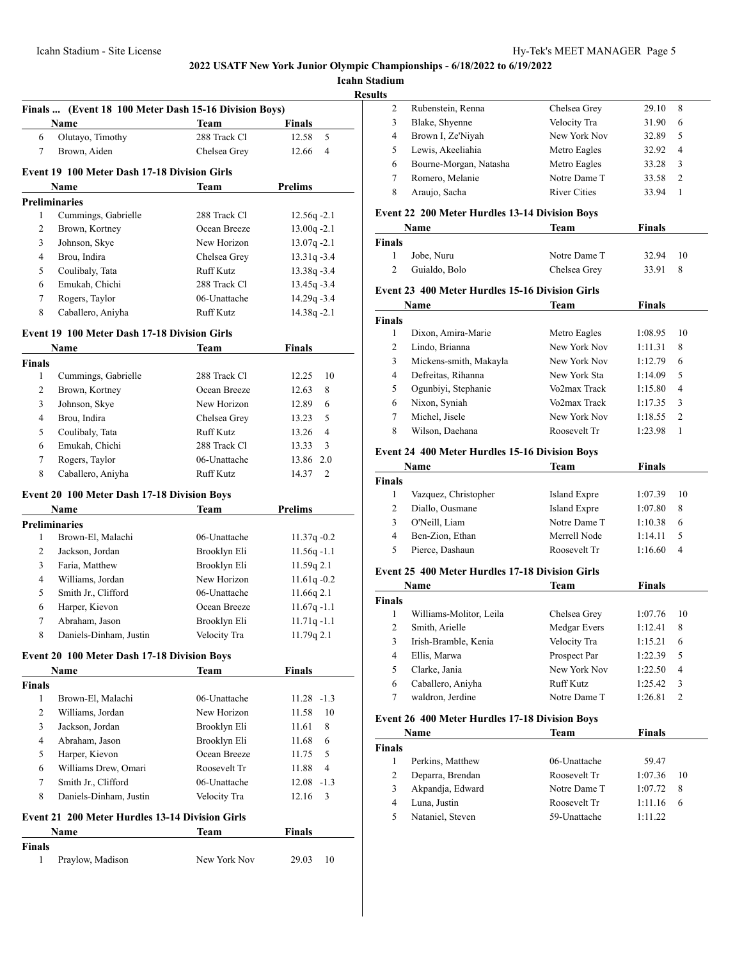**Icahn Stadium**

**Results**

|                | Name                                                   | <b>Team</b>      | <b>Finals</b>                 |
|----------------|--------------------------------------------------------|------------------|-------------------------------|
| 6              | Olutayo, Timothy                                       | 288 Track Cl     | 12.58<br>5                    |
| 7              | Brown, Aiden                                           | Chelsea Grey     | 12.66<br>4                    |
|                |                                                        |                  |                               |
|                | <b>Event 19 100 Meter Dash 17-18 Division Girls</b>    |                  |                               |
|                | Name                                                   | Team             | <b>Prelims</b>                |
| 1              | <b>Preliminaries</b>                                   | 288 Track Cl     | 12.56q-2.1                    |
| 2              | Cummings, Gabrielle<br>Brown, Kortney                  | Ocean Breeze     | $13.00q -2.1$                 |
| 3              | Johnson, Skye                                          | New Horizon      | $13.07q -2.1$                 |
| $\overline{4}$ | Brou, Indira                                           | Chelsea Grey     | $13.31q - 3.4$                |
| 5              | Coulibaly, Tata                                        | <b>Ruff Kutz</b> |                               |
| 6              | Emukah, Chichi                                         | 288 Track Cl     | 13.38q -3.4<br>$13.45q - 3.4$ |
| 7              | Rogers, Taylor                                         | 06-Unattache     | 14.29q -3.4                   |
|                | Caballero, Aniyha                                      |                  |                               |
| 8              |                                                        | Ruff Kutz        | $14.38q - 2.1$                |
|                | <b>Event 19 100 Meter Dash 17-18 Division Girls</b>    |                  |                               |
|                | Name                                                   | Team             | <b>Finals</b>                 |
| <b>Finals</b>  |                                                        |                  |                               |
| 1              | Cummings, Gabrielle                                    | 288 Track Cl     | 12.25<br>10                   |
| 2              | Brown, Kortney                                         | Ocean Breeze     | 8<br>12.63                    |
| 3              | Johnson, Skye                                          | New Horizon      | 12.89<br>6                    |
| 4              | Brou, Indira                                           | Chelsea Grey     | 13.23<br>5                    |
| 5              | Coulibaly, Tata                                        | <b>Ruff Kutz</b> | 13.26<br>4                    |
| 6              | Emukah, Chichi                                         | 288 Track Cl     | 13.33<br>3                    |
| 7              | Rogers, Taylor                                         | 06-Unattache     | 13.86<br>2.0                  |
| 8              | Caballero, Aniyha                                      | Ruff Kutz        | 14.37<br>2                    |
|                | <b>Event 20 100 Meter Dash 17-18 Division Boys</b>     |                  |                               |
|                | Name                                                   | Team             | <b>Prelims</b>                |
|                | <b>Preliminaries</b>                                   |                  |                               |
| 1              | Brown-El, Malachi                                      | 06-Unattache     | $11.37q -0.2$                 |
| 2              | Jackson, Jordan                                        | Brooklyn Eli     | $11.56q - 1.1$                |
| 3              | Faria, Matthew                                         | Brooklyn Eli     | 11.59q 2.1                    |
| 4              | Williams, Jordan                                       | New Horizon      | $11.61q - 0.2$                |
| 5              | Smith Jr., Clifford                                    | 06-Unattache     | 11.66q 2.1                    |
| 6              | Harper, Kievon                                         | Ocean Breeze     | $11.67q - 1.1$                |
| 7              | Abraham, Jason                                         | Brooklyn Eli     | $11.71q - 1.1$                |
| 8              | Daniels-Dinham, Justin                                 | Velocity Tra     | 11.79q 2.1                    |
|                | <b>Event 20 100 Meter Dash 17-18 Division Boys</b>     |                  |                               |
|                | Name                                                   | <b>Team</b>      | <b>Finals</b>                 |
| <b>Finals</b>  |                                                        |                  |                               |
| $\mathbf{1}$   | Brown-El, Malachi                                      | 06-Unattache     | $11.28 - 1.3$                 |
| 2              | Williams, Jordan                                       | New Horizon      | 11.58<br>10                   |
| 3              | Jackson, Jordan                                        | Brooklyn Eli     | 8<br>11.61                    |
| 4              | Abraham. Jason                                         | Brooklyn Eli     | 11.68<br>6                    |
| 5              | Harper, Kievon                                         | Ocean Breeze     | 11.75<br>5                    |
| 6              | Williams Drew, Omari                                   | Roosevelt Tr     | 11.88<br>4                    |
| 7              | Smith Jr., Clifford                                    | 06-Unattache     | 12.08<br>$-1.3$               |
| 8              | Daniels-Dinham, Justin                                 | Velocity Tra     | 3<br>12.16                    |
|                | <b>Event 21 200 Meter Hurdles 13-14 Division Girls</b> |                  |                               |
|                | Name                                                   | Team             | <b>Finals</b>                 |
| <b>Finals</b>  |                                                        |                  |                               |
|                |                                                        |                  |                               |
| 1              | Praylow, Madison                                       | New York Nov     | 29.03<br>10                   |

|   | Rubenstein, Renna      | Chelsea Grey        | 29.10<br>8              |
|---|------------------------|---------------------|-------------------------|
|   | Blake, Shyenne         | Velocity Tra        | 31.90<br>6              |
| 4 | Brown I, Ze'Niyah      | New York Nov        | 32.89<br>5              |
|   | Lewis, Akeeliahia      | Metro Eagles        | 32.92<br>$\overline{4}$ |
| 6 | Bourne-Morgan, Natasha | Metro Eagles        | 33.28<br>3              |
|   | Romero, Melanie        | Notre Dame T        | 33.58<br>2              |
|   | Araujo, Sacha          | <b>River Cities</b> | 33.94                   |
|   |                        |                     |                         |

# **Event 22 200 Meter Hurdles 13-14 Division Boys**

|        | Name          | Team         | <b>Finals</b> |     |
|--------|---------------|--------------|---------------|-----|
| Finals |               |              |               |     |
|        | Jobe, Nuru    | Notre Dame T | 32.94         | -10 |
|        | Guialdo, Bolo | Chelsea Grey | 33.91         |     |

#### **Event 23 400 Meter Hurdles 15-16 Division Girls**

| Name          |                        | Team         | <b>Finals</b> |               |
|---------------|------------------------|--------------|---------------|---------------|
| <b>Finals</b> |                        |              |               |               |
|               | Dixon, Amira-Marie     | Metro Eagles | 1:08.95       | 10            |
| 2             | Lindo, Brianna         | New York Nov | 1:11.31       | 8             |
| 3             | Mickens-smith, Makayla | New York Nov | 1:12.79       | 6             |
| 4             | Defreitas, Rihanna     | New York Sta | 1:14.09       | 5             |
| 5             | Ogunbiyi, Stephanie    | Vo2max Track | 1:15.80       | 4             |
| 6             | Nixon, Syniah          | Vo2max Track | 1:17.35       | 3             |
| 7             | Michel, Jisele         | New York Nov | 1:18.55       | $\mathcal{L}$ |
| 8             | Wilson, Daehana        | Roosevelt Tr | 1:23.98       |               |

#### **Event 24 400 Meter Hurdles 15-16 Division Boys**

| <b>Name</b>   |                      | Team         | <b>Finals</b> |    |
|---------------|----------------------|--------------|---------------|----|
| <b>Finals</b> |                      |              |               |    |
|               | Vazquez, Christopher | Island Expre | 1:07.39       | 10 |
|               | Diallo, Ousmane      | Island Expre | 1:07.80       | 8  |
| 3             | O'Neill, Liam        | Notre Dame T | 1:10.38       | 6  |
| 4             | Ben-Zion, Ethan      | Merrell Node | 1:14.11       |    |
| 5             | Pierce, Dashaun      | Roosevelt Tr | 1:16.60       | 4  |

# **Event 25 400 Meter Hurdles 17-18 Division Girls**

| Name          |                         | Team         | <b>Finals</b> |    |
|---------------|-------------------------|--------------|---------------|----|
| <b>Finals</b> |                         |              |               |    |
|               | Williams-Molitor, Leila | Chelsea Grey | 1:07.76       | 10 |
| 2             | Smith, Arielle          | Medgar Evers | 1:12.41       | 8  |
| 3             | Irish-Bramble, Kenia    | Velocity Tra | 1:15.21       | 6  |
| 4             | Ellis, Marwa            | Prospect Par | 1:22.39       | 5  |
| 5             | Clarke, Jania           | New York Nov | 1:22.50       | 4  |
| 6             | Caballero, Aniyha       | Ruff Kutz    | 1:25.42       | 3  |
|               | waldron, Jerdine        | Notre Dame T | 1:26.81       | 2  |

# **Event 26 400 Meter Hurdles 17-18 Division Boys**

| Name          |                  | Team         | <b>Finals</b> |    |
|---------------|------------------|--------------|---------------|----|
| <b>Finals</b> |                  |              |               |    |
|               | Perkins, Matthew | 06-Unattache | 59.47         |    |
| 2             | Deparra, Brendan | Roosevelt Tr | 1:07.36       | 10 |
| 3             | Akpandja, Edward | Notre Dame T | 1:07.72       | -8 |
| 4             | Luna, Justin     | Roosevelt Tr | 1:11.16       | 6  |
| 5             | Nataniel, Steven | 59-Unattache | 1.11.22       |    |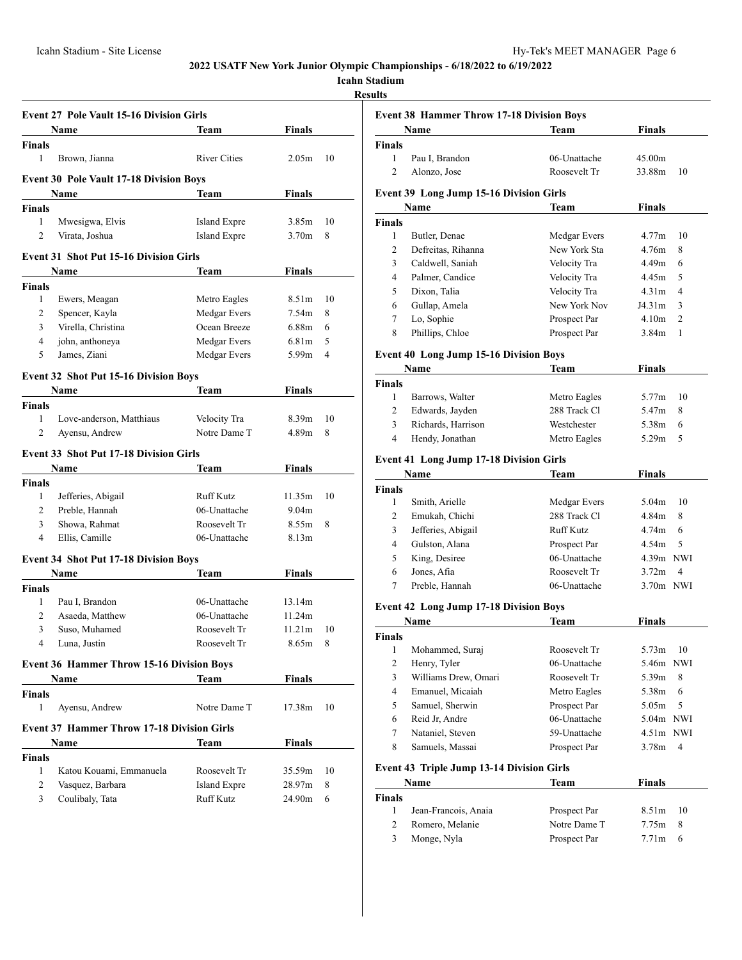# **Icahn Stadium**

**Results**

|                    | <b>Event 27 Pole Vault 15-16 Division Girls</b>   |                     |                   |    |
|--------------------|---------------------------------------------------|---------------------|-------------------|----|
|                    | Name                                              | Team                | <b>Finals</b>     |    |
| <b>Finals</b>      |                                                   |                     |                   |    |
| 1                  | Brown, Jianna                                     | <b>River Cities</b> | 2.05 <sub>m</sub> | 10 |
|                    | <b>Event 30 Pole Vault 17-18 Division Boys</b>    |                     |                   |    |
|                    | Name                                              | Team                | Finals            |    |
| <b>Finals</b>      |                                                   |                     |                   |    |
| 1                  | Mwesigwa, Elvis                                   | Island Expre        | 3.85m             | 10 |
| $\overline{c}$     | Virata, Joshua                                    | <b>Island Expre</b> | 3.70 <sub>m</sub> | 8  |
|                    | <b>Event 31 Shot Put 15-16 Division Girls</b>     |                     |                   |    |
|                    | Name                                              | Team                | Finals            |    |
| <b>Finals</b>      |                                                   |                     |                   |    |
| $\mathbf{1}$       | Ewers, Meagan                                     | Metro Eagles        | 8.51 <sub>m</sub> | 10 |
| 2                  | Spencer, Kayla                                    | Medgar Evers        | 7.54 <sub>m</sub> | 8  |
| 3                  | Virella, Christina                                | Ocean Breeze        | 6.88m             | 6  |
| 4                  | john, anthoneya                                   | Medgar Evers        | 6.81 <sub>m</sub> | 5  |
| 5                  | James, Ziani                                      | Medgar Evers        | 5.99 <sub>m</sub> | 4  |
|                    |                                                   |                     |                   |    |
|                    | <b>Event 32 Shot Put 15-16 Division Boys</b>      |                     |                   |    |
|                    | Name                                              | Team                | Finals            |    |
| <b>Finals</b>      |                                                   |                     |                   |    |
| 1                  | Love-anderson, Matthiaus                          | Velocity Tra        | 8.39 <sub>m</sub> | 10 |
| $\overline{2}$     | Ayensu, Andrew                                    | Notre Dame T        | 4.89m             | 8  |
|                    | <b>Event 33 Shot Put 17-18 Division Girls</b>     |                     |                   |    |
|                    | Name                                              | Team                | Finals            |    |
| <b>Finals</b>      |                                                   |                     |                   |    |
| 1                  | Jefferies, Abigail                                | Ruff Kutz           | 11.35m            | 10 |
| 2                  | Preble, Hannah                                    | 06-Unattache        | 9.04 <sub>m</sub> |    |
| 3                  | Showa, Rahmat                                     | Roosevelt Tr        | 8.55m             | 8  |
| 4                  | Ellis, Camille                                    | 06-Unattache        | 8.13m             |    |
|                    | <b>Event 34 Shot Put 17-18 Division Boys</b>      |                     |                   |    |
|                    | Name                                              | Team                | <b>Finals</b>     |    |
| <b>Finals</b>      |                                                   |                     |                   |    |
| 1                  | Pau I, Brandon                                    | 06-Unattache        | 13.14m            |    |
| 2                  | Asaeda, Matthew                                   | 06-Unattache        | 11.24m            |    |
| 3                  | Suso, Muhamed                                     | Roosevelt Tr        | 11.21m            | 10 |
| $\overline{4}$     | Luna, Justin                                      | Roosevelt Tr        | 8.65m             | 8  |
|                    |                                                   |                     |                   |    |
|                    | <b>Event 36 Hammer Throw 15-16 Division Boys</b>  |                     |                   |    |
|                    | <b>Name</b>                                       | Team                | <b>Finals</b>     |    |
| <b>Finals</b><br>1 |                                                   | Notre Dame T        |                   |    |
|                    | Ayensu, Andrew                                    |                     | 17.38m            | 10 |
|                    | <b>Event 37 Hammer Throw 17-18 Division Girls</b> |                     |                   |    |
|                    | Name                                              | Team                | <b>Finals</b>     |    |
| <b>Finals</b>      |                                                   |                     |                   |    |
| 1                  | Katou Kouami, Emmanuela                           | Roosevelt Tr        | 35.59m            | 10 |
| 2                  | Vasquez, Barbara                                  | <b>Island Expre</b> | 28.97m            | 8  |
|                    | Coulibaly, Tata                                   | Ruff Kutz           | 24.90m            | 6  |

|                | <b>Event 38 Hammer Throw 17-18 Division Boys</b> |              |                   |                |  |
|----------------|--------------------------------------------------|--------------|-------------------|----------------|--|
|                | Name                                             | <b>Team</b>  | <b>Finals</b>     |                |  |
| <b>Finals</b>  |                                                  |              |                   |                |  |
| 1              | Pau I, Brandon                                   | 06-Unattache | 45.00m            |                |  |
| $\overline{c}$ | Alonzo, Jose                                     | Roosevelt Tr | 33.88m            | 10             |  |
|                | <b>Event 39 Long Jump 15-16 Division Girls</b>   |              |                   |                |  |
|                | Name                                             | Team         | <b>Finals</b>     |                |  |
| <b>Finals</b>  |                                                  |              |                   |                |  |
| 1              | Butler, Denae                                    | Medgar Evers | 4.77m             | 10             |  |
| $\overline{c}$ | Defreitas, Rihanna                               | New York Sta | 4.76m             | 8              |  |
| 3              | Caldwell, Saniah                                 | Velocity Tra | 4.49 <sub>m</sub> | 6              |  |
| 4              | Palmer, Candice                                  | Velocity Tra | 4.45m             | 5              |  |
| 5              | Dixon, Talia                                     | Velocity Tra | 4.31 <sub>m</sub> | 4              |  |
| 6              | Gullap, Amela                                    | New York Nov | J4.31m            | 3              |  |
| 7              | Lo, Sophie                                       | Prospect Par | 4.10 <sub>m</sub> | $\overline{c}$ |  |
| 8              | Phillips, Chloe                                  | Prospect Par | 3.84m             | 1              |  |
|                | <b>Event 40 Long Jump 15-16 Division Boys</b>    |              |                   |                |  |
|                | Name                                             | Team         | <b>Finals</b>     |                |  |
| <b>Finals</b>  |                                                  |              |                   |                |  |
| 1              | Barrows, Walter                                  | Metro Eagles | 5.77m             | 10             |  |
| 2              | Edwards, Jayden                                  | 288 Track Cl | 5.47m             | 8              |  |
| 3              | Richards, Harrison                               | Westchester  | 5.38m             | 6              |  |
| 4              | Hendy, Jonathan                                  | Metro Eagles | 5.29 <sub>m</sub> | 5              |  |
|                | <b>Event 41 Long Jump 17-18 Division Girls</b>   |              |                   |                |  |
|                | Name                                             | Team         | <b>Finals</b>     |                |  |
| <b>Finals</b>  |                                                  |              |                   |                |  |

| <b>Name</b>   |                    | Team         | Finals      |
|---------------|--------------------|--------------|-------------|
| <b>Finals</b> |                    |              |             |
|               | Smith, Arielle     | Medgar Evers | 10<br>5.04m |
| 2             | Emukah, Chichi     | 288 Track Cl | 4.84m<br>8  |
| 3             | Jefferies, Abigail | Ruff Kutz    | 4.74m<br>6  |
| 4             | Gulston, Alana     | Prospect Par | 4.54m<br>-5 |
| 5             | King, Desiree      | 06-Unattache | $4.39m$ NWI |
| 6             | Jones, Afia        | Roosevelt Tr | 3.72m<br>4  |
|               | Preble, Hannah     | 06-Unattache | $3.70m$ NWI |

# **Event 42 Long Jump 17-18 Division Boys**

| Name          |                      | Team         | Finals      |
|---------------|----------------------|--------------|-------------|
| <b>Finals</b> |                      |              |             |
| 1             | Mohammed, Suraj      | Roosevelt Tr | 5.73m<br>10 |
| 2             | Henry, Tyler         | 06-Unattache | 5.46m NWI   |
| 3             | Williams Drew, Omari | Roosevelt Tr | -8<br>5.39m |
| 4             | Emanuel, Micaiah     | Metro Eagles | 5.38m<br>6  |
| 5             | Samuel, Sherwin      | Prospect Par | .5<br>5.05m |
| 6             | Reid Jr, Andre       | 06-Unattache | 5.04m NWI   |
| 7             | Nataniel, Steven     | 59-Unattache | $4.51m$ NWI |
| 8             | Samuels, Massai      | Prospect Par | 3.78m<br>4  |

# **Event 43 Triple Jump 13-14 Division Girls**

|               | Name                 | Team         | <b>Finals</b>   |  |
|---------------|----------------------|--------------|-----------------|--|
| <b>Finals</b> |                      |              |                 |  |
|               | Jean-Francois, Anaia | Prospect Par | $8.51m$ 10      |  |
|               | Romero, Melanie      | Notre Dame T | $7.75m$ 8       |  |
| 3             | Monge, Nyla          | Prospect Par | $7.71m \quad 6$ |  |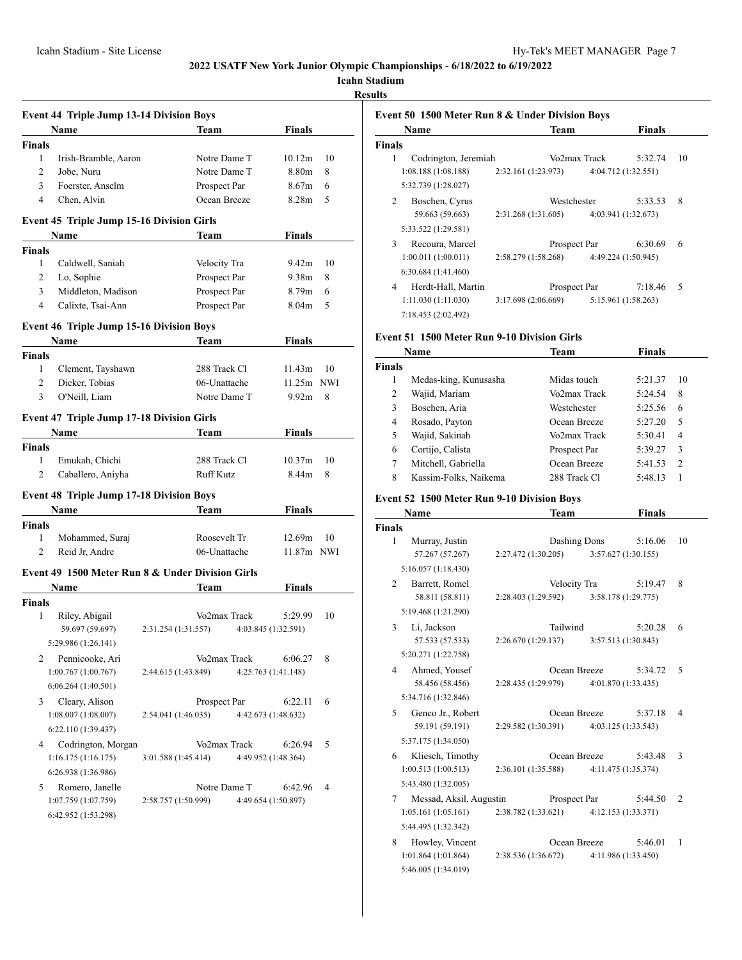**Icahn Stadium**

**Results**

|                | <b>Event 44 Triple Jump 13-14 Division Boys</b>  |                     |                  |                     |                    |    |
|----------------|--------------------------------------------------|---------------------|------------------|---------------------|--------------------|----|
|                | <b>Name</b>                                      |                     | Team             |                     | Finals             |    |
| <b>Finals</b>  |                                                  |                     |                  |                     |                    |    |
| $\mathbf{1}$   | Irish-Bramble, Aaron                             |                     | Notre Dame T     |                     | 10.12m             | 10 |
| 2              | Jobe, Nuru                                       |                     | Notre Dame T     |                     | 8.80m              | 8  |
| 3              | Foerster, Anselm                                 |                     | Prospect Par     |                     | 8.67m              | 6  |
| $\overline{4}$ | Chen, Alvin                                      |                     | Ocean Breeze     |                     | 8.28m              | 5  |
|                | <b>Event 45 Triple Jump 15-16 Division Girls</b> |                     |                  |                     |                    |    |
|                | Name                                             |                     | Team             |                     | Finals             |    |
| <b>Finals</b>  |                                                  |                     |                  |                     |                    |    |
| 1              | Caldwell, Saniah                                 |                     | Velocity Tra     |                     | 9.42m              | 10 |
| 2              | Lo, Sophie                                       |                     | Prospect Par     |                     | 9.38 <sub>m</sub>  | 8  |
| 3              | Middleton, Madison                               |                     | Prospect Par     |                     | 8.79m              | 6  |
| 4              | Calixte, Tsai-Ann                                |                     | Prospect Par     |                     | 8.04m              | 5  |
|                |                                                  |                     |                  |                     |                    |    |
|                | <b>Event 46 Triple Jump 15-16 Division Boys</b>  |                     |                  |                     |                    |    |
|                | Name                                             |                     | Team             |                     | Finals             |    |
| <b>Finals</b>  |                                                  |                     |                  |                     |                    |    |
| $\mathbf{1}$   | Clement, Tayshawn                                |                     | 288 Track Cl     |                     | 11.43m             | 10 |
| 2              | Dicker, Tobias                                   |                     | 06-Unattache     |                     | 11.25m NWI         |    |
| 3              | O'Neill, Liam                                    |                     | Notre Dame T     |                     | 9.92 <sub>m</sub>  | 8  |
|                | <b>Event 47 Triple Jump 17-18 Division Girls</b> |                     |                  |                     |                    |    |
|                | Name                                             |                     | Team             |                     | Finals             |    |
| <b>Finals</b>  |                                                  |                     |                  |                     |                    |    |
| 1              | Emukah, Chichi                                   |                     | 288 Track Cl     |                     | 10.37 <sub>m</sub> | 10 |
| $\overline{c}$ | Caballero, Aniyha                                |                     | <b>Ruff Kutz</b> |                     | 8.44m              | 8  |
|                |                                                  |                     |                  |                     |                    |    |
|                | <b>Event 48 Triple Jump 17-18 Division Boys</b>  |                     |                  |                     |                    |    |
|                | <b>Name</b>                                      |                     | Team             |                     | <b>Finals</b>      |    |
| <b>Finals</b>  |                                                  |                     |                  |                     |                    |    |
| 1              | Mohammed, Suraj                                  |                     | Roosevelt Tr     |                     | 12.69m             | 10 |
| 2              | Reid Jr, Andre                                   |                     | 06-Unattache     |                     | 11.87m NWI         |    |
|                | Event 49 1500 Meter Run 8 & Under Division Girls |                     |                  |                     |                    |    |
|                | <b>Name</b>                                      |                     | Team             |                     | Finals             |    |
| <b>Finals</b>  |                                                  |                     |                  |                     |                    |    |
| 1              | Riley, Abigail                                   |                     | Vo2max Track     |                     | 5:29.99            | 10 |
|                | 59.697 (59.697)                                  | 2:31.254 (1:31.557) |                  | 4:03.845 (1:32.591) |                    |    |
|                | 5:29.986 (1:26.141)                              |                     |                  |                     |                    |    |
| 2              | Pennicooke, Ari                                  |                     | Vo2max Track     |                     | 6:06.27            | 8  |
|                | 1:00.767(1:00.767)                               | 2:44.615 (1:43.849) |                  | 4:25.763 (1:41.148) |                    |    |
|                | 6:06.264(1:40.501)                               |                     |                  |                     |                    |    |
|                | Cleary, Alison                                   |                     |                  |                     |                    |    |
| 3              | 1:08.007(1:08.007)                               | 2:54.041 (1:46.035) | Prospect Par     | 4:42.673 (1:48.632) | 6:22.11            | 6  |
|                |                                                  |                     |                  |                     |                    |    |
|                | 6:22.110 (1:39.437)                              |                     |                  |                     |                    |    |
| 4              | Codrington, Morgan                               |                     | Vo2max Track     |                     | 6:26.94            | 5  |
|                | 1:16.175(1:16.175)                               | 3:01.588 (1:45.414) |                  | 4:49.952 (1:48.364) |                    |    |
|                | 6:26.938 (1:36.986)                              |                     |                  |                     |                    |    |
| 5              | Romero, Janelle                                  |                     | Notre Dame T     |                     | 6:42.96            | 4  |
|                | 1:07.759 (1:07.759)                              | 2:58.757 (1:50.999) |                  | 4:49.654 (1:50.897) |                    |    |
|                | 6:42.952 (1:53.298)                              |                     |                  |                     |                    |    |
|                |                                                  |                     |                  |                     |                    |    |

| Event 50 1500 Meter Run 8 & Under Division Boys |                     |              |                     |    |
|-------------------------------------------------|---------------------|--------------|---------------------|----|
| Name                                            | Team                |              | <b>Finals</b>       |    |
| <b>Finals</b>                                   |                     |              |                     |    |
| Codrington, Jeremiah<br>1                       |                     | Vo2max Track | 5:32.74             | 10 |
| 1:08.188(1:08.188)                              | 2:32.161 (1:23.973) |              | 4:04.712 (1:32.551) |    |
| 5:32.739 (1:28.027)                             |                     |              |                     |    |
| 2<br>Boschen, Cyrus                             | Westchester         |              | 5:33.53             | 8  |
| 59.663 (59.663)                                 | 2:31.268 (1:31.605) |              | 4:03.941 (1:32.673) |    |
| 5:33.522 (1:29.581)                             |                     |              |                     |    |
| 3<br>Recoura, Marcel                            | Prospect Par        |              | 6:30.69             | 6  |
| 1:00.011(1:00.011)                              | 2:58.279(1:58.268)  |              | 4:49.224 (1:50.945) |    |
| 6:30.684(1:41.460)                              |                     |              |                     |    |
| Herdt-Hall, Martin<br>4                         | Prospect Par        |              | 7:18.46             | 5  |
| 1:11.030 (1:11.030)                             | 3:17.698(2:06.669)  |              | 5:15.961 (1:58.263) |    |
| 7:18.453 (2:02.492)                             |                     |              |                     |    |

# **Event 51 1500 Meter Run 9-10 Division Girls**

|               | Name                  | Team         | Finals  |    |
|---------------|-----------------------|--------------|---------|----|
| <b>Finals</b> |                       |              |         |    |
|               | Medas-king, Kunusasha | Midas touch  | 5:21.37 | 10 |
| 2             | Wajid, Mariam         | Vo2max Track | 5:24.54 | 8  |
| 3             | Boschen, Aria         | Westchester  | 5:25.56 | 6  |
| 4             | Rosado, Payton        | Ocean Breeze | 5:27.20 | 5  |
| 5             | Wajid, Sakinah        | Vo2max Track | 5:30.41 | 4  |
| 6             | Cortijo, Calista      | Prospect Par | 5:39.27 | 3  |
| 7             | Mitchell, Gabriella   | Ocean Breeze | 5:41.53 | 2  |
| 8             | Kassim-Folks, Naikema | 288 Track Cl | 5:48.13 |    |

# **Event 52 1500 Meter Run 9-10 Division Boys**

5:46.005 (1:34.019)

|                | Name                    |                                           | Team         |                     | <b>Finals</b>       |                |
|----------------|-------------------------|-------------------------------------------|--------------|---------------------|---------------------|----------------|
| <b>Finals</b>  |                         |                                           |              |                     |                     |                |
| 1              | Murray, Justin          |                                           |              | Dashing Dons        | 5:16.06             | 10             |
|                | 57.267 (57.267)         | $2:27.472(1:30.205)$ $3:57.627(1:30.155)$ |              |                     |                     |                |
|                | 5:16.057(1:18.430)      |                                           |              |                     |                     |                |
| $\mathfrak{D}$ | Barrett, Romel          |                                           | Velocity Tra |                     | 5:19.47             | 8              |
|                | 58.811 (58.811)         | 2:28.403 (1:29.592)                       |              |                     | 3:58.178 (1:29.775) |                |
|                | 5:19.468 (1:21.290)     |                                           |              |                     |                     |                |
| 3              | Li, Jackson             |                                           | Tailwind     |                     | 5:20.28             | 6              |
|                | 57.533 (57.533)         | 2:26.670 (1:29.137)                       |              |                     | 3:57.513 (1:30.843) |                |
|                | 5:20.271 (1:22.758)     |                                           |              |                     |                     |                |
| 4              | Ahmed, Yousef           |                                           |              | Ocean Breeze        | 5:34.72             | 5              |
|                | 58.456 (58.456)         | 2:28.435 (1:29.979)                       |              |                     | 4:01.870 (1:33.435) |                |
|                | 5:34.716 (1:32.846)     |                                           |              |                     |                     |                |
| 5              | Genco Jr., Robert       |                                           |              | Ocean Breeze        | 5:37.18             | 4              |
|                | 59.191 (59.191)         | 2:29.582 (1:30.391) 4:03.125 (1:33.543)   |              |                     |                     |                |
|                | 5:37.175 (1:34.050)     |                                           |              |                     |                     |                |
| 6              | Kliesch, Timothy        |                                           |              | Ocean Breeze        | 5:43.48             | 3              |
|                | 1:00.513(1:00.513)      | 2:36.101 (1:35.588)                       |              |                     | 4:11.475 (1:35.374) |                |
|                | 5:43.480 (1:32.005)     |                                           |              |                     |                     |                |
| 7              | Messad, Aksil, Augustin |                                           | Prospect Par |                     | 5:44.50             | $\overline{c}$ |
|                | 1:05.161(1:05.161)      | 2:38.782 (1:33.621)                       |              |                     | 4:12.153 (1:33.371) |                |
|                | 5:44.495 (1:32.342)     |                                           |              |                     |                     |                |
| 8              | Howley, Vincent         |                                           |              | Ocean Breeze        | 5:46.01             | 1              |
|                | 1:01.864 (1:01.864)     | 2:38.536 (1:36.672)                       |              | 4:11.986 (1:33.450) |                     |                |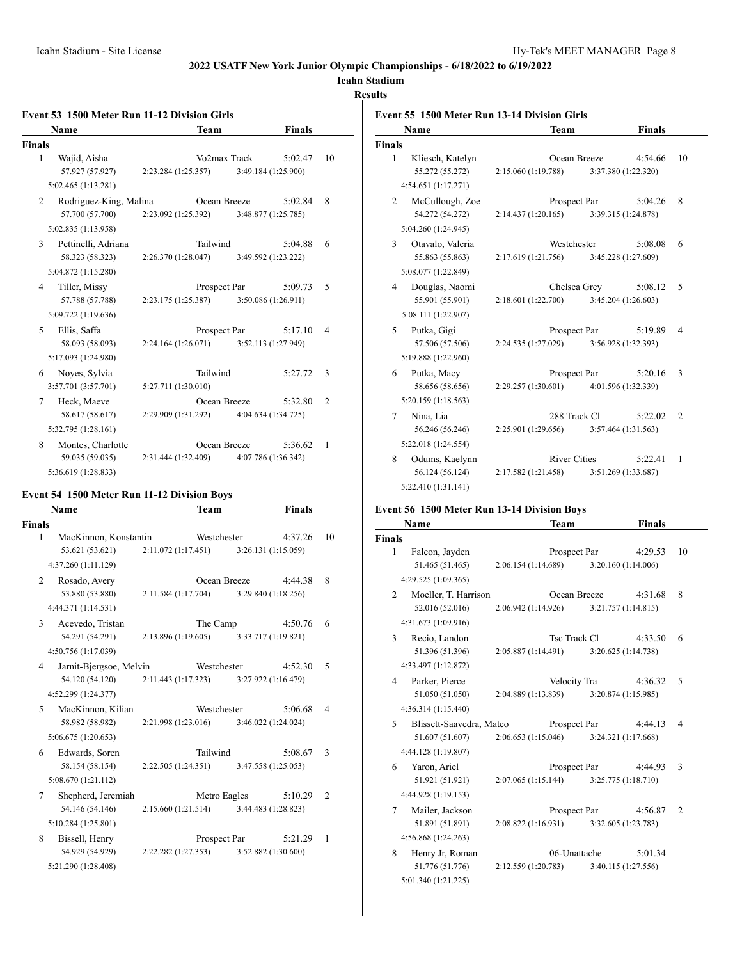# **Icahn Stadium**

# **Results**

|        | <b>Event 53 1500 Meter Run 11-12 Division Girls</b> |                     |              |                     |                |
|--------|-----------------------------------------------------|---------------------|--------------|---------------------|----------------|
|        | Name                                                | Team                |              | <b>Finals</b>       |                |
| Finals |                                                     |                     |              |                     |                |
| 1      | Wajid, Aisha                                        |                     | Vo2max Track | 5:02.47             | 10             |
|        | 57.927 (57.927)                                     | 2:23.284(1:25.357)  |              | 3:49.184 (1:25.900) |                |
|        | 5:02.465 (1:13.281)                                 |                     |              |                     |                |
| 2      | Rodriguez-King, Malina                              |                     | Ocean Breeze | 5:02.84             | 8              |
|        | 57.700 (57.700)                                     | 2:23.092 (1:25.392) |              | 3:48.877 (1:25.785) |                |
|        | 5:02.835 (1:13.958)                                 |                     |              |                     |                |
| 3      | Pettinelli, Adriana                                 | Tailwind            |              | 5:04.88             | 6              |
|        | 58.323 (58.323)                                     | 2:26.370(1:28.047)  |              | 3:49.592 (1:23.222) |                |
|        | 5:04.872 (1:15.280)                                 |                     |              |                     |                |
| 4      | Tiller, Missy                                       |                     | Prospect Par | 5:09.73             | 5              |
|        | 57.788 (57.788)                                     | 2:23.175 (1:25.387) |              | 3:50.086 (1:26.911) |                |
|        | 5:09.722 (1:19.636)                                 |                     |              |                     |                |
| 5      | Ellis, Saffa                                        |                     | Prospect Par | 5:17.10             | $\overline{4}$ |
|        | 58.093 (58.093)                                     | 2:24.164(1:26.071)  |              | 3:52.113 (1:27.949) |                |
|        | 5:17.093 (1:24.980)                                 |                     |              |                     |                |
| 6      | Noves, Sylvia                                       | Tailwind            |              | 5:27.72             | 3              |
|        | 3:57.701 (3:57.701)                                 | 5:27.711 (1:30.010) |              |                     |                |
| 7      | Heck, Maeve                                         |                     | Ocean Breeze | 5:32.80             | $\overline{c}$ |
|        | 58.617 (58.617)                                     | 2:29.909 (1:31.292) |              | 4:04.634 (1:34.725) |                |
|        | 5:32.795 (1:28.161)                                 |                     |              |                     |                |
| 8      | Montes, Charlotte                                   |                     | Ocean Breeze | 5:36.62             | 1              |
|        | 59.035 (59.035)                                     | 2:31.444 (1:32.409) |              | 4:07.786 (1:36.342) |                |
|        | 5:36.619 (1:28.833)                                 |                     |              |                     |                |
|        |                                                     |                     |              |                     |                |

# **Event 54 1500 Meter Run 11-12 Division Boys**

|               | Name                    |                     | Team         |                     | <b>Finals</b> |                |
|---------------|-------------------------|---------------------|--------------|---------------------|---------------|----------------|
| <b>Finals</b> |                         |                     |              |                     |               |                |
| 1             | MacKinnon, Konstantin   |                     | Westchester  |                     | 4:37.26       | 10             |
|               | 53.621 (53.621)         | 2:11.072(1:17.451)  |              | 3:26.131 (1:15.059) |               |                |
|               | 4:37.260 (1:11.129)     |                     |              |                     |               |                |
| 2             | Rosado, Avery           |                     | Ocean Breeze |                     | 4:44.38       | 8              |
|               | 53.880 (53.880)         | 2:11.584(1:17.704)  |              | 3:29.840 (1:18.256) |               |                |
|               | 4:44.371 (1:14.531)     |                     |              |                     |               |                |
| 3             | Acevedo, Tristan        |                     | The Camp     |                     | 4:50.76       | 6              |
|               | 54.291 (54.291)         | 2:13.896(1:19.605)  |              | 3:33.717 (1:19.821) |               |                |
|               | 4:50.756 (1:17.039)     |                     |              |                     |               |                |
| 4             | Jarnit-Bjergsoe, Melvin |                     | Westchester  |                     | 4:52.30       | 5              |
|               | 54.120 (54.120)         | 2:11.443 (1:17.323) |              | 3:27.922 (1:16.479) |               |                |
|               | 4:52.299 (1:24.377)     |                     |              |                     |               |                |
| 5             | MacKinnon, Kilian       |                     | Westchester  |                     | 5:06.68       | $\overline{4}$ |
|               | 58.982 (58.982)         | 2:21.998(1:23.016)  |              | 3:46.022 (1:24.024) |               |                |
|               | 5:06.675 (1:20.653)     |                     |              |                     |               |                |
| 6             | Edwards, Soren          |                     | Tailwind     |                     | 5:08.67       | 3              |
|               | 58.154 (58.154)         | 2:22.505(1:24.351)  |              | 3:47.558 (1:25.053) |               |                |
|               | 5:08.670 (1:21.112)     |                     |              |                     |               |                |
| 7             | Shepherd, Jeremiah      |                     | Metro Eagles |                     | 5:10.29       | $\mathfrak{D}$ |
|               | 54.146 (54.146)         | 2:15.660(1:21.514)  |              | 3:44.483 (1:28.823) |               |                |
|               | 5:10.284 (1:25.801)     |                     |              |                     |               |                |
| 8             | Bissell, Henry          |                     | Prospect Par |                     | 5:21.29       | 1              |
|               | 54.929 (54.929)         | 2:22.282 (1:27.353) |              | 3:52.882 (1:30.600) |               |                |
|               | 5:21.290 (1:28.408)     |                     |              |                     |               |                |

| <b>Event 55 1500 Meter Run 13-14 Division Girls</b> |                     |                     |               |                |
|-----------------------------------------------------|---------------------|---------------------|---------------|----------------|
| Name                                                | <b>Team</b>         |                     | <b>Finals</b> |                |
| <b>Finals</b>                                       |                     |                     |               |                |
| 1<br>Kliesch, Katelyn                               | Ocean Breeze        |                     | 4:54.66       | 10             |
| 55.272 (55.272)                                     | 2:15.060 (1:19.788) | 3:37.380 (1:22.320) |               |                |
| 4:54.651 (1:17.271)                                 |                     |                     |               |                |
| McCullough, Zoe<br>2                                | Prospect Par        |                     | 5:04.26       | 8              |
| 54.272 (54.272)                                     | 2:14.437(1:20.165)  | 3:39.315 (1:24.878) |               |                |
| 5:04.260 (1:24.945)                                 |                     |                     |               |                |
| 3<br>Otavalo, Valeria                               | Westchester         |                     | 5:08.08       | 6              |
| 55.863 (55.863)                                     | 2:17.619 (1:21.756) | 3:45.228 (1:27.609) |               |                |
| 5:08.077 (1:22.849)                                 |                     |                     |               |                |
| Douglas, Naomi<br>4                                 | Chelsea Grey        |                     | 5:08.12       | 5              |
| 55.901 (55.901)                                     | 2:18.601 (1:22.700) | 3:45.204 (1:26.603) |               |                |
| 5:08.111 (1:22.907)                                 |                     |                     |               |                |
| 5<br>Putka, Gigi                                    | Prospect Par        |                     | 5:19.89       | 4              |
| 57.506 (57.506)                                     | 2:24.535 (1:27.029) | 3:56.928 (1:32.393) |               |                |
| 5:19.888 (1:22.960)                                 |                     |                     |               |                |
| Putka, Macy<br>6                                    | Prospect Par        |                     | 5:20.16       | 3              |
| 58.656 (58.656)                                     | 2:29.257 (1:30.601) | 4:01.596 (1:32.339) |               |                |
| 5:20.159 (1:18.563)                                 |                     |                     |               |                |
| Nina, Lia<br>7                                      | 288 Track Cl        |                     | 5:22.02       | $\overline{2}$ |
| 56.246 (56.246)                                     | 2:25.901 (1:29.656) | 3:57.464 (1:31.563) |               |                |
| 5:22.018 (1:24.554)                                 |                     |                     |               |                |
| 8<br>Odums, Kaelynn                                 | <b>River Cities</b> |                     | 5:22.41       | 1              |
| 56.124 (56.124)                                     | 2:17.582 (1:21.458) | 3:51.269 (1:33.687) |               |                |
| 5:22.410 (1:31.141)                                 |                     |                     |               |                |

# **Event 56 1500 Meter Run 13-14 Division Boys**

| Name                                   | Team                | <b>Finals</b>       |                |
|----------------------------------------|---------------------|---------------------|----------------|
| <b>Finals</b>                          |                     |                     |                |
| 1<br>Falcon, Jayden                    | Prospect Par        | 4:29.53             | 10             |
| 51.465 (51.465)                        | 2:06.154 (1:14.689) | 3:20.160 (1:14.006) |                |
| 4:29.525 (1:09.365)                    |                     |                     |                |
| Moeller, T. Harrison<br>$\mathfrak{D}$ | Ocean Breeze        | 4:31.68             | 8              |
| 52.016 (52.016)                        | 2:06.942(1:14.926)  | 3:21.757 (1:14.815) |                |
| 4:31.673 (1:09.916)                    |                     |                     |                |
| 3<br>Recio, Landon                     | Tsc Track Cl        | 4:33.50             | 6              |
| 51.396 (51.396)                        | 2:05.887 (1:14.491) | 3:20.625 (1:14.738) |                |
| 4:33.497 (1:12.872)                    |                     |                     |                |
| Parker, Pierce<br>$\overline{4}$       | Velocity Tra        | 4:36.32             | 5              |
| 51.050 (51.050)                        | 2:04.889(1:13.839)  | 3:20.874 (1:15.985) |                |
| 4:36.314 (1:15.440)                    |                     |                     |                |
| Blissett-Saavedra, Mateo<br>5          | Prospect Par        | 4:44.13             | 4              |
| 51.607 (51.607)                        | 2:06.653(1:15.046)  | 3:24.321 (1:17.668) |                |
| 4:44.128 (1:19.807)                    |                     |                     |                |
| 6<br>Yaron, Ariel                      | Prospect Par        | 4:44.93             | 3              |
| 51.921 (51.921)                        | 2:07.065(1:15.144)  | 3:25.775 (1:18.710) |                |
| 4:44.928 (1:19.153)                    |                     |                     |                |
| Mailer, Jackson<br>7                   | Prospect Par        | 4:56.87             | $\overline{c}$ |
| 51.891 (51.891)                        | 2:08.822(1:16.931)  | 3:32.605 (1:23.783) |                |
| 4:56.868 (1:24.263)                    |                     |                     |                |
| Henry Jr, Roman<br>8                   | 06-Unattache        | 5:01.34             |                |
| 51.776 (51.776)                        | 2:12.559 (1:20.783) | 3:40.115 (1:27.556) |                |
| 5:01.340 (1:21.225)                    |                     |                     |                |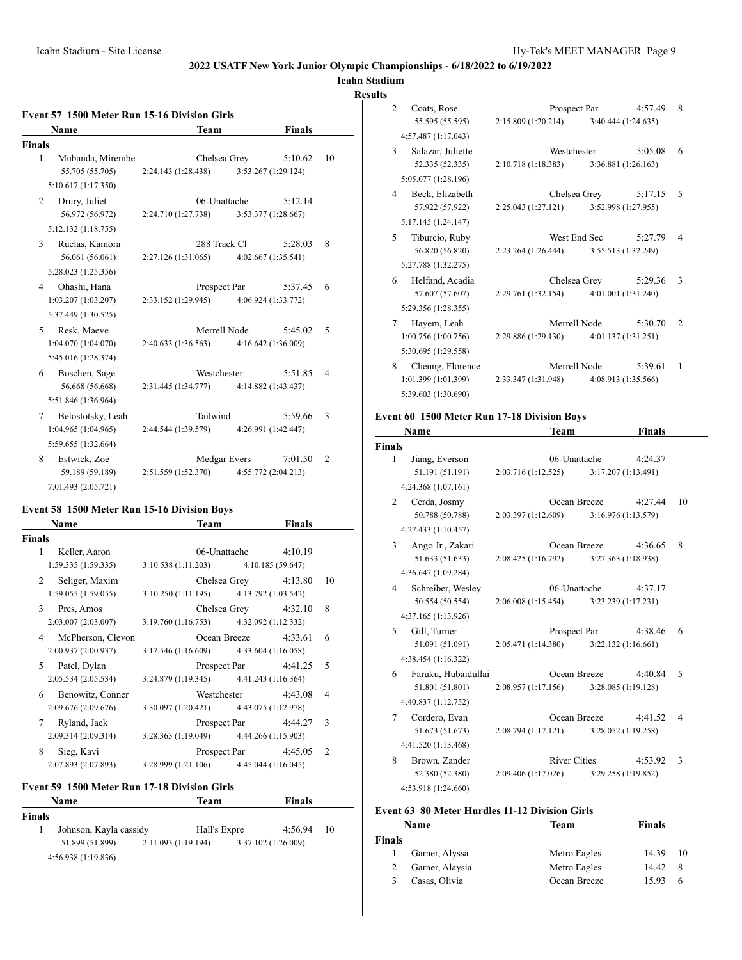# **Icahn Stadium**

#### **Results**

|        | <b>Event 57 1500 Meter Run 15-16 Division Girls</b> |                     |              |                     |               |                |
|--------|-----------------------------------------------------|---------------------|--------------|---------------------|---------------|----------------|
|        | <b>Name</b>                                         |                     | <b>Team</b>  |                     | <b>Finals</b> |                |
| Finals |                                                     |                     |              |                     |               |                |
| 1      | Mubanda, Mirembe                                    |                     | Chelsea Grey |                     | 5:10.62       | 10             |
|        | 55.705 (55.705)                                     | 2:24.143 (1:28.438) |              | 3:53.267 (1:29.124) |               |                |
|        | 5:10.617 (1:17.350)                                 |                     |              |                     |               |                |
| 2      | Drury, Juliet                                       |                     | 06-Unattache |                     | 5:12.14       |                |
|        | 56.972 (56.972)                                     | 2:24.710 (1:27.738) |              | 3:53.377 (1:28.667) |               |                |
|        | 5:12.132(1:18.755)                                  |                     |              |                     |               |                |
| 3      | Ruelas, Kamora                                      |                     | 288 Track Cl |                     | 5:28.03       | 8              |
|        | 56.061 (56.061)                                     | 2:27.126 (1:31.065) |              | 4:02.667 (1:35.541) |               |                |
|        | 5:28.023 (1:25.356)                                 |                     |              |                     |               |                |
| 4      | Ohashi, Hana                                        |                     | Prospect Par |                     | 5:37.45       | 6              |
|        | 1:03.207(1:03.207)                                  | 2:33.152 (1:29.945) |              | 4:06.924 (1:33.772) |               |                |
|        | 5:37.449 (1:30.525)                                 |                     |              |                     |               |                |
| 5      | Resk, Maeve                                         |                     | Merrell Node |                     | 5:45.02       | 5              |
|        | 1:04.070 (1:04.070)                                 | 2:40.633(1:36.563)  |              | 4:16.642 (1:36.009) |               |                |
|        | 5:45.016 (1:28.374)                                 |                     |              |                     |               |                |
| 6      | Boschen, Sage                                       |                     | Westchester  |                     | 5:51.85       | $\overline{4}$ |
|        | 56.668 (56.668)                                     | 2:31.445 (1:34.777) |              | 4:14.882 (1:43.437) |               |                |
|        | 5:51.846 (1:36.964)                                 |                     |              |                     |               |                |
| 7      | Belostotsky, Leah                                   |                     | Tailwind     |                     | 5:59.66       | 3              |
|        | 1:04.965(1:04.965)                                  | 2:44.544 (1:39.579) |              | 4:26.991 (1:42.447) |               |                |
|        | 5:59.655 (1:32.664)                                 |                     |              |                     |               |                |
| 8      | Estwick, Zoe                                        |                     | Medgar Evers |                     | 7:01.50       | 2              |
|        | 59.189 (59.189)                                     | 2:51.559 (1:52.370) |              | 4:55.772 (2:04.213) |               |                |
|        | 7:01.493 (2:05.721)                                 |                     |              |                     |               |                |

# **Event 58 1500 Meter Run 15-16 Division Boys**

|               | <b>Name</b>                    | Team                                                           |                           | <b>Finals</b> |                          |
|---------------|--------------------------------|----------------------------------------------------------------|---------------------------|---------------|--------------------------|
| <b>Finals</b> |                                |                                                                |                           |               |                          |
| 1             | Keller, Aaron                  |                                                                | $06$ -Unattache $4:10.19$ |               |                          |
|               | 1:59.335(1:59.335)             | $3:10.538(1:11.203)$ $4:10.185(59.647)$                        |                           |               |                          |
|               | Seliger, Maxim<br>$\mathbf{2}$ |                                                                | Chelsea Grey 4:13.80      |               | 10                       |
|               | 1:59.055(1:59.055)             | $3:10.250(1:11.195)$ $4:13.792(1:03.542)$                      |                           |               |                          |
| 3             | Pres, Amos                     |                                                                | Chelsea Grey 4:32.10      |               | 8                        |
|               | 2:03.007(2:03.007)             | $3:19.760(1:16.753)$ $4:32.092(1:12.332)$                      |                           |               |                          |
| 4             | McPherson, Clevon              |                                                                | Ocean Breeze 4:33.61      |               | 6                        |
|               | 2:00.937(2:00.937)             | $3:17.546(1:16.609)$ $4:33.604(1:16.058)$                      |                           |               |                          |
| 5             | Patel, Dylan                   |                                                                | Prospect Par 4:41.25      |               | $\overline{\phantom{0}}$ |
|               | 2:05.534(2:05.534)             | $3:24.879(1:19.345)$ $4:41.243(1:16.364)$                      |                           |               |                          |
| 6             | Benowitz, Conner               |                                                                | Westchester 4:43.08       |               | $\overline{4}$           |
|               | 2:09.676(2:09.676)             | $3:30.097(1:20.421)$ $4:43.075(1:12.978)$                      |                           |               |                          |
| 7             | Ryland, Jack                   |                                                                | Prospect Par 4:44.27      |               | $\mathcal{R}$            |
|               | 2:09.314(2:09.314)             | $3:28.363(1:19.049)$ $4:44.266(1:15.903)$                      |                           |               |                          |
| 8             | Sieg, Kavi                     |                                                                | Prospect Par 4:45.05      |               | $\overline{2}$           |
|               |                                | $2:07.893(2:07.893)$ $3:28.999(1:21.106)$ $4:45.044(1:16.045)$ |                           |               |                          |
|               |                                |                                                                |                           |               |                          |

# **Event 59 1500 Meter Run 17-18 Division Girls**

|               | Name                   | Team                | Finals              |    |
|---------------|------------------------|---------------------|---------------------|----|
| <b>Finals</b> |                        |                     |                     |    |
|               | Johnson, Kayla cassidy | Hall's Expre        | 4:56.94             | 10 |
|               | 51.899 (51.899)        | 2:11.093 (1:19.194) | 3:37.102 (1:26.009) |    |
|               | 4:56.938 (1:19.836)    |                     |                     |    |

| $\overline{c}$<br>Coats, Rose |                     | Prospect Par                            |              | 4:57.49                | 8       |                |
|-------------------------------|---------------------|-----------------------------------------|--------------|------------------------|---------|----------------|
|                               | 55.595 (55.595)     | 2:15.809 (1:20.214) 3:40.444 (1:24.635) |              |                        |         |                |
|                               | 4:57.487 (1:17.043) |                                         |              |                        |         |                |
| 3                             | Salazar, Juliette   |                                         |              | Westchester            | 5:05.08 | 6              |
|                               | 52.335 (52.335)     | 2:10.718 (1:18.383) 3:36.881 (1:26.163) |              |                        |         |                |
|                               | 5:05.077 (1:28.196) |                                         |              |                        |         |                |
| 4                             | Beck, Elizabeth     |                                         | Chelsea Grey |                        | 5:17.15 | 5              |
|                               | 57.922 (57.922)     | 2:25.043 (1:27.121) 3:52.998 (1:27.955) |              |                        |         |                |
|                               | 5:17.145 (1:24.147) |                                         |              |                        |         |                |
| 5                             | Tiburcio, Ruby      |                                         |              | West End Sec $5:27.79$ |         | $\overline{4}$ |
|                               | 56.820 (56.820)     | 2:23.264 (1:26.444) 3:55.513 (1:32.249) |              |                        |         |                |
|                               | 5:27.788 (1:32.275) |                                         |              |                        |         |                |
| 6                             | Helfand, Acadia     |                                         | Chelsea Grey |                        | 5:29.36 | 3              |
|                               | 57.607 (57.607)     | 2:29.761 (1:32.154) 4:01.001 (1:31.240) |              |                        |         |                |
|                               | 5:29.356 (1:28.355) |                                         |              |                        |         |                |
| 7                             | Hayem, Leah         |                                         |              | Merrell Node           | 5:30.70 | $\mathfrak{D}$ |
|                               | 1:00.756(1:00.756)  | 2:29.886 (1:29.130) 4:01.137 (1:31.251) |              |                        |         |                |
|                               | 5:30.695 (1:29.558) |                                         |              |                        |         |                |
| 8                             | Cheung, Florence    |                                         |              | Merrell Node           | 5:39.61 | 1              |
|                               | 1:01.399(1:01.399)  | 2:33.347 (1:31.948) 4:08.913 (1:35.566) |              |                        |         |                |
|                               | 5:39.603 (1:30.690) |                                         |              |                        |         |                |

# **Event 60 1500 Meter Run 17-18 Division Boys**

|               | Name                |                     | Team                |                     | <b>Finals</b> |                          |
|---------------|---------------------|---------------------|---------------------|---------------------|---------------|--------------------------|
| <b>Finals</b> |                     |                     |                     |                     |               |                          |
| 1             | Jiang, Everson      |                     | 06-Unattache        |                     | 4:24.37       |                          |
|               | 51.191 (51.191)     | 2:03.716(1:12.525)  |                     | 3:17.207 (1:13.491) |               |                          |
|               | 4:24.368 (1:07.161) |                     |                     |                     |               |                          |
| 2             | Cerda, Josmy        |                     | Ocean Breeze        |                     | 4:27.44       | 10                       |
|               | 50.788 (50.788)     | 2:03.397 (1:12.609) |                     | 3:16.976 (1:13.579) |               |                          |
|               | 4:27.433 (1:10.457) |                     |                     |                     |               |                          |
| 3             | Ango Jr., Zakari    |                     | Ocean Breeze        |                     | 4:36.65       | 8                        |
|               | 51.633 (51.633)     | 2:08.425(1:16.792)  |                     | 3:27.363 (1:18.938) |               |                          |
|               | 4:36.647 (1:09.284) |                     |                     |                     |               |                          |
| 4             | Schreiber, Wesley   |                     | 06-Unattache        |                     | 4:37.17       |                          |
|               | 50.554 (50.554)     | 2:06.008(1:15.454)  |                     | 3:23.239 (1:17.231) |               |                          |
|               | 4:37.165 (1:13.926) |                     |                     |                     |               |                          |
| 5             | Gill, Turner        |                     | Prospect Par        |                     | 4:38.46       | 6                        |
|               | 51.091 (51.091)     | 2:05.471 (1:14.380) |                     | 3:22.132 (1:16.661) |               |                          |
|               | 4:38.454 (1:16.322) |                     |                     |                     |               |                          |
| 6             | Faruku, Hubaidullai |                     | Ocean Breeze        |                     | 4:40.84       | 5                        |
|               | 51.801 (51.801)     | 2:08.957(1:17.156)  |                     | 3:28.085 (1:19.128) |               |                          |
|               | 4:40.837 (1:12.752) |                     |                     |                     |               |                          |
| 7             | Cordero, Evan       |                     | Ocean Breeze        |                     | 4:41.52       | $\overline{\mathcal{A}}$ |
|               | 51.673 (51.673)     | 2:08.794(1:17.121)  |                     | 3:28.052 (1:19.258) |               |                          |
|               | 4:41.520 (1:13.468) |                     |                     |                     |               |                          |
| 8             | Brown, Zander       |                     | <b>River Cities</b> |                     | 4:53.92       | 3                        |
|               | 52.380 (52.380)     | 2:09.406 (1:17.026) |                     | 3:29.258 (1:19.852) |               |                          |
|               | 4:53.918 (1:24.660) |                     |                     |                     |               |                          |

# **Event 63 80 Meter Hurdles 11-12 Division Girls**

| Name          |                 | Team         | Finals |     |
|---------------|-----------------|--------------|--------|-----|
| <b>Finals</b> |                 |              |        |     |
|               | Garner, Alyssa  | Metro Eagles | 14.39  | -10 |
|               | Garner, Alaysia | Metro Eagles | 14.42  | 8   |
| $\mathbf{3}$  | Casas, Olivia   | Ocean Breeze | 15.93  | 6   |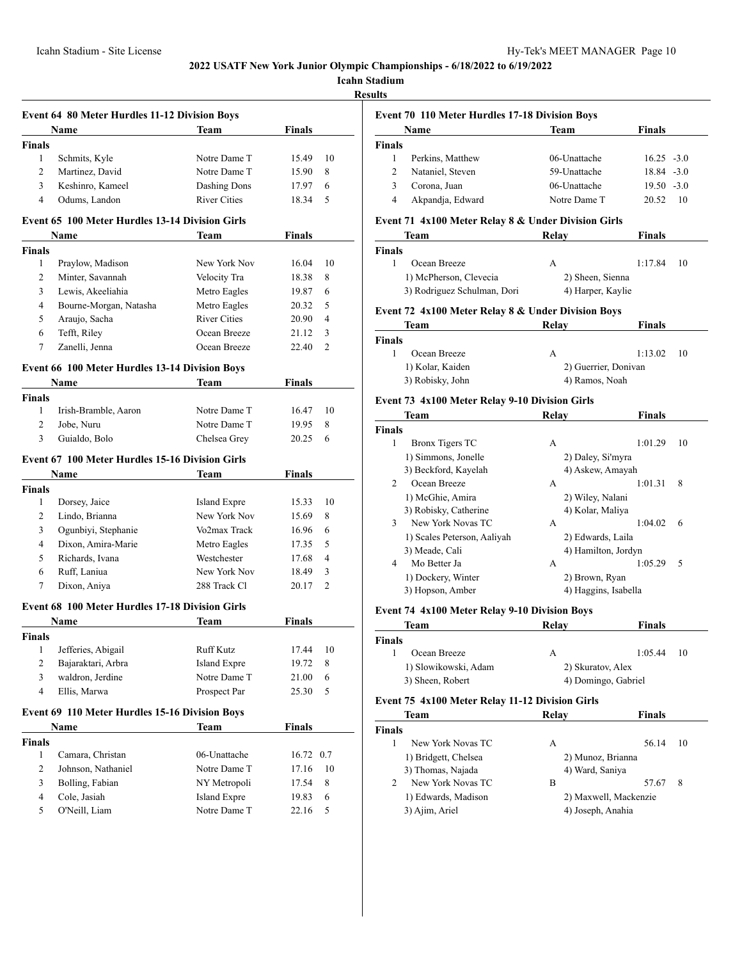**Icahn Stadium**

**Results**

| <b>Event 64 80 Meter Hurdles 11-12 Division Boys</b> |                                                        |                     |               |                |  |  |
|------------------------------------------------------|--------------------------------------------------------|---------------------|---------------|----------------|--|--|
|                                                      | Name                                                   | Team                | Finals        |                |  |  |
| <b>Finals</b>                                        |                                                        |                     |               |                |  |  |
| 1                                                    | Schmits, Kyle                                          | Notre Dame T        | 15.49         | 10             |  |  |
| 2                                                    | Martinez, David                                        | Notre Dame T        | 15.90         | 8              |  |  |
| 3                                                    | Keshinro, Kameel                                       | Dashing Dons        | 17.97         | 6              |  |  |
| 4                                                    | Odums, Landon                                          | <b>River Cities</b> | 18.34         | 5              |  |  |
|                                                      | <b>Event 65 100 Meter Hurdles 13-14 Division Girls</b> |                     |               |                |  |  |
|                                                      | Name                                                   | Team                | Finals        |                |  |  |
| <b>Finals</b>                                        |                                                        |                     |               |                |  |  |
| 1                                                    | Praylow, Madison                                       | New York Nov        | 16.04         | 10             |  |  |
| 2                                                    | Minter, Savannah                                       | Velocity Tra        | 18.38         | 8              |  |  |
| 3                                                    | Lewis, Akeeliahia                                      | Metro Eagles        | 19.87         | 6              |  |  |
| 4                                                    | Bourne-Morgan, Natasha                                 |                     |               | 5              |  |  |
|                                                      |                                                        | Metro Eagles        | 20.32         | $\overline{4}$ |  |  |
| 5                                                    | Araujo, Sacha                                          | <b>River Cities</b> | 20.90         |                |  |  |
| 6                                                    | Tefft, Riley                                           | Ocean Breeze        | 21.12         | 3              |  |  |
| 7                                                    | Zanelli, Jenna                                         | Ocean Breeze        | 22.40         | $\overline{2}$ |  |  |
|                                                      | Event 66 100 Meter Hurdles 13-14 Division Boys         |                     |               |                |  |  |
|                                                      | <b>Name</b>                                            | Team                | Finals        |                |  |  |
| <b>Finals</b>                                        |                                                        |                     |               |                |  |  |
| 1                                                    | Irish-Bramble, Aaron                                   | Notre Dame T        | 16.47         | 10             |  |  |
| 2                                                    | Jobe, Nuru                                             | Notre Dame T        | 19.95         | 8              |  |  |
| 3                                                    | Guialdo, Bolo                                          | Chelsea Grey        | 20.25         | 6              |  |  |
|                                                      | <b>Event 67 100 Meter Hurdles 15-16 Division Girls</b> |                     |               |                |  |  |
|                                                      | Name                                                   | Team                | Finals        |                |  |  |
| <b>Finals</b>                                        |                                                        |                     |               |                |  |  |
| 1                                                    | Dorsey, Jaice                                          | <b>Island Expre</b> | 15.33         | 10             |  |  |
| 2                                                    | Lindo, Brianna                                         | New York Nov        | 15.69         | 8              |  |  |
|                                                      | Ogunbiyi, Stephanie                                    | Vo2max Track        |               |                |  |  |
| 3                                                    |                                                        |                     | 16.96         | 6              |  |  |
| 4                                                    | Dixon, Amira-Marie                                     | Metro Eagles        | 17.35         | 5              |  |  |
| 5                                                    | Richards, Ivana                                        | Westchester         | 17.68         | 4              |  |  |
| 6                                                    | Ruff, Laniua                                           | New York Nov        | 18.49         | 3              |  |  |
| 7                                                    | Dixon, Aniya                                           | 288 Track Cl        | 20.17         | 2              |  |  |
|                                                      | <b>Event 68 100 Meter Hurdles 17-18 Division Girls</b> |                     |               |                |  |  |
|                                                      | Name                                                   | Team                | Finals        |                |  |  |
| Finals                                               |                                                        |                     |               |                |  |  |
| $\mathbf{1}$                                         | Jefferies, Abigail                                     | Ruff Kutz           | 17.44         | 10             |  |  |
| 2                                                    | Bajaraktari, Arbra                                     | <b>Island Expre</b> | 19.72         | 8              |  |  |
| 3                                                    | waldron, Jerdine                                       | Notre Dame T        | 21.00         | 6              |  |  |
| $\overline{4}$                                       | Ellis, Marwa                                           | Prospect Par        | 25.30         | 5              |  |  |
|                                                      |                                                        |                     |               |                |  |  |
|                                                      | Event 69 110 Meter Hurdles 15-16 Division Boys         |                     |               |                |  |  |
|                                                      | Name                                                   | <b>Team</b>         | <b>Finals</b> |                |  |  |
| <b>Finals</b>                                        |                                                        |                     |               |                |  |  |
| 1                                                    | Camara, Christan                                       | 06-Unattache        | 16.72         | 0.7            |  |  |
| 2                                                    | Johnson, Nathaniel                                     | Notre Dame T        | 17.16         | 10             |  |  |
| 3                                                    | Bolling, Fabian                                        | NY Metropoli        | 17.54         | 8              |  |  |
| 4                                                    | Cole, Jasiah                                           | Island Expre        | 19.83         | 6              |  |  |
| 5                                                    | O'Neill, Liam                                          | Notre Dame T        | 22.16         | 5              |  |  |
|                                                      |                                                        |                     |               |                |  |  |

# **Event 70 110 Meter Hurdles 17-18 Division Boys**

| <b>Name</b> |                  | Team         | Finals        |
|-------------|------------------|--------------|---------------|
| Finals      |                  |              |               |
|             | Perkins, Matthew | 06-Unattache | $16.25 - 3.0$ |
|             | Nataniel, Steven | 59-Unattache | $18.84 - 3.0$ |
|             | Corona, Juan     | 06-Unattache | $19.50 - 3.0$ |
| 4           | Akpandja, Edward | Notre Dame T | 20.52<br>10   |

# **Event 71 4x100 Meter Relay 8 & Under Division Girls**

| Team                        | Relav             | Finals  |     |  |
|-----------------------------|-------------------|---------|-----|--|
| Finals                      |                   |         |     |  |
| Ocean Breeze                | А                 | 1:17.84 | -10 |  |
| 1) McPherson, Clevecia      | 2) Sheen, Sienna  |         |     |  |
| 3) Rodriguez Schulman, Dori | 4) Harper, Kaylie |         |     |  |

#### **Event 72 4x100 Meter Relay 8 & Under Division Boys**

| Team             | Relay                | <b>Finals</b>  |
|------------------|----------------------|----------------|
| Finals           |                      |                |
| Ocean Breeze     | А                    | 1:13.02<br>-10 |
| 1) Kolar, Kaiden | 2) Guerrier, Donivan |                |
| 3) Robisky, John | 4) Ramos, Noah       |                |

# **Event 73 4x100 Meter Relay 9-10 Division Girls**

| Team          |                             | Relay             | <b>Finals</b>        |  |
|---------------|-----------------------------|-------------------|----------------------|--|
| <b>Finals</b> |                             |                   |                      |  |
| 1             | <b>Bronx Tigers TC</b>      | A                 | 1:01.29<br>10        |  |
|               | 1) Simmons, Jonelle         | 2) Daley, Si'myra |                      |  |
|               | 3) Beckford, Kayelah        | 4) Askew, Amayah  |                      |  |
| 2             | Ocean Breeze                | А                 | 1:01.31<br>8         |  |
|               | 1) McGhie, Amira            | 2) Wiley, Nalani  |                      |  |
|               | 3) Robisky, Catherine       | 4) Kolar, Maliya  |                      |  |
| 3             | New York Novas TC           | A                 | 1:04.02<br>6         |  |
|               | 1) Scales Peterson, Aaliyah | 2) Edwards, Laila |                      |  |
|               | 3) Meade, Cali              |                   | 4) Hamilton, Jordyn  |  |
| 4             | Mo Better Ja                | А                 | 1:05.29<br>5         |  |
|               | 1) Dockery, Winter          | 2) Brown, Ryan    |                      |  |
|               | 3) Hopson, Amber            |                   | 4) Haggins, Isabella |  |

#### **Event 74 4x100 Meter Relay 9-10 Division Boys**

| Team                 | Relay             | <b>Finals</b>       |
|----------------------|-------------------|---------------------|
| Finals               |                   |                     |
| Ocean Breeze         | А                 | 1:05.44<br>-10      |
| 1) Slowikowski, Adam | 2) Skuratov, Alex |                     |
| 3) Sheen, Robert     |                   | 4) Domingo, Gabriel |
|                      |                   |                     |

# **Event 75 4x100 Meter Relay 11-12 Division Girls**

| Team                               | Relav             | <b>Finals</b>         |
|------------------------------------|-------------------|-----------------------|
| Finals                             |                   |                       |
| New York Novas TC                  | А                 | 56.14<br>10           |
| 1) Bridgett, Chelsea               | 2) Munoz, Brianna |                       |
| 3) Thomas, Najada                  | 4) Ward, Saniya   |                       |
| New York Novas TC<br>$\mathcal{P}$ | в                 | 57.67<br>8            |
| 1) Edwards, Madison                |                   | 2) Maxwell, Mackenzie |
| 3) Ajim, Ariel                     | 4) Joseph, Anahia |                       |
|                                    |                   |                       |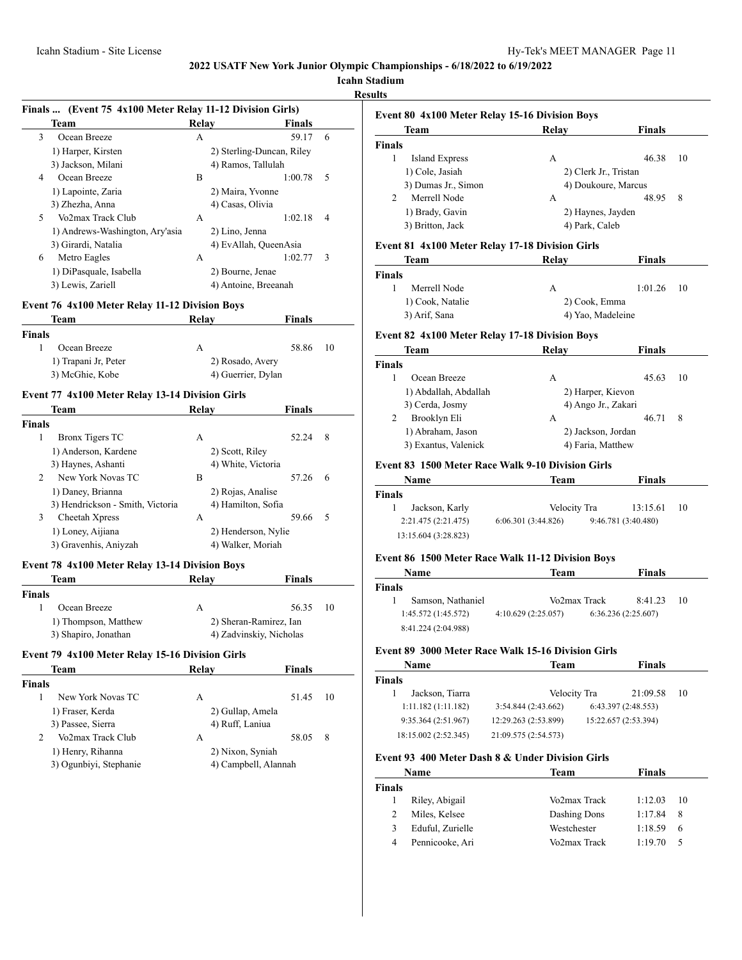# **Icahn Stadium**

**Results**

|               | Finals  (Event 75 4x100 Meter Relay 11-12 Division Girls)     |              |                             |    |
|---------------|---------------------------------------------------------------|--------------|-----------------------------|----|
|               | Team                                                          | Relay        | <b>Finals</b>               |    |
| 3             | Ocean Breeze                                                  | A            | 59.17                       | 6  |
|               | 1) Harper, Kirsten                                            |              | 2) Sterling-Duncan, Riley   |    |
|               | 3) Jackson, Milani                                            |              | 4) Ramos, Tallulah          |    |
| 4             | Ocean Breeze                                                  | B            | 1:00.78                     | 5  |
|               | 1) Lapointe, Zaria                                            |              | 2) Maira, Yvonne            |    |
|               | 3) Zhezha, Anna                                               |              | 4) Casas, Olivia            |    |
| 5.            | Vo2max Track Club                                             | A            | 1:02.18                     | 4  |
|               | 1) Andrews-Washington, Ary'asia                               |              | 2) Lino, Jenna              |    |
|               | 3) Girardi, Natalia                                           |              | 4) EvAllah, QueenAsia       |    |
| 6             | Metro Eagles                                                  | A            | 1:02.77                     | 3  |
|               | 1) DiPasquale, Isabella                                       |              | 2) Bourne, Jenae            |    |
|               | 3) Lewis, Zariell                                             |              | 4) Antoine, Breeanah        |    |
|               |                                                               |              |                             |    |
|               | <b>Event 76 4x100 Meter Relay 11-12 Division Boys</b><br>Team | <b>Relay</b> | <b>Finals</b>               |    |
|               |                                                               |              |                             |    |
| <b>Finals</b> |                                                               |              |                             |    |
| 1             | Ocean Breeze                                                  | A            | 58.86                       | 10 |
|               | 1) Trapani Jr, Peter                                          |              | 2) Rosado, Avery            |    |
|               | 3) McGhie, Kobe                                               |              | 4) Guerrier, Dylan          |    |
|               | Event 77 4x100 Meter Relay 13-14 Division Girls               |              |                             |    |
|               | Team                                                          | Relay        | <b>Finals</b>               |    |
|               |                                                               |              |                             |    |
|               |                                                               |              |                             |    |
| 1             | <b>Bronx Tigers TC</b>                                        | А            | 52.24                       | 8  |
|               |                                                               |              |                             |    |
|               | 1) Anderson, Kardene                                          |              | 2) Scott, Riley             |    |
| 2             | 3) Haynes, Ashanti<br>New York Novas TC                       | В            | 4) White, Victoria<br>57.26 | 6  |
|               |                                                               |              |                             |    |
|               | 1) Daney, Brianna                                             |              | 2) Rojas, Analise           |    |
|               | 3) Hendrickson - Smith, Victoria                              |              | 4) Hamilton, Sofia<br>59.66 |    |
| 3             | Cheetah Xpress                                                | А            |                             | 5  |
|               | 1) Loney, Aijiana                                             |              | 2) Henderson, Nylie         |    |
| <b>Finals</b> | 3) Gravenhis, Aniyzah                                         |              | 4) Walker, Moriah           |    |

# **Event 78 4x100 Meter Relay 13-14 Division Boys**

| Team                 | Relay | <b>Finals</b>           |
|----------------------|-------|-------------------------|
| <b>Finals</b>        |       |                         |
| Ocean Breeze         | А     | 56.35<br>-10            |
| 1) Thompson, Matthew |       | 2) Sheran-Ramirez, Ian  |
| 3) Shapiro, Jonathan |       | 4) Zadvinskiy, Nicholas |

# **Event 79 4x100 Meter Relay 15-16 Division Girls**

|               | Team                   | Relav                | <b>Finals</b> |    |
|---------------|------------------------|----------------------|---------------|----|
| <b>Finals</b> |                        |                      |               |    |
|               | New York Novas TC      | А                    | 51.45         | 10 |
|               | 1) Fraser, Kerda       | 2) Gullap, Amela     |               |    |
|               | 3) Passee, Sierra      | 4) Ruff, Laniua      |               |    |
| 2             | Vo2max Track Club      | А                    | 58.05         | 8  |
|               | 1) Henry, Rihanna      | 2) Nixon, Syniah     |               |    |
|               | 3) Ogunbiyi, Stephanie | 4) Campbell, Alannah |               |    |
|               |                        |                      |               |    |

| <b>Event 80 4x100 Meter Relay 15-16 Division Boys</b> |       |                                                              |  |  |  |
|-------------------------------------------------------|-------|--------------------------------------------------------------|--|--|--|
| <b>Team</b>                                           | Relav | <b>Finals</b>                                                |  |  |  |
| <b>Finals</b>                                         |       |                                                              |  |  |  |
| Island Express                                        | А     | 46.38<br>10                                                  |  |  |  |
| 1) Cole, Jasiah                                       |       |                                                              |  |  |  |
| 3) Dumas Jr., Simon                                   |       | 4) Doukoure, Marcus                                          |  |  |  |
| Merrell Node                                          | А     | 48.95<br>8                                                   |  |  |  |
| 1) Brady, Gavin                                       |       |                                                              |  |  |  |
| 3) Britton, Jack                                      |       |                                                              |  |  |  |
|                                                       |       | 2) Clerk Jr., Tristan<br>2) Haynes, Jayden<br>4) Park, Caleb |  |  |  |

#### **Event 81 4x100 Meter Relay 17-18 Division Girls**

| Team             | Relav             | Finals       |
|------------------|-------------------|--------------|
| Finals           |                   |              |
| Merrell Node     | А                 | $1:01.26$ 10 |
| 1) Cook, Natalie | 2) Cook, Emma     |              |
| 3) Arif, Sana    | 4) Yao, Madeleine |              |

### **Event 82 4x100 Meter Relay 17-18 Division Boys**

|               | Team                  | Relay               | <b>Finals</b> |    |
|---------------|-----------------------|---------------------|---------------|----|
| <b>Finals</b> |                       |                     |               |    |
|               | Ocean Breeze          | A                   | 45.63         | 10 |
|               | 1) Abdallah, Abdallah | 2) Harper, Kievon   |               |    |
|               | 3) Cerda, Josmy       | 4) Ango Jr., Zakari |               |    |
| 2             | Brooklyn Eli          | А                   | 46.71         | 8  |
|               | 1) Abraham, Jason     | 2) Jackson, Jordan  |               |    |
|               | 3) Exantus, Valenick  | 4) Faria, Matthew   |               |    |

# **Event 83 1500 Meter Race Walk 9-10 Division Girls**

| Name                 | Team               | <b>Finals</b>       |    |  |
|----------------------|--------------------|---------------------|----|--|
| Finals               |                    |                     |    |  |
| Jackson, Karly       | Velocity Tra       | 13:15.61            | 10 |  |
| 2:21.475 (2:21.475)  | 6:06.301(3:44.826) | 9:46.781 (3:40.480) |    |  |
| 13:15.604 (3:28.823) |                    |                     |    |  |

# **Event 86 1500 Meter Race Walk 11-12 Division Boys**

|               | <b>Name</b>         | Team               |              | <b>Finals</b>      |     |  |
|---------------|---------------------|--------------------|--------------|--------------------|-----|--|
| <b>Finals</b> |                     |                    |              |                    |     |  |
|               | Samson, Nathaniel   |                    | Vo2max Track | 8:41.23            | -10 |  |
|               | 1:45.572 (1:45.572) | 4:10.629(2:25.057) |              | 6:36.236(2:25.607) |     |  |
|               | 8:41.224 (2:04.988) |                    |              |                    |     |  |

#### **Event 89 3000 Meter Race Walk 15-16 Division Girls**

| <b>Name</b>          | Team                 | <b>Finals</b>        |    |  |
|----------------------|----------------------|----------------------|----|--|
| <b>Finals</b>        |                      |                      |    |  |
| Jackson, Tiarra      | Velocity Tra         | 21:09.58             | 10 |  |
| 1:11.182(1:11.182)   | 3:54.844(2:43.662)   | 6:43.397(2:48.553)   |    |  |
| 9:35.364(2:51.967)   | 12:29.263 (2:53.899) | 15:22.657 (2:53.394) |    |  |
| 18:15.002 (2:52.345) | 21:09.575 (2:54.573) |                      |    |  |

#### **Event 93 400 Meter Dash 8 & Under Division Girls**

| Name   |                  | Team         | <b>Finals</b> |    |
|--------|------------------|--------------|---------------|----|
| Finals |                  |              |               |    |
|        | Riley, Abigail   | Vo2max Track | 1:12.03       | 10 |
|        | Miles, Kelsee    | Dashing Dons | 1:17.84       | -8 |
| 3      | Eduful, Zurielle | Westchester  | 1:18.59       | 6  |
| 4      | Pennicooke, Ari  | Vo2max Track | 1:19.70       |    |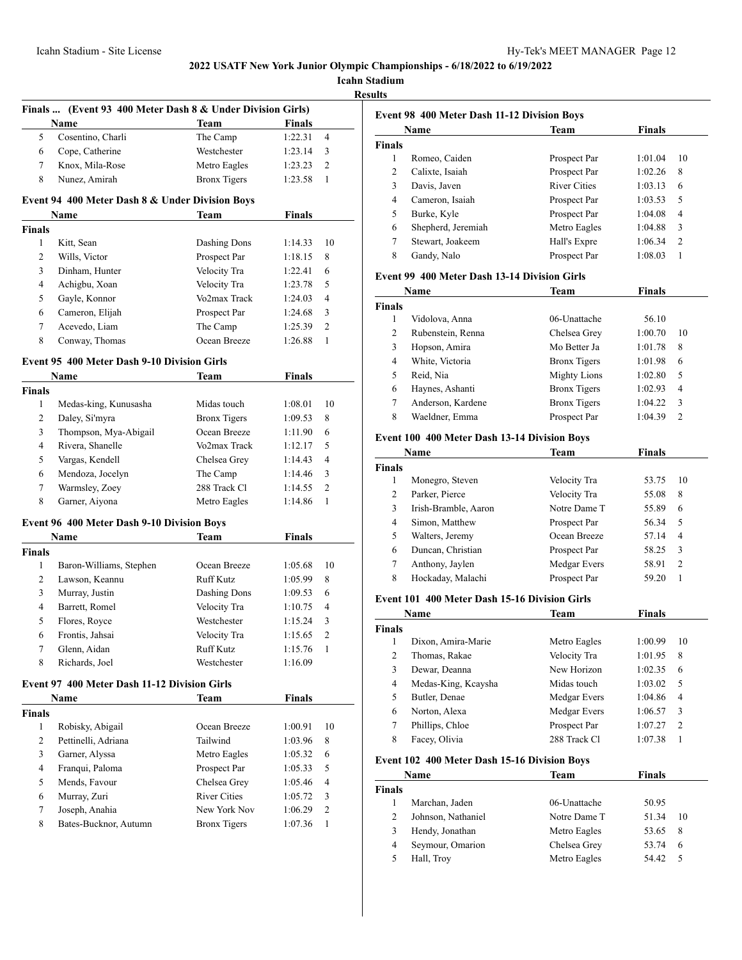**Icahn Stadium**

**Results**

|                | Finals  (Event 93 400 Meter Dash 8 & Under Division Girls) |                     |               |                |
|----------------|------------------------------------------------------------|---------------------|---------------|----------------|
|                | Name                                                       | Team                | <b>Finals</b> |                |
| 5              | Cosentino, Charli                                          | The Camp            | 1:22.31       | $\overline{4}$ |
| 6              | Cope, Catherine                                            | Westchester         | 1:23.14       | 3              |
| 7              | Knox, Mila-Rose                                            | Metro Eagles        | 1:23.23       | 2              |
| 8              | Nunez, Amirah                                              | <b>Bronx</b> Tigers | 1:23.58       | 1              |
|                | Event 94 400 Meter Dash 8 & Under Division Boys            | <b>Team</b>         | <b>Finals</b> |                |
| Finals         | Name                                                       |                     |               |                |
| 1              | Kitt, Sean                                                 | Dashing Dons        | 1:14.33       | 10             |
| $\overline{c}$ | Wills, Victor                                              | Prospect Par        | 1:18.15       | 8              |
| 3              | Dinham, Hunter                                             | Velocity Tra        | 1:22.41       | 6              |
| $\overline{4}$ | Achigbu, Xoan                                              | Velocity Tra        | 1:23.78       | 5              |
| 5              | Gayle, Konnor                                              | Vo2max Track        | 1:24.03       | $\overline{4}$ |
| 6              | Cameron, Elijah                                            | Prospect Par        | 1:24.68       | 3              |
| 7              | Acevedo, Liam                                              | The Camp            | 1:25.39       | $\overline{c}$ |
| 8              | Conway, Thomas                                             | Ocean Breeze        | 1:26.88       | 1              |
|                | Event 95 400 Meter Dash 9-10 Division Girls                |                     |               |                |
|                | Name                                                       | <b>Team</b>         | <b>Finals</b> |                |
| Finals         |                                                            |                     |               |                |
| $\mathbf{1}$   | Medas-king, Kunusasha                                      | Midas touch         | 1:08.01       | 10             |
| 2              | Daley, Si'myra                                             | <b>Bronx Tigers</b> | 1:09.53       | 8              |
| 3              | Thompson, Mya-Abigail                                      | Ocean Breeze        | 1:11.90       | 6              |
| 4              | Rivera, Shanelle                                           | Vo2max Track        | 1:12.17       | 5              |
| 5              | Vargas, Kendell                                            | Chelsea Grey        | 1:14.43       | 4              |
| 6              | Mendoza, Jocelyn                                           | The Camp            | 1:14.46       | 3              |
| 7              | Warmsley, Zoey                                             | 288 Track Cl        | 1:14.55       | $\overline{2}$ |
| 8              | Garner, Aiyona                                             | Metro Eagles        | 1:14.86       | 1              |
|                | <b>Event 96 400 Meter Dash 9-10 Division Boys</b>          |                     |               |                |
|                | Name                                                       | Team                | Finals        |                |
| <b>Finals</b>  |                                                            |                     |               |                |
| 1              | Baron-Williams, Stephen                                    | Ocean Breeze        | 1:05.68       | 10             |
| 2              | Lawson, Keannu                                             | <b>Ruff Kutz</b>    | 1:05.99       | 8              |
| 3              | Murray, Justin                                             | Dashing Dons        | 1:09.53       | 6              |
| $\overline{4}$ | Barrett, Romel                                             | Velocity Tra        | 1:10.75       | 4              |
| 5              | Flores, Royce                                              | Westchester         | 1:15.24       | 3              |
| 6              | Frontis, Jahsai                                            | Velocity Tra        | 1:15.65       | $\overline{2}$ |
| 7              | Glenn, Aidan                                               | <b>Ruff Kutz</b>    | 1:15.76       | 1              |
| 8              | Richards, Joel                                             | Westchester         | 1:16.09       |                |
|                | <b>Event 97 400 Meter Dash 11-12 Division Girls</b>        |                     |               |                |
|                | Name                                                       | Team                | <b>Finals</b> |                |
| Finals<br>1    | Robisky, Abigail                                           | Ocean Breeze        | 1:00.91       | 10             |
| $\overline{c}$ | Pettinelli, Adriana                                        | Tailwind            | 1:03.96       | 8              |
| 3              | Garner, Alyssa                                             | Metro Eagles        | 1:05.32       | 6              |
| $\overline{4}$ | Franqui, Paloma                                            | Prospect Par        | 1:05.33       | 5              |
| 5              | Mends, Favour                                              | Chelsea Grey        | 1:05.46       | 4              |
| 6              | Murray, Zuri                                               | <b>River Cities</b> | 1:05.72       | 3              |
| $\tau$         | Joseph, Anahia                                             | New York Nov        | 1:06.29       | 2              |
|                |                                                            |                     |               |                |
| 8              | Bates-Bucknor, Autumn                                      | <b>Bronx Tigers</b> | 1:07.36       | 1              |

|        | Name               | <b>Team</b>         | <b>Finals</b> |                |
|--------|--------------------|---------------------|---------------|----------------|
| Finals |                    |                     |               |                |
| 1      | Romeo, Caiden      | Prospect Par        | 1:01.04       | 10             |
| 2      | Calixte, Isaiah    | Prospect Par        | 1:02.26       | 8              |
| 3      | Davis, Javen       | <b>River Cities</b> | 1:03.13       | 6              |
| 4      | Cameron, Isaiah    | Prospect Par        | 1:03.53       | 5              |
| 5      | Burke, Kyle        | Prospect Par        | 1:04.08       | 4              |
| 6      | Shepherd, Jeremiah | Metro Eagles        | 1:04.88       | 3              |
| 7      | Stewart, Joakeem   | Hall's Expre        | 1:06.34       | $\overline{c}$ |
| 8      | Gandy, Nalo        | Prospect Par        | 1:08.03       |                |
|        |                    |                     |               |                |

# **Event 99 400 Meter Dash 13-14 Division Girls**

| Name           |                   | Team                | <b>Finals</b> |               |  |
|----------------|-------------------|---------------------|---------------|---------------|--|
| inals          |                   |                     |               |               |  |
|                | Vidolova, Anna    | 06-Unattache        | 56.10         |               |  |
| $\overline{c}$ | Rubenstein, Renna | Chelsea Grey        | 1:00.70       | 10            |  |
| 3              | Hopson, Amira     | Mo Better Ja        | 1:01.78       | 8             |  |
| 4              | White, Victoria   | <b>Bronx</b> Tigers | 1:01.98       | 6             |  |
| 5              | Reid, Nia         | <b>Mighty Lions</b> | 1:02.80       | 5             |  |
| 6              | Haynes, Ashanti   | <b>Bronx Tigers</b> | 1:02.93       | 4             |  |
| 7              | Anderson, Kardene | <b>Bronx Tigers</b> | 1:04.22       | 3             |  |
| 8              | Waeldner, Emma    | Prospect Par        | 1:04.39       | $\mathcal{L}$ |  |

#### **Event 100 400 Meter Dash 13-14 Division Boys**

| Name          |                      | Team         | <b>Finals</b> |                |  |
|---------------|----------------------|--------------|---------------|----------------|--|
| <b>Finals</b> |                      |              |               |                |  |
| 1             | Monegro, Steven      | Velocity Tra | 53.75         | 10             |  |
| 2             | Parker, Pierce       | Velocity Tra | 55.08         | 8              |  |
| 3             | Irish-Bramble, Aaron | Notre Dame T | 55.89         | 6              |  |
| 4             | Simon, Matthew       | Prospect Par | 56.34         | 5              |  |
| 5             | Walters, Jeremy      | Ocean Breeze | 57.14         | 4              |  |
| 6             | Duncan, Christian    | Prospect Par | 58.25         | 3              |  |
| 7             | Anthony, Jaylen      | Medgar Evers | 58.91         | $\overline{c}$ |  |
| 8             | Hockaday, Malachi    | Prospect Par | 59.20         |                |  |

#### **Event 101 400 Meter Dash 15-16 Division Girls**

| Name         |                     | Team         | Finals  |                |  |
|--------------|---------------------|--------------|---------|----------------|--|
| <b>inals</b> |                     |              |         |                |  |
|              | Dixon, Amira-Marie  | Metro Eagles | 1:00.99 | 10             |  |
| 2            | Thomas, Rakae       | Velocity Tra | 1:01.95 | 8              |  |
| 3            | Dewar, Deanna       | New Horizon  | 1:02.35 | 6              |  |
| 4            | Medas-King, Kcaysha | Midas touch  | 1:03.02 | 5              |  |
| 5            | Butler, Denae       | Medgar Evers | 1:04.86 | 4              |  |
| 6            | Norton, Alexa       | Medgar Evers | 1:06.57 | 3              |  |
| 7            | Phillips, Chloe     | Prospect Par | 1:07.27 | $\mathfrak{D}$ |  |
| 8            | Facey, Olivia       | 288 Track Cl | 1:07.38 |                |  |
|              |                     |              |         |                |  |

# **Event 102 400 Meter Dash 15-16 Division Boys**

|        | Name               | Team         | Finals |     |
|--------|--------------------|--------------|--------|-----|
| `inals |                    |              |        |     |
|        | Marchan, Jaden     | 06-Unattache | 50.95  |     |
|        | Johnson, Nathaniel | Notre Dame T | 51.34  | 10  |
|        | Hendy, Jonathan    | Metro Eagles | 53.65  | 8   |
| 4      | Seymour, Omarion   | Chelsea Grey | 53.74  | 6   |
|        | Hall, Troy         | Metro Eagles | 54.42  | - 5 |
|        |                    |              |        |     |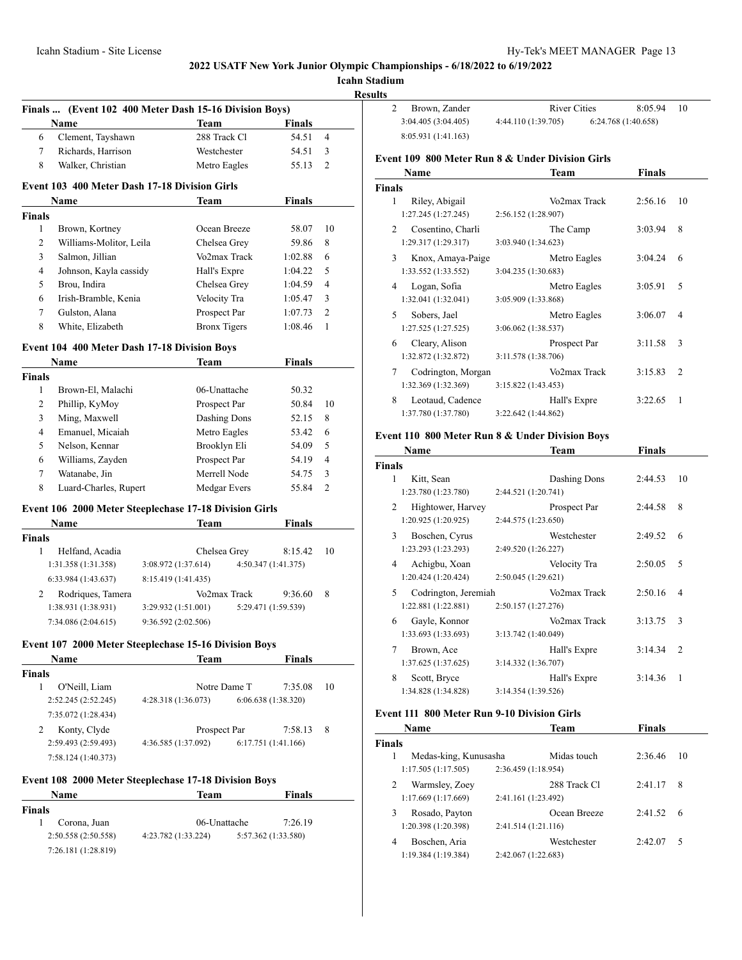**Icahn Stadium**

**Results** 

|                               |                                            | Finals  (Event 102 400 Meter Dash 15-16 Division Boys)        |                                |                |
|-------------------------------|--------------------------------------------|---------------------------------------------------------------|--------------------------------|----------------|
|                               | Name                                       | <b>Team</b>                                                   | <b>Finals</b>                  |                |
| 6                             | Clement, Tayshawn                          | 288 Track Cl                                                  | 54.51                          | 4              |
| 7                             | Richards, Harrison                         | Westchester                                                   | 54.51                          | 3              |
| 8                             | Walker, Christian                          | Metro Eagles                                                  | 55.13                          | 2              |
|                               |                                            | <b>Event 103 400 Meter Dash 17-18 Division Girls</b>          |                                |                |
| <b>Finals</b>                 | Name                                       | Team                                                          | Finals                         |                |
| 1                             | Brown, Kortney                             | Ocean Breeze                                                  | 58.07                          | 10             |
| 2                             | Williams-Molitor, Leila                    | Chelsea Grey                                                  | 59.86                          | 8              |
| 3                             | Salmon, Jillian                            | Vo2max Track                                                  | 1:02.88                        | 6              |
| 4                             | Johnson, Kayla cassidy                     | Hall's Expre                                                  | 1:04.22                        | 5              |
| 5                             | Brou, Indira                               | Chelsea Grey                                                  | 1:04.59                        | 4              |
| 6                             | Irish-Bramble, Kenia                       | Velocity Tra                                                  | 1:05.47                        | 3              |
| 7                             | Gulston, Alana                             | Prospect Par                                                  |                                | 2              |
| 8                             | White, Elizabeth                           | <b>Bronx Tigers</b>                                           | 1:07.73<br>1:08.46             | 1              |
|                               |                                            | <b>Event 104 400 Meter Dash 17-18 Division Boys</b>           |                                |                |
|                               | Name                                       | Team                                                          | Finals                         |                |
| <b>Finals</b>                 |                                            |                                                               |                                |                |
| 1                             | Brown-El, Malachi                          | 06-Unattache                                                  | 50.32                          |                |
| 2                             | Phillip, KyMoy                             | Prospect Par                                                  | 50.84                          | 10             |
| 3                             | Ming, Maxwell                              | Dashing Dons                                                  | 52.15                          | 8              |
| 4                             | Emanuel, Micaiah                           | Metro Eagles                                                  | 53.42                          | 6              |
| 5                             | Nelson, Kennar                             | Brooklyn Eli                                                  | 54.09                          | 5              |
| 6                             | Williams, Zayden                           | Prospect Par                                                  | 54.19                          | 4              |
| 7                             | Watanabe, Jin                              | Merrell Node                                                  | 54.75                          | 3              |
| 8                             | Luard-Charles, Rupert                      | Medgar Evers                                                  | 55.84                          | $\overline{c}$ |
|                               |                                            | Event 106 2000 Meter Steeplechase 17-18 Division Girls        |                                |                |
|                               | Name                                       | Team                                                          | <b>Finals</b>                  |                |
| <b>Finals</b><br>$\mathbf{1}$ | Helfand, Acadia                            |                                                               |                                | 10             |
|                               | 1:31.358(1:31.358)                         | Chelsea Grey<br>3:08.972 (1:37.614)                           | 8:15.42<br>4:50.347 (1:41.375) |                |
|                               |                                            |                                                               |                                |                |
|                               | 6:33.984 (1:43.637)                        | 8:15.419 (1:41.435)                                           |                                |                |
| 2                             | Rodriques, Tamera                          | Vo2max Track                                                  | 9:36.60                        | 8              |
|                               | 1:38.931 (1:38.931)<br>7:34.086 (2:04.615) | 3:29.932 (1:51.001)<br>9:36.592 (2:02.506)                    | 5:29.471 (1:59.539)            |                |
|                               |                                            |                                                               |                                |                |
|                               | Name                                       | Event 107 2000 Meter Steeplechase 15-16 Division Boys<br>Team | Finals                         |                |
| <b>Finals</b>                 |                                            |                                                               |                                |                |
| 1                             | O'Neill, Liam                              | Notre Dame T                                                  | 7:35.08                        | 10             |
|                               | 2:52.245 (2:52.245)                        | 4:28.318(1:36.073)                                            | 6:06.638 (1:38.320)            |                |
|                               | 7:35.072 (1:28.434)                        |                                                               |                                |                |
|                               |                                            |                                                               |                                |                |
| 2                             | Konty, Clyde                               | Prospect Par                                                  | 7:58.13                        | 8              |
|                               | 2:59.493 (2:59.493)                        | 4:36.585 (1:37.092)                                           | 6:17.751 (1:41.166)            |                |
|                               | 7:58.124 (1:40.373)                        |                                                               |                                |                |
|                               |                                            | Event 108 2000 Meter Steeplechase 17-18 Division Boys         |                                |                |
|                               | Name                                       | Team                                                          | Finals                         |                |
| <b>Finals</b><br>$\mathbf{1}$ |                                            | 06-Unattache                                                  | 7:26.19                        |                |
|                               | Corona, Juan<br>2:50.558 (2:50.558)        | 4:23.782 (1:33.224)                                           | 5:57.362 (1:33.580)            |                |
|                               |                                            |                                                               |                                |                |

| Brown, Zander       | River Cities        | 8:05.94             | - 10 |
|---------------------|---------------------|---------------------|------|
| 3:04.405(3:04.405)  | 4:44.110 (1:39.705) | 6:24.768 (1:40.658) |      |
| 8:05.931 (1:41.163) |                     |                     |      |

# **Event 109 800 Meter Run 8 & Under Division Girls**

|                          | Name                | Finals<br>Team          |                |  |
|--------------------------|---------------------|-------------------------|----------------|--|
| Finals                   |                     |                         |                |  |
| 1                        | Riley, Abigail      | Vo2max Track<br>2:56.16 | 10             |  |
|                          | 1:27.245 (1:27.245) | 2:56.152 (1:28.907)     |                |  |
| $\mathfrak{D}$           | Cosentino, Charli   | 3:03.94<br>The Camp     | 8              |  |
|                          | 1:29.317 (1:29.317) | 3:03.940 (1:34.623)     |                |  |
| 3                        | Knox, Amaya-Paige   | Metro Eagles<br>3:04.24 | 6              |  |
|                          | 1:33.552 (1:33.552) | 3:04.235 (1:30.683)     |                |  |
| 4                        | Logan, Sofia        | 3:05.91<br>Metro Eagles | 5              |  |
|                          | 1:32.041 (1:32.041) | 3:05.909 (1:33.868)     |                |  |
| $\overline{\phantom{0}}$ | Sobers, Jael        | 3:06.07<br>Metro Eagles | 4              |  |
|                          | 1:27.525 (1:27.525) | 3:06.062 (1:38.537)     |                |  |
| 6                        | Cleary, Alison      | 3:11.58<br>Prospect Par | 3              |  |
|                          | 1:32.872 (1:32.872) | 3:11.578 (1:38.706)     |                |  |
| 7                        | Codrington, Morgan  | Vo2max Track<br>3:15.83 | $\overline{c}$ |  |
|                          | 1:32.369 (1:32.369) | 3:15.822(1:43.453)      |                |  |
| 8                        | Leotaud, Cadence    | Hall's Expre<br>3:22.65 | 1              |  |
|                          | 1:37.780 (1:37.780) | 3:22.642 (1:44.862)     |                |  |

# **Event 110 800 Meter Run 8 & Under Division Boys**

|        | Name                 |                     | Team         | Finals  |                |
|--------|----------------------|---------------------|--------------|---------|----------------|
| Finals |                      |                     |              |         |                |
| 1      | Kitt, Sean           |                     | Dashing Dons | 2:44.53 | 10             |
|        | 1:23.780 (1:23.780)  | 2:44.521 (1:20.741) |              |         |                |
| 2      | Hightower, Harvey    |                     | Prospect Par | 2:44.58 | 8              |
|        | 1:20.925 (1:20.925)  | 2:44.575 (1:23.650) |              |         |                |
| 3      | Boschen, Cyrus       |                     | Westchester  | 2:49.52 | 6              |
|        | 1:23.293 (1:23.293)  | 2:49.520 (1:26.227) |              |         |                |
| 4      | Achigbu, Xoan        |                     | Velocity Tra | 2:50.05 | 5              |
|        | 1:20.424 (1:20.424)  | 2:50.045 (1:29.621) |              |         |                |
| 5      | Codrington, Jeremiah |                     | Vo2max Track | 2:50.16 | 4              |
|        | 1:22.881 (1:22.881)  | 2:50.157 (1:27.276) |              |         |                |
| 6      | Gayle, Konnor        |                     | Vo2max Track | 3:13.75 | 3              |
|        | 1:33.693 (1:33.693)  | 3:13.742 (1:40.049) |              |         |                |
| 7      | Brown, Ace           |                     | Hall's Expre | 3:14.34 | $\overline{2}$ |
|        | 1:37.625 (1:37.625)  | 3:14.332 (1:36.707) |              |         |                |
| 8      | Scott, Bryce         |                     | Hall's Expre | 3:14.36 | 1              |
|        | 1:34.828 (1:34.828)  | 3:14.354 (1:39.526) |              |         |                |

# **Event 111 800 Meter Run 9-10 Division Girls**

|                       | Team         | <b>Finals</b>                                                                           |    |  |
|-----------------------|--------------|-----------------------------------------------------------------------------------------|----|--|
|                       |              |                                                                                         |    |  |
| Medas-king, Kunusasha | Midas touch  | 2:36.46                                                                                 | 10 |  |
| 1:17.505(1:17.505)    |              |                                                                                         |    |  |
| Warmsley, Zoey        | 288 Track Cl | 2:41.17                                                                                 | 8  |  |
| 1:17.669(1:17.669)    |              |                                                                                         |    |  |
| Rosado, Payton        | Ocean Breeze | 2:41.52                                                                                 | 6  |  |
| 1:20.398 (1:20.398)   |              |                                                                                         |    |  |
| Boschen, Aria         | Westchester  | 2:42.07                                                                                 | 5  |  |
| 1:19.384 (1:19.384)   |              |                                                                                         |    |  |
|                       |              | 2:36.459(1:18.954)<br>2:41.161 (1:23.492)<br>2:41.514 (1:21.116)<br>2:42.067 (1:22.683) |    |  |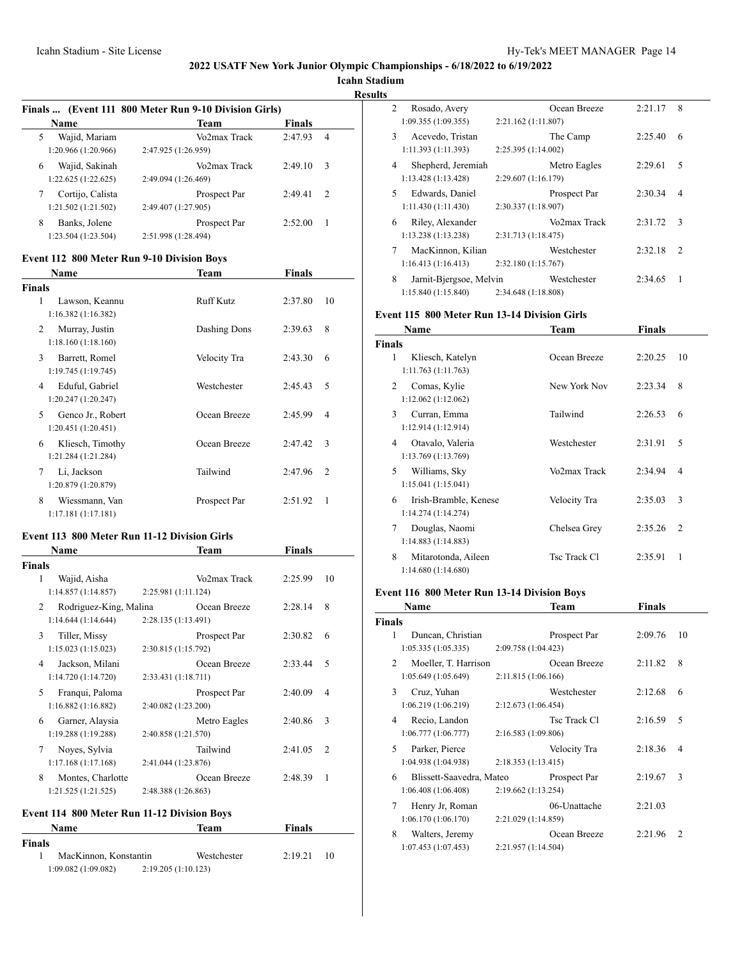**Icahn Stadium Results**

|                     |                                                                                                                                                                                                                                                                                                                                                                                                                                                                                                                                                          | 4                                                                                                                                                                                                                          |
|---------------------|----------------------------------------------------------------------------------------------------------------------------------------------------------------------------------------------------------------------------------------------------------------------------------------------------------------------------------------------------------------------------------------------------------------------------------------------------------------------------------------------------------------------------------------------------------|----------------------------------------------------------------------------------------------------------------------------------------------------------------------------------------------------------------------------|
| 2:47.925 (1:26.959) |                                                                                                                                                                                                                                                                                                                                                                                                                                                                                                                                                          |                                                                                                                                                                                                                            |
| Vo2max Track        | 2:49.10                                                                                                                                                                                                                                                                                                                                                                                                                                                                                                                                                  | 3                                                                                                                                                                                                                          |
| 2:49.094 (1:26.469) |                                                                                                                                                                                                                                                                                                                                                                                                                                                                                                                                                          |                                                                                                                                                                                                                            |
|                     | 2:49.41                                                                                                                                                                                                                                                                                                                                                                                                                                                                                                                                                  | 2                                                                                                                                                                                                                          |
| 2:49.407 (1:27.905) |                                                                                                                                                                                                                                                                                                                                                                                                                                                                                                                                                          |                                                                                                                                                                                                                            |
|                     |                                                                                                                                                                                                                                                                                                                                                                                                                                                                                                                                                          | 1                                                                                                                                                                                                                          |
|                     |                                                                                                                                                                                                                                                                                                                                                                                                                                                                                                                                                          |                                                                                                                                                                                                                            |
|                     |                                                                                                                                                                                                                                                                                                                                                                                                                                                                                                                                                          |                                                                                                                                                                                                                            |
|                     |                                                                                                                                                                                                                                                                                                                                                                                                                                                                                                                                                          |                                                                                                                                                                                                                            |
| Team                | <b>Finals</b>                                                                                                                                                                                                                                                                                                                                                                                                                                                                                                                                            |                                                                                                                                                                                                                            |
|                     |                                                                                                                                                                                                                                                                                                                                                                                                                                                                                                                                                          |                                                                                                                                                                                                                            |
| <b>Ruff Kutz</b>    | 2:37.80                                                                                                                                                                                                                                                                                                                                                                                                                                                                                                                                                  | 10                                                                                                                                                                                                                         |
|                     |                                                                                                                                                                                                                                                                                                                                                                                                                                                                                                                                                          |                                                                                                                                                                                                                            |
| Dashing Dons        | 2:39.63                                                                                                                                                                                                                                                                                                                                                                                                                                                                                                                                                  | 8                                                                                                                                                                                                                          |
|                     |                                                                                                                                                                                                                                                                                                                                                                                                                                                                                                                                                          |                                                                                                                                                                                                                            |
|                     |                                                                                                                                                                                                                                                                                                                                                                                                                                                                                                                                                          | 6                                                                                                                                                                                                                          |
|                     |                                                                                                                                                                                                                                                                                                                                                                                                                                                                                                                                                          |                                                                                                                                                                                                                            |
|                     |                                                                                                                                                                                                                                                                                                                                                                                                                                                                                                                                                          | 5                                                                                                                                                                                                                          |
|                     |                                                                                                                                                                                                                                                                                                                                                                                                                                                                                                                                                          |                                                                                                                                                                                                                            |
|                     |                                                                                                                                                                                                                                                                                                                                                                                                                                                                                                                                                          | 4                                                                                                                                                                                                                          |
|                     |                                                                                                                                                                                                                                                                                                                                                                                                                                                                                                                                                          |                                                                                                                                                                                                                            |
|                     |                                                                                                                                                                                                                                                                                                                                                                                                                                                                                                                                                          |                                                                                                                                                                                                                            |
|                     |                                                                                                                                                                                                                                                                                                                                                                                                                                                                                                                                                          | 3                                                                                                                                                                                                                          |
|                     |                                                                                                                                                                                                                                                                                                                                                                                                                                                                                                                                                          |                                                                                                                                                                                                                            |
|                     |                                                                                                                                                                                                                                                                                                                                                                                                                                                                                                                                                          | 2                                                                                                                                                                                                                          |
|                     |                                                                                                                                                                                                                                                                                                                                                                                                                                                                                                                                                          |                                                                                                                                                                                                                            |
| Prospect Par        | 2:51.92                                                                                                                                                                                                                                                                                                                                                                                                                                                                                                                                                  | 1                                                                                                                                                                                                                          |
|                     |                                                                                                                                                                                                                                                                                                                                                                                                                                                                                                                                                          |                                                                                                                                                                                                                            |
|                     |                                                                                                                                                                                                                                                                                                                                                                                                                                                                                                                                                          |                                                                                                                                                                                                                            |
|                     |                                                                                                                                                                                                                                                                                                                                                                                                                                                                                                                                                          |                                                                                                                                                                                                                            |
|                     |                                                                                                                                                                                                                                                                                                                                                                                                                                                                                                                                                          |                                                                                                                                                                                                                            |
|                     |                                                                                                                                                                                                                                                                                                                                                                                                                                                                                                                                                          | 10                                                                                                                                                                                                                         |
|                     |                                                                                                                                                                                                                                                                                                                                                                                                                                                                                                                                                          |                                                                                                                                                                                                                            |
|                     |                                                                                                                                                                                                                                                                                                                                                                                                                                                                                                                                                          | 8                                                                                                                                                                                                                          |
|                     |                                                                                                                                                                                                                                                                                                                                                                                                                                                                                                                                                          |                                                                                                                                                                                                                            |
|                     |                                                                                                                                                                                                                                                                                                                                                                                                                                                                                                                                                          |                                                                                                                                                                                                                            |
|                     |                                                                                                                                                                                                                                                                                                                                                                                                                                                                                                                                                          |                                                                                                                                                                                                                            |
|                     |                                                                                                                                                                                                                                                                                                                                                                                                                                                                                                                                                          |                                                                                                                                                                                                                            |
| Ocean Breeze        | 2:33.44                                                                                                                                                                                                                                                                                                                                                                                                                                                                                                                                                  | 5                                                                                                                                                                                                                          |
| 2:33.431 (1:18.711) |                                                                                                                                                                                                                                                                                                                                                                                                                                                                                                                                                          |                                                                                                                                                                                                                            |
| Prospect Par        | 2:40.09                                                                                                                                                                                                                                                                                                                                                                                                                                                                                                                                                  | 4                                                                                                                                                                                                                          |
| 2:40.082 (1:23.200) |                                                                                                                                                                                                                                                                                                                                                                                                                                                                                                                                                          |                                                                                                                                                                                                                            |
| Metro Eagles        | 2:40.86                                                                                                                                                                                                                                                                                                                                                                                                                                                                                                                                                  | 3                                                                                                                                                                                                                          |
| 2:40.858 (1:21.570) |                                                                                                                                                                                                                                                                                                                                                                                                                                                                                                                                                          |                                                                                                                                                                                                                            |
| Tailwind            |                                                                                                                                                                                                                                                                                                                                                                                                                                                                                                                                                          | 2                                                                                                                                                                                                                          |
|                     |                                                                                                                                                                                                                                                                                                                                                                                                                                                                                                                                                          |                                                                                                                                                                                                                            |
|                     |                                                                                                                                                                                                                                                                                                                                                                                                                                                                                                                                                          | 1                                                                                                                                                                                                                          |
|                     |                                                                                                                                                                                                                                                                                                                                                                                                                                                                                                                                                          |                                                                                                                                                                                                                            |
|                     |                                                                                                                                                                                                                                                                                                                                                                                                                                                                                                                                                          |                                                                                                                                                                                                                            |
|                     |                                                                                                                                                                                                                                                                                                                                                                                                                                                                                                                                                          |                                                                                                                                                                                                                            |
| Team                | <b>Finals</b>                                                                                                                                                                                                                                                                                                                                                                                                                                                                                                                                            |                                                                                                                                                                                                                            |
|                     |                                                                                                                                                                                                                                                                                                                                                                                                                                                                                                                                                          |                                                                                                                                                                                                                            |
| Westchester         |                                                                                                                                                                                                                                                                                                                                                                                                                                                                                                                                                          | 10                                                                                                                                                                                                                         |
| 2:19.205 (1:10.123) |                                                                                                                                                                                                                                                                                                                                                                                                                                                                                                                                                          |                                                                                                                                                                                                                            |
|                     | Team<br>Vo2max Track<br>Prospect Par<br>Prospect Par<br>2:51.998 (1:28.494)<br><b>Event 112 800 Meter Run 9-10 Division Boys</b><br>Velocity Tra<br>Westchester<br>Ocean Breeze<br>Ocean Breeze<br>Tailwind<br>Event 113 800 Meter Run 11-12 Division Girls<br>Team<br>Vo2max Track<br>2:25.981 (1:11.124)<br>Rodriguez-King, Malina<br>Ocean Breeze<br>2:28.135 (1:13.491)<br>Prospect Par<br>2:30.815 (1:15.792)<br>2:41.044 (1:23.876)<br>Ocean Breeze<br>2:48.388 (1:26.863)<br>Event 114 800 Meter Run 11-12 Division Boys<br>MacKinnon, Konstantin | Finals  (Event 111 800 Meter Run 9-10 Division Girls)<br>Finals<br>2:47.93<br>2:52.00<br>2:43.30<br>2:45.43<br>2:45.99<br>2:47.42<br>2:47.96<br>Finals<br>2:25.99<br>2:28.14<br>2:30.82 6<br>2:41.05<br>2:48.39<br>2:19.21 |

| 2 | Rosado, Avery           |                     | Ocean Breeze | 2:21.17 | 8             |
|---|-------------------------|---------------------|--------------|---------|---------------|
|   | 1:09.355(1:09.355)      | 2:21.162 (1:11.807) |              |         |               |
| 3 | Acevedo, Tristan        |                     | The Camp     | 2:25.40 | 6             |
|   | 1:11.393(1:11.393)      | 2:25.395 (1:14.002) |              |         |               |
| 4 | Shepherd, Jeremiah      |                     | Metro Eagles | 2:29.61 | 5             |
|   | 1:13.428(1:13.428)      | 2:29.607 (1:16.179) |              |         |               |
| 5 | Edwards, Daniel         |                     | Prospect Par | 2:30.34 | 4             |
|   | 1:11.430(1:11.430)      | 2:30.337 (1:18.907) |              |         |               |
| 6 | Riley, Alexander        |                     | Vo2max Track | 2:31.72 | 3             |
|   | 1:13.238(1:13.238)      | 2:31.713 (1:18.475) |              |         |               |
| 7 | MacKinnon, Kilian       |                     | Westchester  | 2:32.18 | $\mathcal{L}$ |
|   | 1:16.413(1:16.413)      | 2:32.180 (1:15.767) |              |         |               |
| 8 | Jarnit-Bjergsoe, Melvin |                     | Westchester  | 2:34.65 | 1             |
|   | 1:15.840(1:15.840)      | 2:34.648 (1:18.808) |              |         |               |

## **Event 115 800 Meter Run 13-14 Division Girls**

|               | Name                                        | Team         | Finals  |    |
|---------------|---------------------------------------------|--------------|---------|----|
| <b>Finals</b> |                                             |              |         |    |
| 1             | Kliesch, Katelyn<br>1:11.763(1:11.763)      | Ocean Breeze | 2:20.25 | 10 |
| 2             | Comas, Kylie<br>1:12.062(1:12.062)          | New York Nov | 2:23.34 | 8  |
| 3             | Curran, Emma<br>1:12.914 (1:12.914)         | Tailwind     | 2:26.53 | 6  |
| 4             | Otavalo, Valeria<br>1:13.769 (1:13.769)     | Westchester  | 2:31.91 | 5  |
| 5             | Williams, Sky<br>1:15.041(1:15.041)         | Vo2max Track | 2:34.94 | 4  |
| 6             | Irish-Bramble, Kenese<br>1:14.274(1:14.274) | Velocity Tra | 2:35.03 | 3  |
| 7             | Douglas, Naomi<br>1:14.883 (1:14.883)       | Chelsea Grey | 2:35.26 | 2  |
| 8             | Mitarotonda, Aileen<br>1:14.680(1:14.680)   | Tsc Track Cl | 2:35.91 | 1  |

# **Event 116 800 Meter Run 13-14 Division Boys**

|                | Name                     |                     | Team         | Finals  |               |
|----------------|--------------------------|---------------------|--------------|---------|---------------|
| <b>Finals</b>  |                          |                     |              |         |               |
| 1              | Duncan, Christian        |                     | Prospect Par | 2:09.76 | 10            |
|                | 1:05.335(1:05.335)       | 2:09.758 (1:04.423) |              |         |               |
| $\mathfrak{D}$ | Moeller, T. Harrison     |                     | Ocean Breeze | 2:11.82 | 8             |
|                | 1:05.649 (1:05.649)      | 2:11.815 (1:06.166) |              |         |               |
| 3              | Cruz, Yuhan              |                     | Westchester  | 2:12.68 | 6             |
|                | 1:06.219(1:06.219)       | 2:12.673 (1:06.454) |              |         |               |
| 4              | Recio, Landon            |                     | Tsc Track C1 | 2:16.59 | 5             |
|                | 1:06.777(1:06.777)       | 2:16.583 (1:09.806) |              |         |               |
| 5              | Parker, Pierce           |                     | Velocity Tra | 2:18.36 | 4             |
|                | 1:04.938 (1:04.938)      | 2:18.353(1:13.415)  |              |         |               |
| 6              | Blissett-Saavedra, Mateo |                     | Prospect Par | 2:19.67 | 3             |
|                | 1:06.408(1:06.408)       | 2:19.662(1:13.254)  |              |         |               |
| 7              | Henry Jr, Roman          |                     | 06-Unattache | 2:21.03 |               |
|                | 1:06.170(1:06.170)       | 2:21.029 (1:14.859) |              |         |               |
| 8              | Walters, Jeremy          |                     | Ocean Breeze | 2:21.96 | $\mathcal{L}$ |
|                | 1:07.453 (1:07.453)      | 2:21.957 (1:14.504) |              |         |               |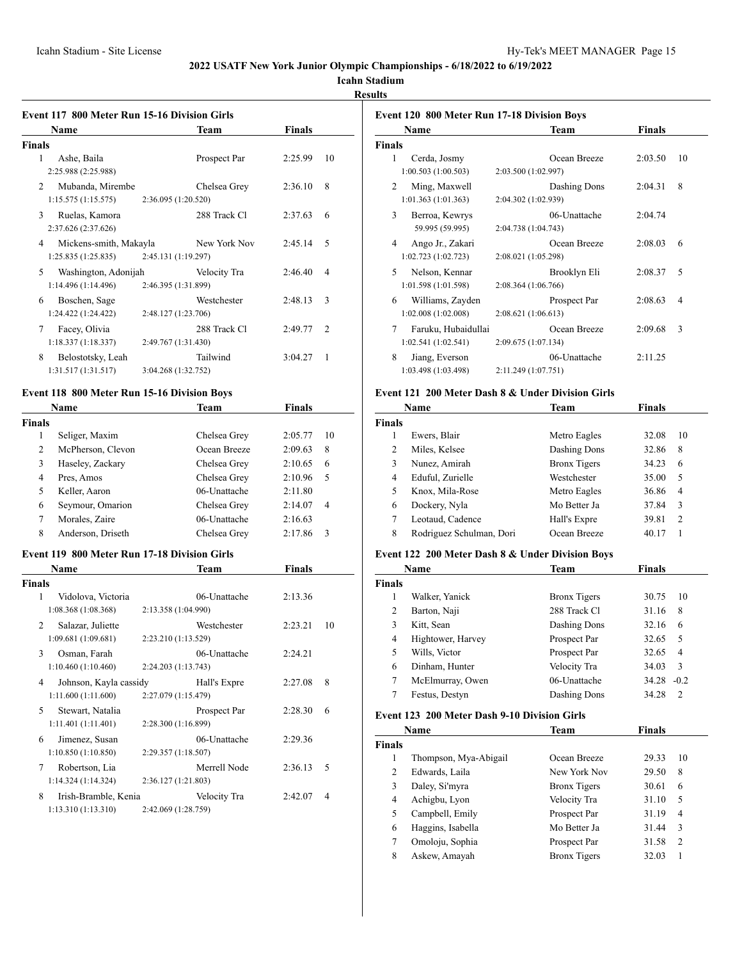# **Icahn Stadium**

**Results**

| Event 117 800 Meter Run 15-16 Division Girls<br>Name | Team                                | Finals        |    |
|------------------------------------------------------|-------------------------------------|---------------|----|
| <b>Finals</b>                                        |                                     |               |    |
| $\mathbf{1}$<br>Ashe, Baila<br>2:25.988 (2:25.988)   | Prospect Par                        | 2:25.99       | 10 |
| 2<br>Mubanda, Mirembe<br>1:15.575(1:15.575)          | Chelsea Grey<br>2:36.095 (1:20.520) | 2:36.10       | 8  |
| 3<br>Ruelas, Kamora<br>2:37.626 (2:37.626)           | 288 Track Cl                        | 2:37.63       | 6  |
| 4<br>Mickens-smith, Makayla<br>1:25.835(1:25.835)    | New York Nov<br>2:45.131 (1:19.297) | 2:45.14       | 5  |
| Washington, Adonijah<br>5<br>1:14.496(1:14.496)      | Velocity Tra<br>2:46.395 (1:31.899) | 2:46.40       | 4  |
| 6<br>Boschen, Sage<br>1:24.422(1:24.422)             | Westchester<br>2:48.127 (1:23.706)  | 2:48.13       | 3  |
| Facey, Olivia<br>7<br>1:18.337(1:18.337)             | 288 Track Cl<br>2:49.767 (1:31.430) | 2:49.77       | 2  |
| 8<br>Belostotsky, Leah<br>1:31.517(1:31.517)         | Tailwind<br>3:04.268 (1:32.752)     | 3:04.27       | 1  |
| Event 118 800 Meter Run 15-16 Division Boys          |                                     |               |    |
| Name                                                 | Team                                | <b>Finals</b> |    |
| <b>Finals</b>                                        |                                     |               |    |
| 1<br>Seliger, Maxim                                  | Chelsea Grey                        | 2:05.77       | 10 |
| 2<br>McPherson, Clevon                               | Ocean Breeze                        | 2:09.63       | 8  |
| 3<br>Haseley, Zackary                                | Chelsea Grey                        | 2:10.65       | 6  |
| $\overline{4}$<br>Pres, Amos                         | Chelsea Grey                        | 2:10.96       | 5  |
| 5<br>Keller, Aaron                                   | 06-Unattache                        | 2:11.80       |    |
| 6<br>Seymour, Omarion                                | Chelsea Grey                        | 2:14.07       | 4  |
| 7<br>Morales, Zaire                                  | 06-Unattache                        | 2:16.63       |    |
| 8<br>Anderson, Driseth                               | Chelsea Grey                        | 2:17.86       | 3  |
| <b>Event 119 800 Meter Run 17-18 Division Girls</b>  |                                     |               |    |
| Name                                                 | Team                                | <b>Finals</b> |    |
| <b>Finals</b>                                        |                                     |               |    |
| Vidolova, Victoria<br>1<br>1:08.368(1:08.368)        | 06-Unattache<br>2:13.358 (1:04.990) | 2:13.36       |    |
| 2<br>Salazar, Juliette<br>1:09.681 (1:09.681)        | Westchester<br>2:23.210 (1:13.529)  | 2:23.21       | 10 |
| Osman, Farah<br>3<br>1:10.460(1:10.460)              | 06-Unattache<br>2:24.203 (1:13.743) | 2:24.21       |    |
| Johnson, Kayla cassidy<br>4<br>1:11.600 (1:11.600)   | Hall's Expre<br>2:27.079 (1:15.479) | 2:27.08       | 8  |
| Stewart, Natalia<br>5<br>1:11.401 (1:11.401)         | Prospect Par<br>2:28.300 (1:16.899) | 2:28.30       | 6  |
| Jimenez, Susan<br>6<br>1:10.850(1:10.850)            | 06-Unattache<br>2:29.357 (1:18.507) | 2:29.36       |    |
|                                                      | Merrell Node                        | 2:36.13       | 5  |
| Robertson, Lia<br>7<br>1:14.324(1:14.324)            | 2:36.127 (1:21.803)                 |               |    |

|                                            | <b>Event 120 800 Meter Run 17-18 Division Boys</b> |              |         |    |
|--------------------------------------------|----------------------------------------------------|--------------|---------|----|
| Name                                       |                                                    | Team         | Finals  |    |
| Finals                                     |                                                    |              |         |    |
| 1<br>Cerda, Josmy                          |                                                    | Ocean Breeze | 2:03.50 | 10 |
| 1:00.503(1:00.503)                         | 2:03.500 (1:02.997)                                |              |         |    |
| $\mathfrak{D}$<br>Ming, Maxwell            |                                                    | Dashing Dons | 2:04.31 | 8  |
| 1:01.363(1:01.363)                         | 2:04.302 (1:02.939)                                |              |         |    |
| 3<br>Berroa, Kewrys                        |                                                    | 06-Unattache | 2:04.74 |    |
| 59.995 (59.995)                            | 2:04.738 (1:04.743)                                |              |         |    |
| Ango Jr., Zakari<br>4                      |                                                    | Ocean Breeze | 2:08.03 | 6  |
| 1:02.723(1:02.723)                         | 2:08.021 (1:05.298)                                |              |         |    |
| $\overline{\phantom{0}}$<br>Nelson, Kennar |                                                    | Brooklyn Eli | 2:08.37 | 5  |
| 1:01.598 (1:01.598)                        | 2:08.364 (1:06.766)                                |              |         |    |
| 6                                          | Williams, Zayden                                   | Prospect Par | 2:08.63 | 4  |
| 1:02.008(1:02.008)                         | 2:08.621 (1:06.613)                                |              |         |    |
| 7                                          | Faruku, Hubaidullai                                | Ocean Breeze | 2:09.68 | 3  |
| 1:02.541(1:02.541)                         | 2:09.675 (1:07.134)                                |              |         |    |
| 8<br>Jiang, Everson                        |                                                    | 06-Unattache | 2:11.25 |    |
| 1:03.498 (1:03.498)                        | 2:11.249 (1:07.751)                                |              |         |    |

#### **Event 121 200 Meter Dash 8 & Under Division Girls**

|               | Name                     | Team                | Finals |                |
|---------------|--------------------------|---------------------|--------|----------------|
| <b>Finals</b> |                          |                     |        |                |
| 1             | Ewers, Blair             | Metro Eagles        | 32.08  | 10             |
| 2             | Miles, Kelsee            | Dashing Dons        | 32.86  | 8              |
| 3             | Nunez, Amirah            | <b>Bronx Tigers</b> | 34.23  | 6              |
| 4             | Eduful, Zurielle         | Westchester         | 35.00  | 5              |
| 5             | Knox, Mila-Rose          | Metro Eagles        | 36.86  | 4              |
| 6             | Dockery, Nyla            | Mo Better Ja        | 37.84  | 3              |
| 7             | Leotaud, Cadence         | Hall's Expre        | 39.81  | $\mathfrak{D}$ |
| 8             | Rodriguez Schulman, Dori | Ocean Breeze        | 40.17  |                |

# **Event 122 200 Meter Dash 8 & Under Division Boys**

|       | Name              | Team                | Finals                  |
|-------|-------------------|---------------------|-------------------------|
| inals |                   |                     |                         |
| 1     | Walker, Yanick    | <b>Bronx</b> Tigers | 30.75<br>10             |
| 2     | Barton, Naji      | 288 Track C1        | 31.16<br>8              |
| 3     | Kitt, Sean        | Dashing Dons        | 32.16<br>6              |
| 4     | Hightower, Harvey | Prospect Par        | 32.65<br>5              |
| 5     | Wills, Victor     | Prospect Par        | 32.65<br>$\overline{4}$ |
| 6     | Dinham, Hunter    | Velocity Tra        | 3<br>34.03              |
| 7     | McElmurray, Owen  | 06-Unattache        | 34.28<br>$-0.2$         |
|       | Festus, Destyn    | Dashing Dons        | $\mathcal{L}$<br>34.28  |
|       |                   |                     |                         |

# **Event 123 200 Meter Dash 9-10 Division Girls**

|        | Name                  | <b>Team</b>         | Finals |                |  |
|--------|-----------------------|---------------------|--------|----------------|--|
| 'inals |                       |                     |        |                |  |
|        | Thompson, Mya-Abigail | Ocean Breeze        | 29.33  | 10             |  |
| 2      | Edwards, Laila        | New York Nov        | 29.50  | 8              |  |
| 3      | Daley, Si'myra        | <b>Bronx Tigers</b> | 30.61  | 6              |  |
| 4      | Achigbu, Lyon         | Velocity Tra        | 31.10  | 5              |  |
| 5      | Campbell, Emily       | Prospect Par        | 31.19  | 4              |  |
| 6      | Haggins, Isabella     | Mo Better Ja        | 31.44  | 3              |  |
|        | Omoloju, Sophia       | Prospect Par        | 31.58  | $\mathfrak{D}$ |  |
| 8      | Askew, Amayah         | <b>Bronx Tigers</b> | 32.03  |                |  |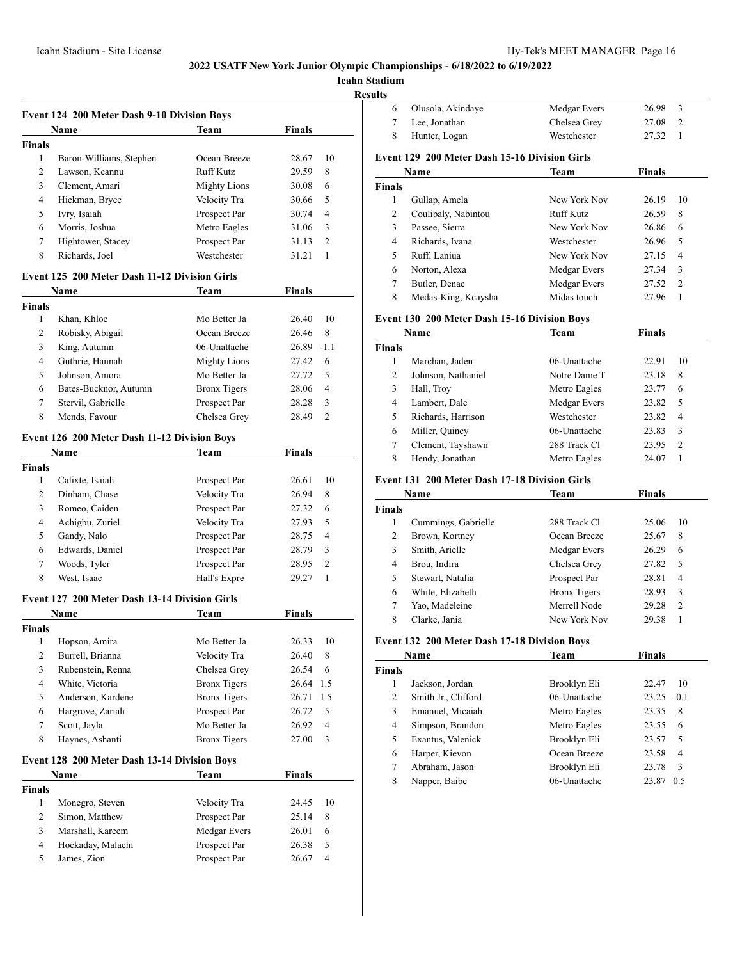**Icahn Stad** 

**Results**

|                | Event 124 200 Meter Dash 9-10 Division Boys<br>Name | Team                | <b>Finals</b> |
|----------------|-----------------------------------------------------|---------------------|---------------|
| <b>Finals</b>  |                                                     |                     |               |
| 1              | Baron-Williams, Stephen                             | Ocean Breeze        | 28.67<br>10   |
| 2              | Lawson, Keannu                                      | <b>Ruff Kutz</b>    | 8<br>29.59    |
| 3              | Clement, Amari                                      | <b>Mighty Lions</b> | 6<br>30.08    |
| 4              | Hickman, Bryce                                      | Velocity Tra        | 30.66<br>5    |
| 5              | Ivry, Isaiah                                        | Prospect Par        | 4<br>30.74    |
| 6              | Morris, Joshua                                      | Metro Eagles        | 3<br>31.06    |
| 7              | Hightower, Stacey                                   | Prospect Par        | 2<br>31.13    |
| 8              | Richards, Joel                                      | Westchester         | 31.21<br>1    |
|                | Event 125 200 Meter Dash 11-12 Division Girls       |                     |               |
|                | Name                                                | Team                | <b>Finals</b> |
| <b>Finals</b>  |                                                     |                     |               |
| 1              | Khan, Khloe                                         | Mo Better Ja        | 26.40<br>10   |
| 2              | Robisky, Abigail                                    | Ocean Breeze        | 26.46<br>8    |
| 3              | King, Autumn                                        | 06-Unattache        | $26.89 -1.1$  |
| 4              | Guthrie, Hannah                                     | <b>Mighty Lions</b> | 27.42<br>6    |
| 5              | Johnson, Amora                                      | Mo Better Ja        | 5<br>27.72    |
| 6              | Bates-Bucknor, Autumn                               | <b>Bronx Tigers</b> | 4<br>28.06    |
| 7              | Stervil, Gabrielle                                  | Prospect Par        | 3<br>28.28    |
| 8              | Mends, Favour                                       | Chelsea Grey        | 2<br>28.49    |
|                | Event 126 200 Meter Dash 11-12 Division Boys        |                     |               |
|                | Name                                                | Team                | <b>Finals</b> |
| <b>Finals</b>  |                                                     |                     |               |
| 1              | Calixte, Isaiah                                     | Prospect Par        | 26.61<br>10   |
| 2              | Dinham, Chase                                       | Velocity Tra        | 26.94<br>8    |
| 3              | Romeo, Caiden                                       | Prospect Par        | 6<br>27.32    |
| 4              | Achigbu, Zuriel                                     | Velocity Tra        | 5<br>27.93    |
| 5              | Gandy, Nalo                                         | Prospect Par        | 4<br>28.75    |
| 6              | Edwards, Daniel                                     | Prospect Par        | 3<br>28.79    |
| 7              | Woods, Tyler                                        | Prospect Par        | 2<br>28.95    |
| 8              | West, Isaac                                         | Hall's Expre        | 1<br>29.27    |
|                | Event 127 200 Meter Dash 13-14 Division Girls       |                     |               |
|                | Name                                                | Team                | Finals        |
| <b>Finals</b>  |                                                     |                     |               |
| 1              | Hopson, Amira                                       | Mo Better Ja        | 26.33<br>10   |
| 2              | Burrell, Brianna                                    | Velocity Tra        | 26.40<br>8    |
| 3              | Rubenstein, Renna                                   | Chelsea Grey        | 26.54<br>6    |
| 4              | White, Victoria                                     | <b>Bronx Tigers</b> | 1.5<br>26.64  |
| 5              | Anderson, Kardene                                   | <b>Bronx Tigers</b> | 1.5<br>26.71  |
| 6              | Hargrove, Zariah                                    | Prospect Par        | 5<br>26.72    |
| 7              | Scott, Jayla                                        | Mo Better Ja        | 4<br>26.92    |
| 8              | Haynes, Ashanti                                     | <b>Bronx Tigers</b> | 3<br>27.00    |
|                | Event 128 200 Meter Dash 13-14 Division Boys        |                     |               |
|                | Name                                                | <b>Team</b>         | <b>Finals</b> |
| <b>Finals</b>  |                                                     |                     |               |
| $\mathbf{1}$   | Monegro, Steven                                     | Velocity Tra        | 24.45<br>10   |
| $\mathbf{2}$   | Simon, Matthew                                      | Prospect Par        | 25.14<br>8    |
|                |                                                     |                     |               |
| 3              | Marshall, Kareem                                    | Medgar Evers        | 26.01<br>6    |
| $\overline{4}$ | Hockaday, Malachi                                   | Prospect Par        | 5<br>26.38    |

| tadium        |                                                     |                  |               |                |
|---------------|-----------------------------------------------------|------------------|---------------|----------------|
| ults          |                                                     |                  |               |                |
| 6             | Olusola, Akindaye                                   | Medgar Evers     | 26.98         | 3              |
| 7             | Lee, Jonathan                                       | Chelsea Grey     | 27.08         | 2              |
| 8             | Hunter, Logan                                       | Westchester      | 27.32         | 1              |
|               | Event 129 200 Meter Dash 15-16 Division Girls       |                  |               |                |
|               | Name                                                | <b>Team</b>      | Finals        |                |
| <b>Finals</b> |                                                     |                  |               |                |
| 1             | Gullap, Amela                                       | New York Nov     | 26.19         | 10             |
| 2             | Coulibaly, Nabintou                                 | <b>Ruff Kutz</b> | 26.59         | 8              |
| 3             | Passee, Sierra                                      | New York Nov     | 26.86         | 6              |
| 4             | Richards, Ivana                                     | Westchester      | 26.96         | 5              |
| 5             | Ruff, Laniua                                        | New York Nov     | 27.15         | 4              |
| 6             | Norton, Alexa                                       | Medgar Evers     | 27.34         | 3              |
| 7             | Butler, Denae                                       | Medgar Evers     | 27.52         | $\overline{2}$ |
| 8             | Medas-King, Kcaysha                                 | Midas touch      | 27.96         | 1              |
|               | <b>Event 130 200 Meter Dash 15-16 Division Boys</b> |                  |               |                |
|               | Name                                                | Team             | <b>Finals</b> |                |
| <b>Finals</b> |                                                     |                  |               |                |
| 1             | Marchan, Jaden                                      | 06-Unattache     | 22.91         | 10             |
| 2             | Johnson, Nathaniel                                  | Notre Dame T     | 23.18         | 8              |
| 3             | Hall, Troy                                          | Metro Eagles     | 23.77         | 6              |
| 4             | Lambert, Dale                                       | Medgar Evers     | 23.82         | 5              |
| 5             | Richards, Harrison                                  | Westchester      | 23.82         | 4              |
| 6             | Miller, Quincy                                      | 06-Unattache     | 23.83         | 3              |

# **Event 131 200 Meter Dash 17-18 Division Girls**

|               | Name                | Team                | <b>Finals</b> |    |
|---------------|---------------------|---------------------|---------------|----|
| <b>Finals</b> |                     |                     |               |    |
| 1             | Cummings, Gabrielle | 288 Track Cl        | 25.06         | 10 |
| 2             | Brown, Kortney      | Ocean Breeze        | 25.67         | 8  |
| 3             | Smith, Arielle      | Medgar Evers        | 26.29         | 6  |
| 4             | Brou, Indira        | Chelsea Grey        | 27.82         | 5  |
| 5             | Stewart, Natalia    | Prospect Par        | 28.81         | 4  |
| 6             | White, Elizabeth    | <b>Bronx</b> Tigers | 28.93         | 3  |
| 7             | Yao, Madeleine      | Merrell Node        | 29.28         | 2  |
| 8             | Clarke, Jania       | New York Nov        | 29.38         |    |

 Clement, Tayshawn 288 Track Cl 23.95 2 8 Hendy, Jonathan Metro Eagles 24.07 1

# **Event 132 200 Meter Dash 17-18 Division Boys**

|               | Name                | Team         | Finals       |
|---------------|---------------------|--------------|--------------|
| <b>Finals</b> |                     |              |              |
|               | Jackson, Jordan     | Brooklyn Eli | 22.47<br>10  |
| 2             | Smith Jr., Clifford | 06-Unattache | $23.25 -0.1$ |
| 3             | Emanuel, Micaiah    | Metro Eagles | 23.35<br>8   |
| 4             | Simpson, Brandon    | Metro Eagles | 23.55<br>6   |
| 5             | Exantus, Valenick   | Brooklyn Eli | 23.57<br>5   |
| 6             | Harper, Kievon      | Ocean Breeze | 23.58<br>4   |
| 7             | Abraham, Jason      | Brooklyn Eli | 3<br>23.78   |
| 8             | Napper, Baibe       | 06-Unattache | 23.87<br>0.5 |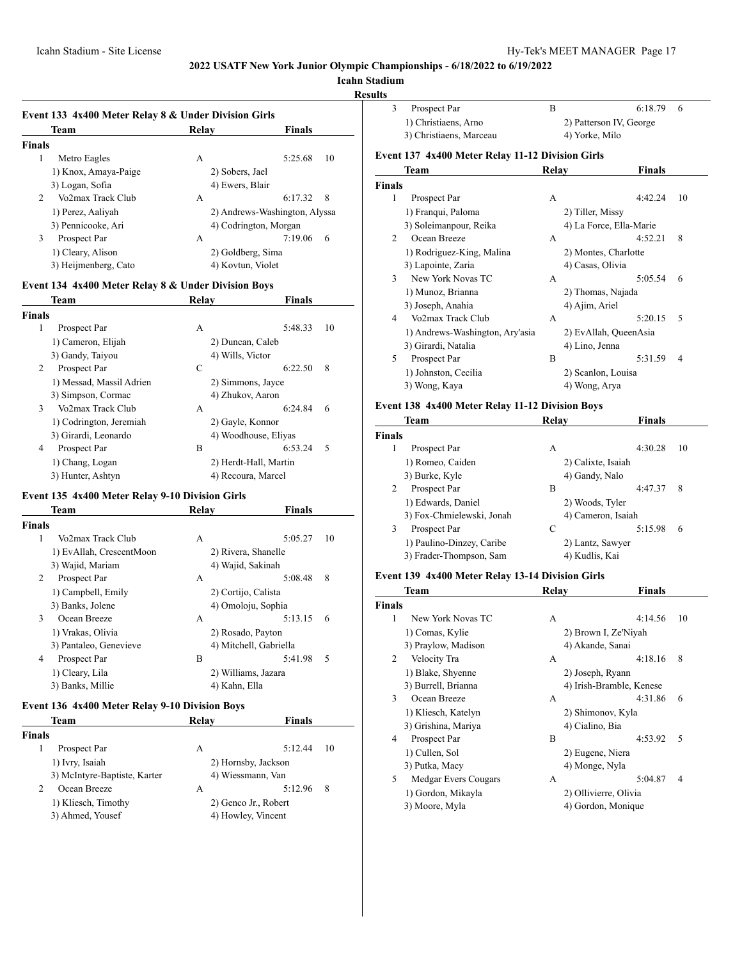# **Icahn Stadium**

#### **Results**

|                | Event 133 4x400 Meter Relay 8 & Under Division Girls<br>Team | Relav             | <b>Finals</b>                 |
|----------------|--------------------------------------------------------------|-------------------|-------------------------------|
| <b>Finals</b>  |                                                              |                   |                               |
| 1              | Metro Eagles                                                 | А                 | 5:25.68<br>10                 |
|                | 1) Knox, Amaya-Paige                                         | 2) Sobers, Jael   |                               |
|                | 3) Logan, Sofia                                              | 4) Ewers, Blair   |                               |
| $\mathfrak{D}$ | Vo2max Track Club                                            | А                 | 6:17.32<br>8                  |
|                | 1) Perez, Aaliyah                                            |                   | 2) Andrews-Washington, Alyssa |
|                | 3) Pennicooke, Ari                                           |                   | 4) Codrington, Morgan         |
| 3              | Prospect Par                                                 | А                 | 7:19.06<br>6                  |
|                | 1) Cleary, Alison                                            | 2) Goldberg, Sima |                               |
|                | 3) Heijmenberg, Cato                                         | 4) Kovtun, Violet |                               |

## **Event 134 4x400 Meter Relay 8 & Under Division Boys**

| Team                     | Relav | <b>Finals</b>         |
|--------------------------|-------|-----------------------|
| <b>Finals</b>            |       |                       |
| 1<br>Prospect Par        | А     | 5:48.33<br>10         |
| 1) Cameron, Elijah       |       | 2) Duncan, Caleb      |
| 3) Gandy, Taiyou         |       | 4) Wills, Victor      |
| 2<br>Prospect Par        | C     | 8<br>6:22.50          |
| 1) Messad, Massil Adrien |       | 2) Simmons, Jayce     |
| 3) Simpson, Cormac       |       | 4) Zhukov, Aaron      |
| 3<br>Vo2max Track Club   | A     | 6:24.84<br>6          |
| 1) Codrington, Jeremiah  |       | 2) Gayle, Konnor      |
| 3) Girardi, Leonardo     |       | 4) Woodhouse, Eliyas  |
| 4<br>Prospect Par        | B     | 6:53.24<br>.5         |
| 1) Chang, Logan          |       | 2) Herdt-Hall, Martin |
| 3) Hunter, Ashtyn        |       | 4) Recoura, Marcel    |

#### **Event 135 4x400 Meter Relay 9-10 Division Girls**

|        | Team                     | Relay               | <b>Finals</b>          |
|--------|--------------------------|---------------------|------------------------|
| Finals |                          |                     |                        |
| 1      | Vo2max Track Club        | А                   | 5:05.27<br>10          |
|        | 1) EvAllah, CrescentMoon |                     | 2) Rivera, Shanelle    |
|        | 3) Wajid, Mariam         | 4) Wajid, Sakinah   |                        |
| 2      | Prospect Par             | А                   | 8<br>5:08.48           |
|        | 1) Campbell, Emily       | 2) Cortijo, Calista |                        |
|        | 3) Banks, Jolene         |                     | 4) Omoloju, Sophia     |
| 3      | Ocean Breeze             | А                   | 5:13.15<br>6           |
|        | 1) Vrakas, Olivia        | 2) Rosado, Payton   |                        |
|        | 3) Pantaleo, Genevieve   |                     | 4) Mitchell, Gabriella |
| 4      | Prospect Par             | B                   | 5:41.98<br>5           |
|        | 1) Cleary, Lila          |                     | 2) Williams, Jazara    |
|        | 3) Banks, Millie         | 4) Kahn, Ella       |                        |
|        |                          |                     |                        |

# **Event 136 4x400 Meter Relay 9-10 Division Boys**

|               | Team                         | Relay | <b>Finals</b>        |    |
|---------------|------------------------------|-------|----------------------|----|
| <b>Finals</b> |                              |       |                      |    |
|               | Prospect Par                 | А     | 5:12.44              | 10 |
|               | 1) Ivry, Isaiah              |       | 2) Hornsby, Jackson  |    |
|               | 3) McIntyre-Baptiste, Karter |       | 4) Wiessmann, Van    |    |
| 2             | Ocean Breeze                 | А     | 5:12.96              | 8  |
|               | 1) Kliesch, Timothy          |       | 2) Genco Jr., Robert |    |
|               | 3) Ahmed, Yousef             |       | 4) Howley, Vincent   |    |

|                         | Prospect Par         | к                       | $6:18.79$ 6    |  |
|-------------------------|----------------------|-------------------------|----------------|--|
|                         | 1) Christiaens, Arno | 2) Patterson IV, George |                |  |
| 3) Christiaens, Marceau |                      |                         | 4) Yorke, Milo |  |

# **Event 137 4x400 Meter Relay 11-12 Division Girls**

|                          | Team                            | Relay | Finals                  |    |
|--------------------------|---------------------------------|-------|-------------------------|----|
| <b>Finals</b>            |                                 |       |                         |    |
| 1                        | Prospect Par                    | А     | 4:42.24                 | 10 |
|                          | 1) Franqui, Paloma              |       | 2) Tiller, Missy        |    |
|                          | 3) Soleimanpour, Reika          |       | 4) La Force, Ella-Marie |    |
| 2                        | Ocean Breeze                    | A     | 4:52.21                 | 8  |
|                          | 1) Rodriguez-King, Malina       |       | 2) Montes, Charlotte    |    |
|                          | 3) Lapointe, Zaria              |       | 4) Casas, Olivia        |    |
| $\mathcal{E}$            | New York Novas TC               | A     | 5:05.54                 | 6  |
|                          | 1) Munoz, Brianna               |       | 2) Thomas, Najada       |    |
|                          | 3) Joseph, Anahia               |       | 4) Ajim, Ariel          |    |
| $\overline{\mathcal{A}}$ | Vo2max Track Club               | A     | 5:20.15                 | 5  |
|                          | 1) Andrews-Washington, Ary'asia |       | 2) EvAllah, QueenAsia   |    |
|                          | 3) Girardi, Natalia             |       | 4) Lino, Jenna          |    |
| 5.                       | Prospect Par                    | B     | 5:31.59                 | 4  |
|                          | 1) Johnston, Cecilia            |       | 2) Scanlon, Louisa      |    |
|                          | 3) Wong, Kaya                   |       | 4) Wong, Arya           |    |

#### **Event 138 4x400 Meter Relay 11-12 Division Boys**

| Team                      | Relay              | <b>Finals</b> |
|---------------------------|--------------------|---------------|
| Finals                    |                    |               |
| Prospect Par<br>1         | А                  | 4:30.28<br>10 |
| 1) Romeo, Caiden          | 2) Calixte, Isaiah |               |
| 3) Burke, Kyle            | 4) Gandy, Nalo     |               |
| 2<br>Prospect Par         | В                  | 4:47.37<br>8  |
| 1) Edwards, Daniel        | 2) Woods, Tyler    |               |
| 3) Fox-Chmielewski, Jonah | 4) Cameron, Isaiah |               |
| 3<br>Prospect Par         | С                  | 5:15.98<br>6  |
| 1) Paulino-Dinzey, Caribe | 2) Lantz, Sawyer   |               |
| 3) Frader-Thompson, Sam   | 4) Kudlis, Kai     |               |

# **Event 139 4x400 Meter Relay 13-14 Division Girls**

|        | Team                 | Relay                 | <b>Finals</b>            |
|--------|----------------------|-----------------------|--------------------------|
| Finals |                      |                       |                          |
| 1      | New York Novas TC    | А                     | 4:14.56<br>10            |
|        | 1) Comas, Kylie      |                       | 2) Brown I, Ze'Niyah     |
|        | 3) Praylow, Madison  | 4) Akande, Sanai      |                          |
| 2      | Velocity Tra         | А                     | 4:18.16<br>8             |
|        | 1) Blake, Shyenne    | 2) Joseph, Ryann      |                          |
|        | 3) Burrell, Brianna  |                       | 4) Irish-Bramble, Kenese |
| 3      | Ocean Breeze         | А                     | 4:31.86<br>6             |
|        | 1) Kliesch, Katelyn  | 2) Shimonov, Kyla     |                          |
|        | 3) Grishina, Mariya  | 4) Cialino, Bia       |                          |
| 4      | Prospect Par         | В                     | 5<br>4:53.92             |
|        | 1) Cullen, Sol       | 2) Eugene, Niera      |                          |
|        | 3) Putka, Macy       | 4) Monge, Nyla        |                          |
| 5.     | Medgar Evers Cougars | А                     | 5:04.87<br>4             |
|        | 1) Gordon, Mikayla   | 2) Ollivierre, Olivia |                          |
|        | 3) Moore, Myla       |                       | 4) Gordon, Monique       |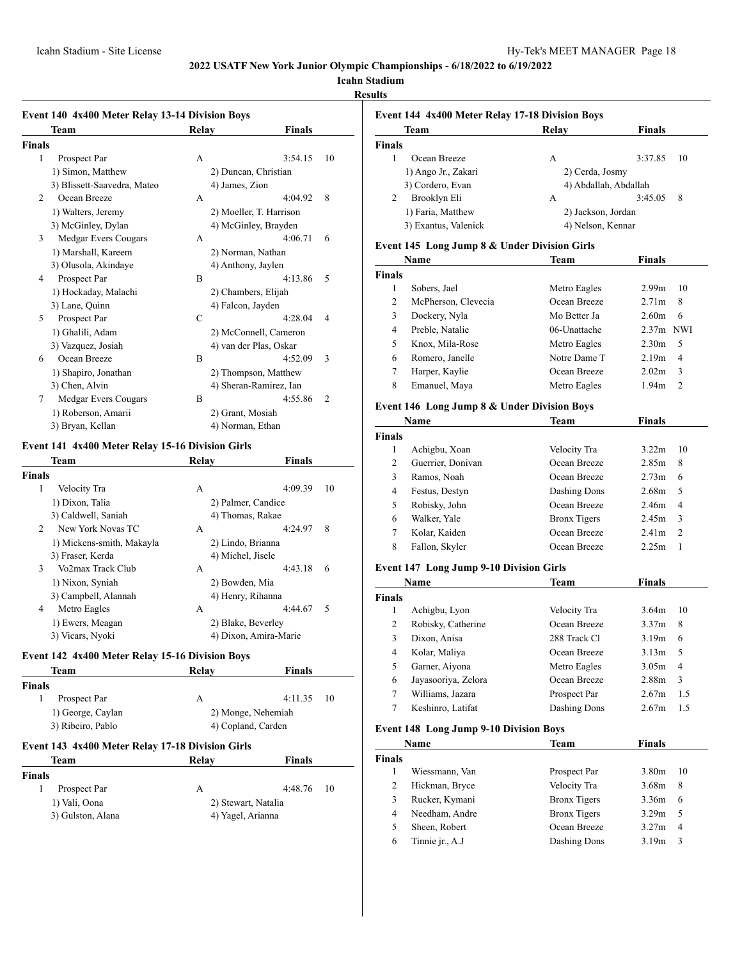# **Icahn Stadium**

# **Results**

# **Event 140 4x400 Meter Relay 13-14 Division Boys**

|        | Livent 170 7A700 Meter Renay 15 17 Division Doys<br>Team | Relay             | Finals                    |
|--------|----------------------------------------------------------|-------------------|---------------------------|
| Finals |                                                          |                   |                           |
| 1      | Prospect Par                                             | А                 | 3:54.15<br>10             |
|        | 1) Simon, Matthew                                        |                   | 2) Duncan, Christian      |
|        | 3) Blissett-Saavedra, Mateo                              | 4) James, Zion    |                           |
| 2      | Ocean Breeze                                             | A                 | 8<br>4:04.92              |
|        | 1) Walters, Jeremy                                       |                   | 2) Moeller, T. Harrison   |
|        | 3) McGinley, Dylan                                       |                   | 4) McGinley, Brayden      |
| 3      | Medgar Evers Cougars                                     | А                 | 4:06.71<br>6              |
|        | 1) Marshall, Kareem                                      |                   | 2) Norman, Nathan         |
|        | 3) Olusola, Akindaye                                     |                   | 4) Anthony, Jaylen        |
| 4      | Prospect Par                                             | B                 | 5<br>4:13.86              |
|        | 1) Hockaday, Malachi                                     |                   | 2) Chambers, Elijah       |
|        | 3) Lane, Quinn                                           | 4) Falcon, Jayden |                           |
| 5      | Prospect Par                                             | C                 | 4:28.04<br>4              |
|        | 1) Ghalili, Adam                                         |                   | 2) McConnell, Cameron     |
|        | 3) Vazquez, Josiah                                       |                   | 4) van der Plas, Oskar    |
| 6      | Ocean Breeze                                             | B                 | 4:52.09<br>3              |
|        | 1) Shapiro, Jonathan                                     |                   | 2) Thompson, Matthew      |
|        | 3) Chen, Alvin                                           |                   | 4) Sheran-Ramirez, Ian    |
| 7      | Medgar Evers Cougars                                     | B                 | 4:55.86<br>$\overline{c}$ |
|        | 1) Roberson, Amarii                                      | 2) Grant, Mosiah  |                           |
|        | 3) Bryan, Kellan                                         | 4) Norman, Ethan  |                           |

# **Event 141 4x400 Meter Relay 15-16 Division Girls**

|        | Team                      | Relav | <b>Finals</b>         |    |
|--------|---------------------------|-------|-----------------------|----|
| Finals |                           |       |                       |    |
| 1      | Velocity Tra              | А     | 4:09.39               | 10 |
|        | 1) Dixon, Talia           |       | 2) Palmer, Candice    |    |
|        | 3) Caldwell, Saniah       |       | 4) Thomas, Rakae      |    |
| 2      | New York Novas TC         | А     | 4:24.97               | 8  |
|        | 1) Mickens-smith, Makayla |       | 2) Lindo, Brianna     |    |
|        | 3) Fraser, Kerda          |       | 4) Michel, Jisele     |    |
| 3      | Vo2max Track Club         | A     | 4:43.18               | 6  |
|        | 1) Nixon, Syniah          |       | 2) Bowden, Mia        |    |
|        | 3) Campbell, Alannah      |       | 4) Henry, Rihanna     |    |
| 4      | Metro Eagles              | А     | 4:44.67               | 5  |
|        | 1) Ewers, Meagan          |       | 2) Blake, Beverley    |    |
|        | 3) Vicars, Nyoki          |       | 4) Dixon, Amira-Marie |    |

#### **Event 142 4x400 Meter Relay 15-16 Division Boys**

| Team              | Relav              | <b>Finals</b>      |
|-------------------|--------------------|--------------------|
| <b>Finals</b>     |                    |                    |
| Prospect Par      |                    | $4:11.35$ 10       |
| 1) George, Caylan |                    | 2) Monge, Nehemiah |
| 3) Ribeiro, Pablo | 4) Copland, Carden |                    |

# **Event 143 4x400 Meter Relay 17-18 Division Girls**

| Team              | Relav               | Finals       |
|-------------------|---------------------|--------------|
| <b>Finals</b>     |                     |              |
| Prospect Par      | А                   | $4:48.76$ 10 |
| 1) Vali, Oona     | 2) Stewart, Natalia |              |
| 3) Gulston, Alana | 4) Yagel, Arianna   |              |

| Event 144 4x400 Meter Relay 17-18 Division Boys |                      |                    |                       |  |
|-------------------------------------------------|----------------------|--------------------|-----------------------|--|
|                                                 | Team                 | Relav              | Finals                |  |
| <b>Finals</b>                                   |                      |                    |                       |  |
|                                                 | Ocean Breeze         | А                  | 3:37.85<br>10         |  |
|                                                 | 1) Ango Jr., Zakari  | 2) Cerda, Josmy    |                       |  |
|                                                 | 3) Cordero, Evan     |                    | 4) Abdallah, Abdallah |  |
| 2                                               | Brooklyn Eli         | А                  | 3:45.05<br>8          |  |
|                                                 | 1) Faria, Matthew    | 2) Jackson, Jordan |                       |  |
|                                                 | 3) Exantus, Valenick | 4) Nelson, Kennar  |                       |  |

# **Event 145 Long Jump 8 & Under Division Girls**

| Name          |                     | Team         | <b>Finals</b>           |
|---------------|---------------------|--------------|-------------------------|
| <b>Finals</b> |                     |              |                         |
|               | Sobers, Jael        | Metro Eagles | 2.99 <sub>m</sub><br>10 |
| 2             | McPherson, Clevecia | Ocean Breeze | 2.71 <sub>m</sub><br>8  |
| 3             | Dockery, Nyla       | Mo Better Ja | 2.60 <sub>m</sub><br>6  |
| 4             | Preble, Natalie     | 06-Unattache | $2.37m$ NWI             |
| 5             | Knox, Mila-Rose     | Metro Eagles | 2.30 <sub>m</sub><br>5  |
| 6             | Romero, Janelle     | Notre Dame T | 2.19m<br>4              |
| 7             | Harper, Kaylie      | Ocean Breeze | 3<br>2.02 <sub>m</sub>  |
| 8             | Emanuel, Maya       | Metro Eagles | 1.94 <sub>m</sub><br>2  |

# **Event 146 Long Jump 8 & Under Division Boys**

| Name          |                   | Team                | Finals            |               |
|---------------|-------------------|---------------------|-------------------|---------------|
| <b>Finals</b> |                   |                     |                   |               |
|               | Achigbu, Xoan     | Velocity Tra        | 3.22m             | 10            |
| 2             | Guerrier, Donivan | Ocean Breeze        | 2.85m             | 8             |
| 3             | Ramos, Noah       | Ocean Breeze        | 2.73m             | 6             |
| 4             | Festus, Destyn    | Dashing Dons        | 2.68 <sub>m</sub> | .5            |
| 5             | Robisky, John     | Ocean Breeze        | 2.46m             | 4             |
| 6             | Walker, Yale      | <b>Bronx Tigers</b> | 2.45m             | 3             |
| 7             | Kolar, Kaiden     | Ocean Breeze        | 2.41 <sub>m</sub> | $\mathcal{L}$ |
| 8             | Fallon, Skyler    | Ocean Breeze        | 2.25m             |               |

# **Event 147 Long Jump 9-10 Division Girls**

| Name          |                     | Team         | Finals            |                |
|---------------|---------------------|--------------|-------------------|----------------|
| <b>Finals</b> |                     |              |                   |                |
| 1             | Achigbu, Lyon       | Velocity Tra | 3.64m             | 10             |
| 2             | Robisky, Catherine  | Ocean Breeze | 3.37 <sub>m</sub> | 8              |
| 3             | Dixon, Anisa        | 288 Track Cl | 3.19m             | 6              |
| 4             | Kolar, Maliya       | Ocean Breeze | 3.13m             | 5              |
| 5             | Garner, Aiyona      | Metro Eagles | 3.05m             | $\overline{4}$ |
| 6             | Jayasooriya, Zelora | Ocean Breeze | 2.88m             | 3              |
| 7             | Williams, Jazara    | Prospect Par | 2.67m             | 1.5            |
|               | Keshinro, Latifat   | Dashing Dons | 2.67m             | 1.5            |

#### **Event 148 Long Jump 9-10 Division Boys**

| <b>Name</b>   |                 | Team                | <b>Finals</b>     |    |
|---------------|-----------------|---------------------|-------------------|----|
| <b>Finals</b> |                 |                     |                   |    |
|               | Wiessmann, Van  | Prospect Par        | 3.80 <sub>m</sub> | 10 |
| 2             | Hickman, Bryce  | Velocity Tra        | 3.68m             | 8  |
| 3             | Rucker, Kymani  | <b>Bronx Tigers</b> | 3.36m             | 6  |
| 4             | Needham, Andre  | <b>Bronx</b> Tigers | 3.29m             | 5  |
| 5             | Sheen, Robert   | Ocean Breeze        | 3.27m             | 4  |
| 6             | Tinnie jr., A.J | Dashing Dons        | 3.19m             | 3  |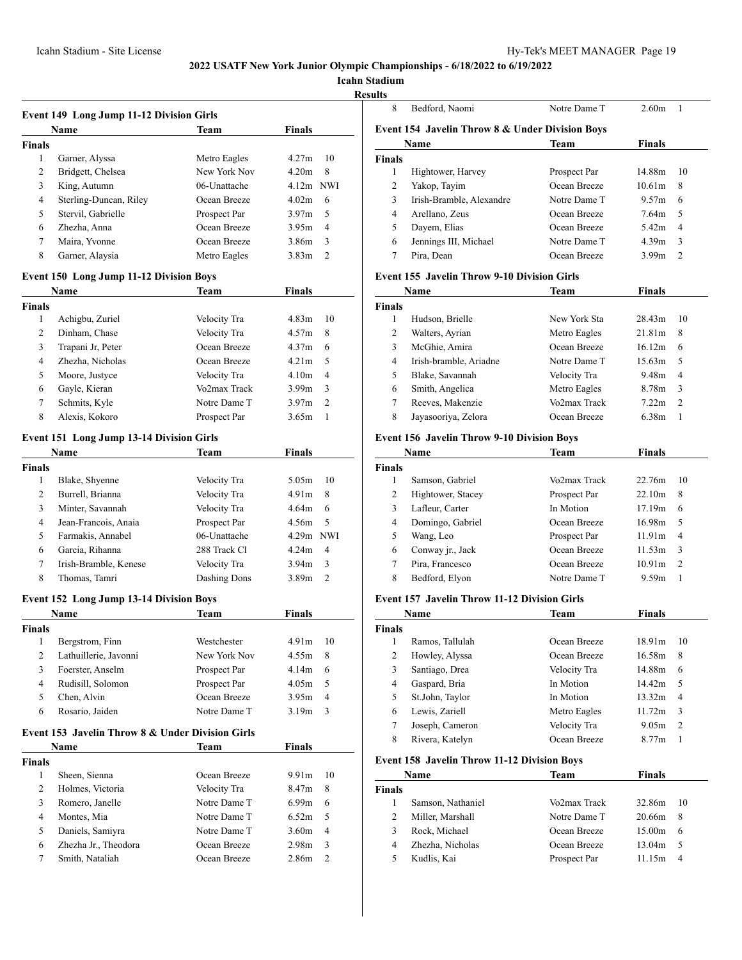**Icahn Stadium**

# **Results**

J.

| <b>Event 149 Long Jump 11-12 Division Girls</b> |                                                  |                              |                   |                |
|-------------------------------------------------|--------------------------------------------------|------------------------------|-------------------|----------------|
|                                                 | Name                                             | Team                         | Finals            |                |
| <b>Finals</b>                                   |                                                  |                              |                   |                |
| 1                                               | Garner, Alyssa                                   | Metro Eagles                 | 4.27m             | 10             |
| 2                                               | Bridgett, Chelsea                                | New York Nov                 | 4.20m             | 8              |
| 3                                               | King, Autumn                                     | 06-Unattache                 | $4.12m$ NWI       |                |
| 4                                               | Sterling-Duncan, Riley                           | Ocean Breeze                 | 4.02 <sub>m</sub> | 6              |
| 5                                               | Stervil, Gabrielle                               | Prospect Par                 | 3.97 <sub>m</sub> | 5              |
| 6                                               | Zhezha, Anna                                     | Ocean Breeze                 | 3.95m             | $\overline{4}$ |
| 7                                               | Maira, Yvonne                                    | Ocean Breeze                 | 3.86m             | 3              |
| 8                                               | Garner, Alaysia                                  | Metro Eagles                 | 3.83m             | 2              |
|                                                 | <b>Event 150 Long Jump 11-12 Division Boys</b>   |                              |                   |                |
|                                                 | Name                                             | Team                         | <b>Finals</b>     |                |
| <b>Finals</b>                                   |                                                  |                              |                   |                |
| 1                                               | Achigbu, Zuriel                                  | Velocity Tra                 | 4.83m             | 10             |
| 2                                               | Dinham, Chase                                    | Velocity Tra                 | 4.57m             | 8              |
| 3                                               | Trapani Jr, Peter                                | Ocean Breeze                 | 4.37 <sub>m</sub> | 6              |
| 4                                               | Zhezha, Nicholas                                 | Ocean Breeze                 | 4.21 <sub>m</sub> | 5              |
| 5                                               | Moore, Justyce                                   | Velocity Tra                 | 4.10 <sub>m</sub> | $\overline{4}$ |
| 6                                               | Gayle, Kieran                                    | Vo2max Track                 | 3.99 <sub>m</sub> | 3              |
| 7                                               | Schmits, Kyle                                    | Notre Dame T                 | 3.97 <sub>m</sub> | $\overline{c}$ |
| 8                                               | Alexis, Kokoro                                   | Prospect Par                 | 3.65m             | $\mathbf{1}$   |
|                                                 | <b>Event 151 Long Jump 13-14 Division Girls</b>  |                              |                   |                |
|                                                 | Name                                             | Team                         | <b>Finals</b>     |                |
|                                                 |                                                  |                              |                   |                |
| Finals<br>1                                     |                                                  |                              | 5.05 <sub>m</sub> | 10             |
| 2                                               | Blake, Shyenne<br>Burrell, Brianna               | Velocity Tra<br>Velocity Tra | 4.91 <sub>m</sub> | 8              |
| 3                                               | Minter, Savannah                                 | Velocity Tra                 | 4.64m             | 6              |
| 4                                               | Jean-Francois, Anaia                             | Prospect Par                 | 4.56m             | 5              |
| 5                                               | Farmakis, Annabel                                | 06-Unattache                 | $4.29m$ NWI       |                |
| 6                                               | Garcia, Rihanna                                  | 288 Track Cl                 | 4.24 <sub>m</sub> | 4              |
| 7                                               | Irish-Bramble, Kenese                            | Velocity Tra                 | 3.94 <sub>m</sub> | 3              |
| 8                                               | Thomas, Tamri                                    | Dashing Dons                 | 3.89m             | $\overline{2}$ |
|                                                 |                                                  |                              |                   |                |
|                                                 | <b>Event 152 Long Jump 13-14 Division Boys</b>   |                              |                   |                |
|                                                 | Name                                             | Team                         | Finals            |                |
| <b>Finals</b>                                   |                                                  |                              |                   |                |
|                                                 | 1 Bergstrom, Finn                                | Westchester                  | 4.91m             | 10             |
| 2                                               | Lathuillerie, Javonni                            | New York Nov                 | 4.55m             | 8              |
| 3                                               | Foerster, Anselm                                 | Prospect Par                 | 4.14m             | 6              |
| 4                                               | Rudisill, Solomon                                | Prospect Par                 | 4.05m             | 5              |
| 5                                               | Chen, Alvin                                      | Ocean Breeze                 | 3.95m             | 4              |
| 6                                               | Rosario, Jaiden                                  | Notre Dame T                 | 3.19m             | 3              |
|                                                 | Event 153 Javelin Throw 8 & Under Division Girls |                              |                   |                |
|                                                 | Name                                             | Team                         | <b>Finals</b>     |                |
| Finals                                          |                                                  |                              |                   |                |
| 1                                               | Sheen, Sienna                                    | Ocean Breeze                 | 9.91m             | 10             |
| $\mathbf{2}$                                    | Holmes, Victoria                                 | Velocity Tra                 | 8.47m             | 8              |
| 3                                               | Romero, Janelle                                  | Notre Dame T                 | 6.99 <sub>m</sub> | 6              |
| 4                                               | Montes, Mia                                      | Notre Dame T                 | 6.52m             | 5              |
| 5                                               | Daniels, Samiyra                                 | Notre Dame T                 | 3.60m             | 4              |
| 6                                               | Zhezha Jr., Theodora                             | Ocean Breeze                 | 2.98 <sub>m</sub> | 3              |
| 7                                               | Smith, Nataliah                                  | Ocean Breeze                 | 2.86m             | 2              |
|                                                 |                                                  |                              |                   |                |

| 8      | Bedford, Naomi                                  | Notre Dame T | 2.60m             |                |  |
|--------|-------------------------------------------------|--------------|-------------------|----------------|--|
|        | Event 154 Javelin Throw 8 & Under Division Boys |              |                   |                |  |
|        | Name                                            | <b>Team</b>  | <b>Finals</b>     |                |  |
| Finals |                                                 |              |                   |                |  |
| 1      | Hightower, Harvey                               | Prospect Par | 14.88m            | 10             |  |
| 2      | Yakop, Tayim                                    | Ocean Breeze | 10.61m            | 8              |  |
| 3      | Irish-Bramble, Alexandre                        | Notre Dame T | 9.57m             | 6              |  |
| 4      | Arellano, Zeus                                  | Ocean Breeze | 7.64m             | 5              |  |
| 5      | Dayem, Elias                                    | Ocean Breeze | 5.42 <sub>m</sub> | 4              |  |
| 6      | Jennings III, Michael                           | Notre Dame T | 4.39m             | 3              |  |
|        | Pira, Dean                                      | Ocean Breeze | 3.99m             | $\overline{2}$ |  |

# **Event 155 Javelin Throw 9-10 Division Girls**

| Name          |                        | Team         | Finals             |               |
|---------------|------------------------|--------------|--------------------|---------------|
| <b>Finals</b> |                        |              |                    |               |
|               | Hudson, Brielle        | New York Sta | 28.43m             | 10            |
| 2             | Walters, Ayrian        | Metro Eagles | 21.81 <sub>m</sub> | 8             |
| 3             | McGhie, Amira          | Ocean Breeze | 16.12m             | 6             |
| 4             | Irish-bramble, Ariadne | Notre Dame T | 15.63m             | .5            |
| 5             | Blake, Savannah        | Velocity Tra | 9.48m              | 4             |
| 6             | Smith, Angelica        | Metro Eagles | 8.78m              | 3             |
| 7             | Reeves, Makenzie       | Vo2max Track | 7.22m              | $\mathcal{L}$ |
| 8             | Jayasooriya, Zelora    | Ocean Breeze | 6.38m              |               |

#### **Event 156 Javelin Throw 9-10 Division Boys**

| Name          |                   | Team         | <b>Finals</b>      |               |
|---------------|-------------------|--------------|--------------------|---------------|
| <b>Finals</b> |                   |              |                    |               |
| 1             | Samson, Gabriel   | Vo2max Track | 22.76m             | 10            |
| 2             | Hightower, Stacey | Prospect Par | 22.10m             | 8             |
| 3             | Lafleur, Carter   | In Motion    | 17.19m             | 6             |
| 4             | Domingo, Gabriel  | Ocean Breeze | 16.98m             | -5            |
| 5             | Wang, Leo         | Prospect Par | 11.91m             | 4             |
| 6             | Conway jr., Jack  | Ocean Breeze | 11.53m             | 3             |
|               | Pira, Francesco   | Ocean Breeze | 10.91 <sub>m</sub> | $\mathcal{L}$ |
| 8             | Bedford, Elyon    | Notre Dame T | 9.59m              |               |

#### **Event 157 Javelin Throw 11-12 Division Girls**

| Name          |                 | Team         | <b>Finals</b> |    |
|---------------|-----------------|--------------|---------------|----|
| <b>Finals</b> |                 |              |               |    |
|               | Ramos, Tallulah | Ocean Breeze | 18.91m        | 10 |
| 2             | Howley, Alyssa  | Ocean Breeze | 16.58m        | 8  |
| 3             | Santiago, Drea  | Velocity Tra | 14.88m        | 6  |
| 4             | Gaspard, Bria   | In Motion    | 14.42m        | 5  |
| 5             | St.John, Taylor | In Motion    | 13.32m        | 4  |
| 6             | Lewis, Zariell  | Metro Eagles | 11.72m        | 3  |
| 7             | Joseph, Cameron | Velocity Tra | 9.05m         | 2  |
| 8             | Rivera, Katelyn | Ocean Breeze | 8.77m         |    |

# **Event 158 Javelin Throw 11-12 Division Boys**

| <b>Name</b>       | Team         | <b>Finals</b>      |    |
|-------------------|--------------|--------------------|----|
|                   |              |                    |    |
| Samson, Nathaniel | Vo2max Track | 32.86m             | 10 |
| Miller, Marshall  | Notre Dame T | 20.66m             | -8 |
| Rock, Michael     | Ocean Breeze | 15.00 <sub>m</sub> | -6 |
| Zhezha, Nicholas  | Ocean Breeze | 13.04m             | -5 |
| Kudlis, Kai       | Prospect Par | 11.15m             |    |
|                   |              |                    |    |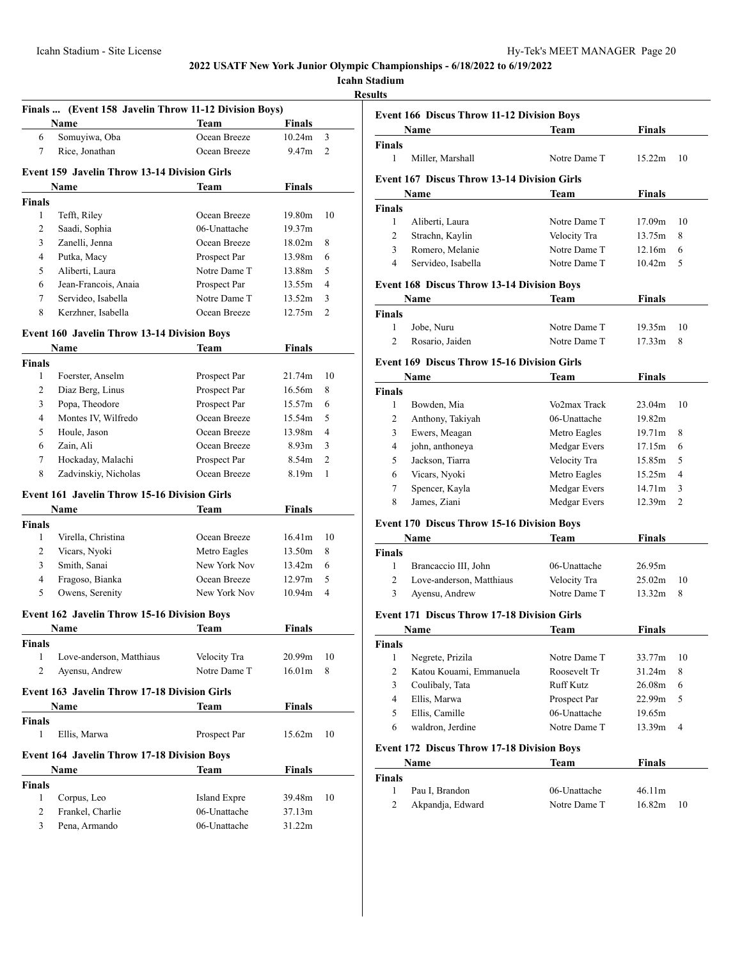**Icahn Stadium**

**Results**

|                | Finals  (Event 158 Javelin Throw 11-12 Division Boys) |                     |               |                |
|----------------|-------------------------------------------------------|---------------------|---------------|----------------|
|                | <b>Name</b>                                           | <b>Team</b>         | <b>Finals</b> |                |
| 6              | Somuyiwa, Oba                                         | Ocean Breeze        | 10.24m        | 3              |
| 7              | Rice, Jonathan                                        | Ocean Breeze        | 9.47m         | $\overline{c}$ |
|                | <b>Event 159 Javelin Throw 13-14 Division Girls</b>   |                     |               |                |
|                | Name                                                  | Team                | <b>Finals</b> |                |
| <b>Finals</b>  |                                                       |                     |               |                |
| $\mathbf{1}$   | Tefft, Riley                                          | Ocean Breeze        | 19.80m        | 10             |
| 2              | Saadi, Sophia                                         | 06-Unattache        | 19.37m        |                |
| 3              | Zanelli, Jenna                                        | Ocean Breeze        | 18.02m        | 8              |
| $\overline{4}$ | Putka, Macy                                           | Prospect Par        | 13.98m        | 6              |
| 5              | Aliberti, Laura                                       | Notre Dame T        | 13.88m        | 5              |
| 6              | Jean-Francois, Anaia                                  | Prospect Par        | 13.55m        | 4              |
| 7              | Servideo, Isabella                                    | Notre Dame T        | 13.52m        | 3              |
| 8              | Kerzhner, Isabella                                    | Ocean Breeze        | 12.75m        | 2              |
|                | <b>Event 160 Javelin Throw 13-14 Division Boys</b>    |                     |               |                |
|                | Name                                                  | Team                | <b>Finals</b> |                |
| <b>Finals</b>  |                                                       |                     |               |                |
| 1              | Foerster, Anselm                                      | Prospect Par        | 21.74m        | 10             |
| $\overline{2}$ | Diaz Berg, Linus                                      | Prospect Par        | 16.56m        | 8              |
| 3              | Popa, Theodore                                        | Prospect Par        | 15.57m        | 6              |
| $\overline{4}$ | Montes IV, Wilfredo                                   | Ocean Breeze        | 15.54m        | 5              |
| 5              | Houle, Jason                                          | Ocean Breeze        | 13.98m        | $\overline{4}$ |
| 6              | Zain, Ali                                             | Ocean Breeze        | 8.93m         | 3              |
| 7              | Hockaday, Malachi                                     | Prospect Par        | 8.54m         | $\overline{c}$ |
| 8              | Zadvinskiy, Nicholas                                  | Ocean Breeze        | 8.19m         | 1              |
|                | <b>Event 161 Javelin Throw 15-16 Division Girls</b>   |                     |               |                |
|                | Name                                                  | Team                | <b>Finals</b> |                |
| <b>Finals</b>  |                                                       |                     |               |                |
| 1              | Virella, Christina                                    | Ocean Breeze        | 16.41m        | 10             |
| 2              | Vicars, Nyoki                                         | Metro Eagles        | 13.50m        | 8              |
| 3              | Smith, Sanai                                          | New York Nov        | 13.42m        | 6              |
| $\overline{4}$ | Fragoso, Bianka                                       | Ocean Breeze        | 12.97m        | 5              |
| 5              | Owens, Serenity                                       | New York Nov        | 10.94m        | $\overline{4}$ |
|                |                                                       |                     |               |                |
|                | <b>Event 162 Javelin Throw 15-16 Division Boys</b>    |                     |               |                |
|                | <b>Name</b>                                           | Team                | Finals        |                |
| Finals         |                                                       |                     |               |                |
| 1              | Love-anderson, Matthiaus                              | Velocity Tra        | 20.99m        | 10             |
| $\overline{c}$ | Ayensu, Andrew                                        | Notre Dame T        | 16.01m        | 8              |
|                | <b>Event 163 Javelin Throw 17-18 Division Girls</b>   |                     |               |                |
|                | Name                                                  | Team                | <b>Finals</b> |                |
| <b>Finals</b>  |                                                       |                     |               |                |
| 1              | Ellis, Marwa                                          | Prospect Par        | 15.62m        | 10             |
|                | <b>Event 164 Javelin Throw 17-18 Division Boys</b>    |                     |               |                |
|                | Name                                                  | Team                | <b>Finals</b> |                |
| <b>Finals</b>  |                                                       |                     |               |                |
| 1              | Corpus, Leo                                           | <b>Island Expre</b> | 39.48m        | 10             |
| $\overline{c}$ | Frankel, Charlie                                      | 06-Unattache        | 37.13m        |                |
| 3              | Pena, Armando                                         | 06-Unattache        | 31.22m        |                |

|                | <b>Event 166 Discus Throw 11-12 Division Boys</b>         |              |                    |    |
|----------------|-----------------------------------------------------------|--------------|--------------------|----|
|                | Name                                                      | Team         | Finals             |    |
| Finals         |                                                           |              |                    |    |
| 1              | Miller, Marshall                                          | Notre Dame T | 15.22m             | 10 |
|                | <b>Event 167 Discus Throw 13-14 Division Girls</b>        |              |                    |    |
|                | Name                                                      | Team         | Finals             |    |
| Finals         |                                                           |              |                    |    |
| 1              | Aliberti, Laura                                           | Notre Dame T | 17.09m             | 10 |
| 2              | Strachn, Kaylin                                           | Velocity Tra | 13.75m             | 8  |
| 3              | Romero, Melanie                                           | Notre Dame T | 12.16m             | 6  |
| 4              | Servideo, Isabella                                        | Notre Dame T | 10.42m             | 5  |
|                | <b>Event 168 Discus Throw 13-14 Division Boys</b>         |              |                    |    |
|                | Name                                                      | Team         | Finals             |    |
| Finals         |                                                           |              |                    |    |
| 1              | Jobe, Nuru                                                | Notre Dame T | 19.35m             | 10 |
| $\overline{c}$ | Rosario, Jaiden                                           | Notre Dame T | 17.33m             | 8  |
|                | <b>Event 169 Discus Throw 15-16 Division Girls</b>        |              |                    |    |
|                | Name                                                      | Team         | Finals             |    |
| <b>Finals</b>  |                                                           |              |                    |    |
| 1              | Bowden, Mia                                               | Vo2max Track | 23.04m             | 10 |
| 2              | Anthony, Takiyah                                          | 06-Unattache | 19.82m             |    |
| 3              | Ewers, Meagan                                             | Metro Eagles | 19.71 <sub>m</sub> | 8  |
| 4              | john, anthoneya                                           | Medgar Evers | 17.15m             | 6  |
| 5              | Jackson, Tiarra                                           | Velocity Tra | 15.85m             | 5  |
| 6              | Vicars, Nyoki                                             | Metro Eagles | 15.25m             | 4  |
| 7              | Spencer, Kayla                                            | Medgar Evers | 14.71m             | 3  |
| 8              | James, Ziani                                              | Medgar Evers | 12.39m             | 2  |
|                | <b>Event 170 Discus Throw 15-16 Division Boys</b>         |              |                    |    |
|                | Name                                                      | Team         | Finals             |    |
| <b>Finals</b>  |                                                           |              |                    |    |
| 1              | Brancaccio III, John                                      | 06-Unattache | 26.95m             |    |
| 2              | Love-anderson, Matthiaus                                  | Velocity Tra | 25.02m             | 10 |
| 3              | Ayensu, Andrew                                            | Notre Dame T | 13.32m             | 8  |
|                | <b>Event 171 Discus Throw 17-18 Division Girls</b>        |              |                    |    |
|                | Name                                                      | Team         | Finals             |    |
| Finals         |                                                           |              |                    |    |
| 1              | Negrete, Prizila                                          | Notre Dame T | 33.77m             | 10 |
| 2              | Katou Kouami, Emmanuela                                   | Roosevelt Tr | 31.24m             | 8  |
| 3              | Coulibaly, Tata                                           | Ruff Kutz    | 26.08m             | 6  |
| 4              | Ellis, Marwa                                              | Prospect Par | 22.99m             | 5  |
| 5              | Ellis, Camille                                            | 06-Unattache | 19.65m             |    |
| 6              | waldron, Jerdine                                          | Notre Dame T | 13.39m             | 4  |
|                |                                                           |              |                    |    |
|                | <b>Event 172 Discus Throw 17-18 Division Boys</b><br>Name | Team         | <b>Finals</b>      |    |
|                |                                                           |              |                    |    |
| <b>Finals</b>  | Pau I, Brandon                                            | 06-Unattache | 46.11m             |    |
|                |                                                           |              |                    |    |
| 1<br>2         | Akpandja, Edward                                          | Notre Dame T | 16.82m             | 10 |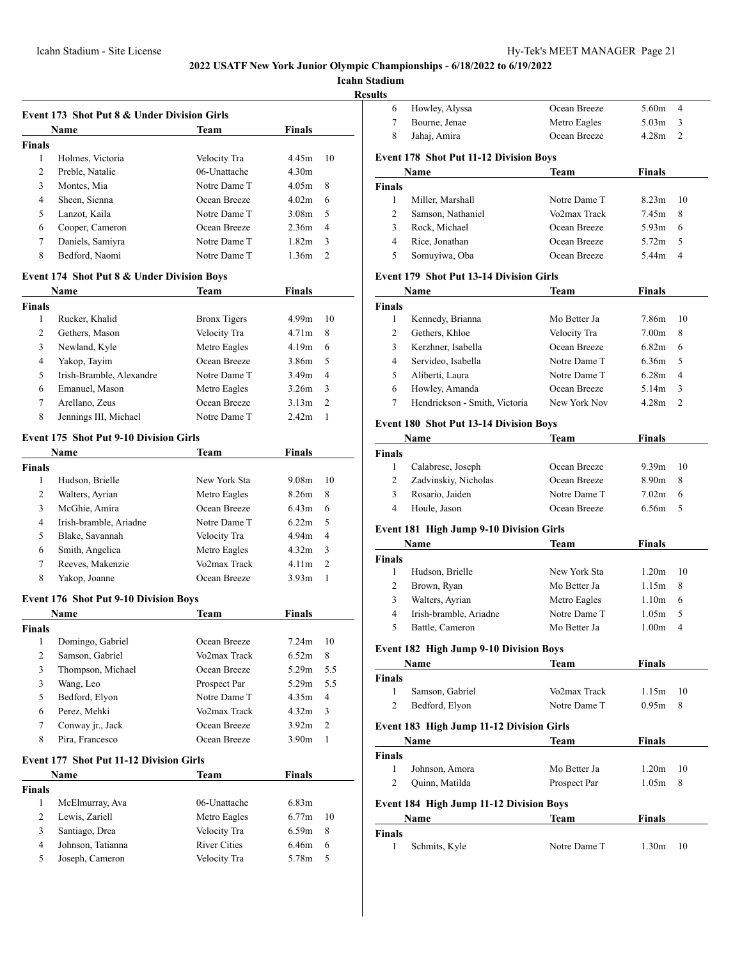**Icahn Stadium**

**Result** 

| <b>Event 173 Shot Put 8 &amp; Under Division Girls</b> |                                                       |                     |                   |                |  |
|--------------------------------------------------------|-------------------------------------------------------|---------------------|-------------------|----------------|--|
|                                                        | Name                                                  | Team                | Finals            |                |  |
| <b>Finals</b>                                          |                                                       |                     |                   |                |  |
| 1                                                      | Holmes, Victoria                                      | Velocity Tra        | 4.45m             | 10             |  |
| 2                                                      | Preble, Natalie                                       | 06-Unattache        | 4.30 <sub>m</sub> |                |  |
| 3                                                      | Montes, Mia                                           | Notre Dame T        | 4.05m             | 8              |  |
| 4                                                      | Sheen, Sienna                                         | Ocean Breeze        | 4.02m             | 6              |  |
| 5                                                      | Lanzot, Kaila                                         | Notre Dame T        | 3.08 <sub>m</sub> | 5              |  |
| 6                                                      | Cooper, Cameron                                       | Ocean Breeze        | 2.36m             | $\overline{4}$ |  |
| 7                                                      | Daniels, Samiyra                                      | Notre Dame T        | 1.82m             | 3              |  |
| 8                                                      | Bedford, Naomi                                        | Notre Dame T        | 1.36m             | 2              |  |
|                                                        | <b>Event 174 Shot Put 8 &amp; Under Division Boys</b> |                     |                   |                |  |
|                                                        | Name                                                  | Team                | <b>Finals</b>     |                |  |
| <b>Finals</b>                                          |                                                       |                     |                   |                |  |
| 1                                                      | Rucker, Khalid                                        | <b>Bronx Tigers</b> | 4.99m             | 10             |  |
| 2                                                      | Gethers, Mason                                        | Velocity Tra        | 4.71 <sub>m</sub> | 8              |  |
| 3                                                      | Newland, Kyle                                         | Metro Eagles        | 4.19m             | 6              |  |
| $\overline{4}$                                         | Yakop, Tayim                                          | Ocean Breeze        | 3.86m             | 5              |  |
| 5                                                      | Irish-Bramble, Alexandre                              | Notre Dame T        | 3.49m             | $\overline{4}$ |  |
| 6                                                      | Emanuel, Mason                                        | Metro Eagles        | 3.26m             | 3              |  |
| 7                                                      | Arellano, Zeus                                        | Ocean Breeze        | 3.13m             | 2              |  |
| 8                                                      | Jennings III, Michael                                 | Notre Dame T        | 2.42 <sub>m</sub> | $\mathbf{1}$   |  |
|                                                        | <b>Event 175 Shot Put 9-10 Division Girls</b>         |                     |                   |                |  |
|                                                        | Name                                                  | Team                | <b>Finals</b>     |                |  |
| <b>Finals</b>                                          |                                                       |                     |                   |                |  |
| 1                                                      | Hudson, Brielle                                       | New York Sta        | 9.08m             | 10             |  |
| 2                                                      | Walters, Ayrian                                       | Metro Eagles        | 8.26m             | 8              |  |
| 3                                                      | McGhie, Amira                                         | Ocean Breeze        | 6.43m             | 6              |  |
| 4                                                      | Irish-bramble, Ariadne                                | Notre Dame T        | 6.22m             | 5              |  |
| 5                                                      | Blake, Savannah                                       | Velocity Tra        | 4.94m             | $\overline{4}$ |  |
| 6                                                      | Smith, Angelica                                       | Metro Eagles        | 4.32m             | 3              |  |
| 7                                                      | Reeves, Makenzie                                      | Vo2max Track        | 4.11m             | 2              |  |
| 8                                                      | Yakop, Joanne                                         | Ocean Breeze        | 3.93 <sub>m</sub> | $\mathbf{1}$   |  |
|                                                        | <b>Event 176 Shot Put 9-10 Division Boys</b>          |                     |                   |                |  |
|                                                        | Name                                                  | Team                | Finals            |                |  |
| <b>Finals</b>                                          |                                                       |                     |                   |                |  |
|                                                        | 1 Domingo, Gabriel                                    | Ocean Breeze        | 7.24m             | 10             |  |
| 2                                                      | Samson, Gabriel                                       | Vo2max Track        | 6.52m             | 8              |  |
| 3                                                      | Thompson, Michael                                     | Ocean Breeze        | 5.29m             | 5.5            |  |
| 3                                                      | Wang, Leo                                             | Prospect Par        | 5.29m             | 5.5            |  |
| 5                                                      | Bedford, Elyon                                        | Notre Dame T        | 4.35m             | 4              |  |
| 6                                                      | Perez, Mehki                                          | Vo2max Track        | 4.32m             | 3              |  |
| 7                                                      | Conway jr., Jack                                      | Ocean Breeze        | 3.92 <sub>m</sub> | $\overline{c}$ |  |
| 8                                                      | Pira, Francesco                                       | Ocean Breeze        | 3.90 <sub>m</sub> | 1              |  |
|                                                        | <b>Event 177 Shot Put 11-12 Division Girls</b>        |                     |                   |                |  |
|                                                        | Name                                                  | Team                | <b>Finals</b>     |                |  |
| <b>Finals</b>                                          |                                                       |                     |                   |                |  |
| 1                                                      | McElmurray, Ava                                       | 06-Unattache        | 6.83m             |                |  |
| $\mathbf{2}$                                           | Lewis, Zariell                                        | Metro Eagles        | 6.77m             | 10             |  |
| 3                                                      | Santiago, Drea                                        | Velocity Tra        | 6.59m             | 8              |  |
| $\overline{4}$                                         | Johnson, Tatianna                                     | <b>River Cities</b> | 6.46m             | 6              |  |
| 5                                                      | Joseph, Cameron                                       | Velocity Tra        | 5.78m             | 5              |  |

| Howley, Alyssa                | Ocean Breeze                                                                                                                                                                              | 5.60m                                                                                                                                                                                                                                                                                                                                                                                                                                                                     | $\overline{4}$                                                                                                              |
|-------------------------------|-------------------------------------------------------------------------------------------------------------------------------------------------------------------------------------------|---------------------------------------------------------------------------------------------------------------------------------------------------------------------------------------------------------------------------------------------------------------------------------------------------------------------------------------------------------------------------------------------------------------------------------------------------------------------------|-----------------------------------------------------------------------------------------------------------------------------|
| Bourne, Jenae                 | Metro Eagles                                                                                                                                                                              | 5.03m                                                                                                                                                                                                                                                                                                                                                                                                                                                                     | 3                                                                                                                           |
| Jahaj, Amira                  | Ocean Breeze                                                                                                                                                                              | 4.28 <sub>m</sub>                                                                                                                                                                                                                                                                                                                                                                                                                                                         | $\overline{c}$                                                                                                              |
|                               |                                                                                                                                                                                           |                                                                                                                                                                                                                                                                                                                                                                                                                                                                           |                                                                                                                             |
| Name                          | Team                                                                                                                                                                                      | Finals                                                                                                                                                                                                                                                                                                                                                                                                                                                                    |                                                                                                                             |
|                               |                                                                                                                                                                                           |                                                                                                                                                                                                                                                                                                                                                                                                                                                                           |                                                                                                                             |
| Miller, Marshall              | Notre Dame T                                                                                                                                                                              | 8.23m                                                                                                                                                                                                                                                                                                                                                                                                                                                                     | 10                                                                                                                          |
| Samson, Nathaniel             | Vo2max Track                                                                                                                                                                              | 7.45m                                                                                                                                                                                                                                                                                                                                                                                                                                                                     | 8                                                                                                                           |
| Rock, Michael                 | Ocean Breeze                                                                                                                                                                              | 5.93 <sub>m</sub>                                                                                                                                                                                                                                                                                                                                                                                                                                                         | 6                                                                                                                           |
| Rice, Jonathan                | Ocean Breeze                                                                                                                                                                              | 5.72 <sub>m</sub>                                                                                                                                                                                                                                                                                                                                                                                                                                                         | 5                                                                                                                           |
| Somuyiwa, Oba                 | Ocean Breeze                                                                                                                                                                              | 5.44m                                                                                                                                                                                                                                                                                                                                                                                                                                                                     | $\overline{4}$                                                                                                              |
|                               |                                                                                                                                                                                           |                                                                                                                                                                                                                                                                                                                                                                                                                                                                           |                                                                                                                             |
| Name                          |                                                                                                                                                                                           |                                                                                                                                                                                                                                                                                                                                                                                                                                                                           |                                                                                                                             |
|                               |                                                                                                                                                                                           |                                                                                                                                                                                                                                                                                                                                                                                                                                                                           |                                                                                                                             |
|                               | Mo Better Ja                                                                                                                                                                              | 7.86m                                                                                                                                                                                                                                                                                                                                                                                                                                                                     | 10                                                                                                                          |
| Gethers, Khloe                | Velocity Tra                                                                                                                                                                              | 7.00 <sub>m</sub>                                                                                                                                                                                                                                                                                                                                                                                                                                                         | 8                                                                                                                           |
| Kerzhner, Isabella            | Ocean Breeze                                                                                                                                                                              | 6.82m                                                                                                                                                                                                                                                                                                                                                                                                                                                                     | 6                                                                                                                           |
| Servideo, Isabella            | Notre Dame T                                                                                                                                                                              | 6.36m                                                                                                                                                                                                                                                                                                                                                                                                                                                                     | 5                                                                                                                           |
|                               | Notre Dame T                                                                                                                                                                              | 6.28m                                                                                                                                                                                                                                                                                                                                                                                                                                                                     | 4                                                                                                                           |
|                               | Ocean Breeze                                                                                                                                                                              | 5.14m                                                                                                                                                                                                                                                                                                                                                                                                                                                                     | 3                                                                                                                           |
| Hendrickson - Smith, Victoria | New York Nov                                                                                                                                                                              | 4.28m                                                                                                                                                                                                                                                                                                                                                                                                                                                                     | $\overline{c}$                                                                                                              |
|                               |                                                                                                                                                                                           |                                                                                                                                                                                                                                                                                                                                                                                                                                                                           |                                                                                                                             |
|                               |                                                                                                                                                                                           |                                                                                                                                                                                                                                                                                                                                                                                                                                                                           |                                                                                                                             |
|                               |                                                                                                                                                                                           |                                                                                                                                                                                                                                                                                                                                                                                                                                                                           |                                                                                                                             |
|                               |                                                                                                                                                                                           |                                                                                                                                                                                                                                                                                                                                                                                                                                                                           |                                                                                                                             |
|                               |                                                                                                                                                                                           |                                                                                                                                                                                                                                                                                                                                                                                                                                                                           | 10                                                                                                                          |
|                               |                                                                                                                                                                                           |                                                                                                                                                                                                                                                                                                                                                                                                                                                                           | 8                                                                                                                           |
|                               |                                                                                                                                                                                           |                                                                                                                                                                                                                                                                                                                                                                                                                                                                           | 6                                                                                                                           |
|                               |                                                                                                                                                                                           |                                                                                                                                                                                                                                                                                                                                                                                                                                                                           | 5                                                                                                                           |
|                               |                                                                                                                                                                                           |                                                                                                                                                                                                                                                                                                                                                                                                                                                                           |                                                                                                                             |
| Name                          | Team                                                                                                                                                                                      | Finals                                                                                                                                                                                                                                                                                                                                                                                                                                                                    |                                                                                                                             |
|                               |                                                                                                                                                                                           |                                                                                                                                                                                                                                                                                                                                                                                                                                                                           |                                                                                                                             |
| Hudson, Brielle               | New York Sta                                                                                                                                                                              | 1.20 <sub>m</sub>                                                                                                                                                                                                                                                                                                                                                                                                                                                         | 10                                                                                                                          |
| Brown, Ryan                   | Mo Better Ja                                                                                                                                                                              | 1.15m                                                                                                                                                                                                                                                                                                                                                                                                                                                                     | 8                                                                                                                           |
| Walters, Ayrian               | Metro Eagles                                                                                                                                                                              | 1.10 <sub>m</sub>                                                                                                                                                                                                                                                                                                                                                                                                                                                         | 6                                                                                                                           |
| Irish-bramble, Ariadne        | Notre Dame T                                                                                                                                                                              | 1.05m                                                                                                                                                                                                                                                                                                                                                                                                                                                                     | 5                                                                                                                           |
| Battle, Cameron               | Mo Better Ja                                                                                                                                                                              | 1.00 <sub>m</sub>                                                                                                                                                                                                                                                                                                                                                                                                                                                         | 4                                                                                                                           |
|                               |                                                                                                                                                                                           |                                                                                                                                                                                                                                                                                                                                                                                                                                                                           |                                                                                                                             |
| Name                          | Team                                                                                                                                                                                      | <b>Finals</b>                                                                                                                                                                                                                                                                                                                                                                                                                                                             |                                                                                                                             |
|                               |                                                                                                                                                                                           |                                                                                                                                                                                                                                                                                                                                                                                                                                                                           |                                                                                                                             |
| Samson, Gabriel               | Vo2max Track                                                                                                                                                                              | 1.15m                                                                                                                                                                                                                                                                                                                                                                                                                                                                     | 10                                                                                                                          |
| Bedford, Elyon                | Notre Dame T                                                                                                                                                                              | 0.95m                                                                                                                                                                                                                                                                                                                                                                                                                                                                     | 8                                                                                                                           |
|                               |                                                                                                                                                                                           |                                                                                                                                                                                                                                                                                                                                                                                                                                                                           |                                                                                                                             |
|                               |                                                                                                                                                                                           |                                                                                                                                                                                                                                                                                                                                                                                                                                                                           |                                                                                                                             |
|                               |                                                                                                                                                                                           |                                                                                                                                                                                                                                                                                                                                                                                                                                                                           |                                                                                                                             |
|                               |                                                                                                                                                                                           |                                                                                                                                                                                                                                                                                                                                                                                                                                                                           |                                                                                                                             |
|                               |                                                                                                                                                                                           |                                                                                                                                                                                                                                                                                                                                                                                                                                                                           | 10                                                                                                                          |
|                               |                                                                                                                                                                                           |                                                                                                                                                                                                                                                                                                                                                                                                                                                                           | 8                                                                                                                           |
|                               |                                                                                                                                                                                           |                                                                                                                                                                                                                                                                                                                                                                                                                                                                           |                                                                                                                             |
| Name                          | Team                                                                                                                                                                                      | <b>Finals</b>                                                                                                                                                                                                                                                                                                                                                                                                                                                             |                                                                                                                             |
|                               |                                                                                                                                                                                           |                                                                                                                                                                                                                                                                                                                                                                                                                                                                           |                                                                                                                             |
| Schmits, Kyle                 | Notre Dame T                                                                                                                                                                              | 1.30m                                                                                                                                                                                                                                                                                                                                                                                                                                                                     | 10                                                                                                                          |
|                               | Kennedy, Brianna<br>Aliberti, Laura<br>Howley, Amanda<br>Name<br>Calabrese, Joseph<br>Zadvinskiy, Nicholas<br>Rosario, Jaiden<br>Houle, Jason<br>Name<br>Johnson, Amora<br>Quinn, Matilda | <b>Event 178 Shot Put 11-12 Division Boys</b><br><b>Event 179 Shot Put 13-14 Division Girls</b><br>Team<br><b>Event 180 Shot Put 13-14 Division Boys</b><br>Team<br>Ocean Breeze<br>Ocean Breeze<br>Notre Dame T<br>Ocean Breeze<br><b>Event 181 High Jump 9-10 Division Girls</b><br><b>Event 182 High Jump 9-10 Division Boys</b><br>Event 183 High Jump 11-12 Division Girls<br>Team<br>Mo Better Ja<br>Prospect Par<br><b>Event 184 High Jump 11-12 Division Boys</b> | <b>Finals</b><br>Finals<br>9.39 <sub>m</sub><br>8.90m<br>7.02 <sub>m</sub><br>6.56m<br>Finals<br>1.20 <sub>m</sub><br>1.05m |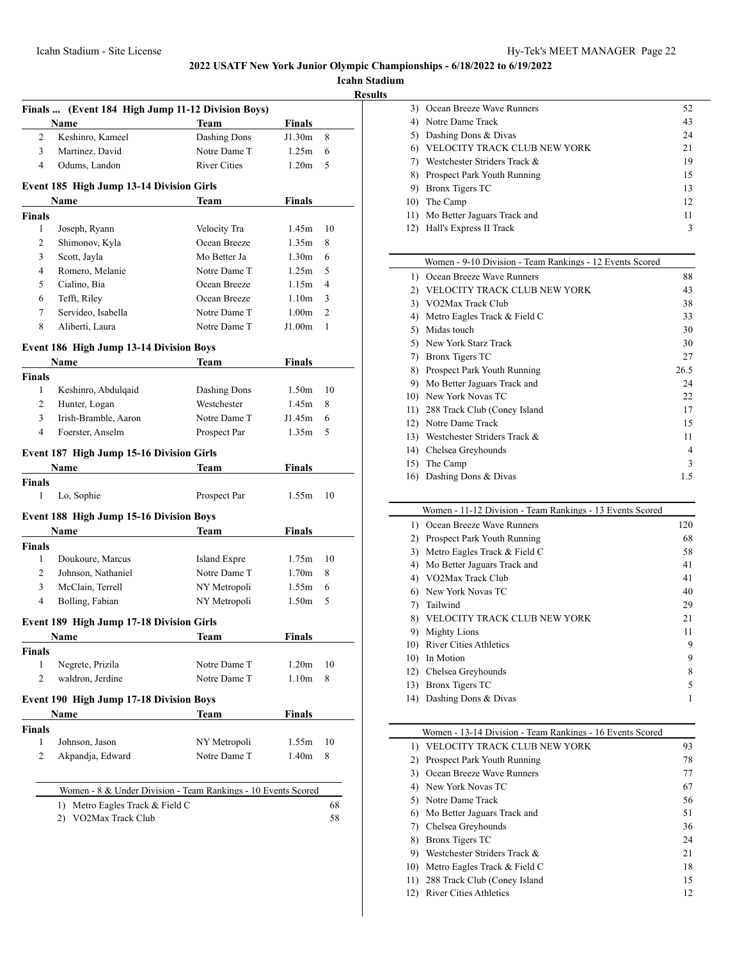**Icahn Stadium**

**<u>sults</u>** 

|                    | Finals  (Event 184 High Jump 11-12 Division Boys)<br>Name     | Team                | <b>Finals</b>               |    |
|--------------------|---------------------------------------------------------------|---------------------|-----------------------------|----|
| 2                  | Keshinro, Kameel                                              | Dashing Dons        | J1.30m                      | 8  |
| 3                  | Martinez, David                                               | Notre Dame T        | 1.25m                       | 6  |
| 4                  | Odums, Landon                                                 | <b>River Cities</b> | 1.20 <sub>m</sub>           | 5  |
|                    |                                                               |                     |                             |    |
|                    | Event 185 High Jump 13-14 Division Girls                      |                     |                             |    |
| <b>Finals</b>      | Name                                                          | Team                | <b>Finals</b>               |    |
| 1                  | Joseph, Ryann                                                 | Velocity Tra        | 1.45m                       | 10 |
| 2                  | Shimonov, Kyla                                                | Ocean Breeze        | 1.35m                       | 8  |
| 3                  | Scott, Jayla                                                  | Mo Better Ja        | 1.30 <sub>m</sub>           | 6  |
| 4                  | Romero, Melanie                                               | Notre Dame T        | 1.25m                       | 5  |
| 5                  | Cialino, Bia                                                  | Ocean Breeze        | 1.15m                       | 4  |
| 6                  | Tefft, Riley                                                  | Ocean Breeze        | 1.10 <sub>m</sub>           | 3  |
| 7                  | Servideo, Isabella                                            | Notre Dame T        |                             | 2  |
| 8                  | Aliberti, Laura                                               | Notre Dame T        | 1.00 <sub>m</sub><br>J1.00m | 1  |
|                    |                                                               |                     |                             |    |
|                    | <b>Event 186 High Jump 13-14 Division Boys</b>                |                     |                             |    |
|                    | Name                                                          | Team                | <b>Finals</b>               |    |
| <b>Finals</b><br>1 | Keshinro, Abdulqaid                                           | Dashing Dons        | 1.50 <sub>m</sub>           | 10 |
| 2                  |                                                               | Westchester         | 1.45m                       | 8  |
| 3                  | Hunter, Logan<br>Irish-Bramble, Aaron                         | Notre Dame T        | J1.45m                      | 6  |
| $\overline{4}$     | Foerster, Anselm                                              | Prospect Par        | 1.35m                       | 5  |
|                    |                                                               |                     |                             |    |
|                    | Event 187 High Jump 15-16 Division Girls                      |                     |                             |    |
|                    | Name                                                          | Team                | Finals                      |    |
| <b>Finals</b>      |                                                               |                     |                             |    |
| 1                  | Lo, Sophie                                                    | Prospect Par        | 1.55m                       | 10 |
|                    | <b>Event 188 High Jump 15-16 Division Boys</b>                |                     |                             |    |
|                    | Name                                                          | Team                | <b>Finals</b>               |    |
| <b>Finals</b>      |                                                               |                     |                             |    |
| 1                  | Doukoure, Marcus                                              | <b>Island Expre</b> | 1.75m                       | 10 |
| 2                  | Johnson, Nathaniel                                            | Notre Dame T        | 1.70 <sub>m</sub>           | 8  |
| 3                  | McClain, Terrell                                              | NY Metropoli        | 1.55m                       | 6  |
| $\overline{4}$     | Bolling, Fabian                                               | NY Metropoli        | 1.50 <sub>m</sub>           | 5  |
|                    | Event 189 High Jump 17-18 Division Girls                      |                     |                             |    |
|                    | Name                                                          | Team                | <b>Finals</b>               |    |
| <b>Finals</b>      |                                                               |                     |                             |    |
| 1                  | Negrete, Prizila                                              | Notre Dame T        | 1.20 <sub>m</sub>           | 10 |
| 2                  | waldron, Jerdine                                              | Notre Dame T        | 1.10 <sub>m</sub>           | 8  |
|                    | <b>Event 190 High Jump 17-18 Division Boys</b>                |                     |                             |    |
|                    | Name                                                          | Team                | Finals                      |    |
| <b>Finals</b>      |                                                               |                     |                             |    |
| 1                  | Johnson, Jason                                                | NY Metropoli        | 1.55m                       | 10 |
| 2                  | Akpandja, Edward                                              | Notre Dame T        | 1.40 <sub>m</sub>           | 8  |
|                    |                                                               |                     |                             |    |
|                    | Women - 8 & Under Division - Team Rankings - 10 Events Scored |                     |                             |    |
|                    |                                                               |                     |                             | 68 |
|                    | 1) Metro Eagles Track & Field C<br>2) VO2Max Track Club       |                     |                             |    |

|     | Ocean Breeze Wave Runners       | 52 |
|-----|---------------------------------|----|
|     | Notre Dame Track                | 43 |
|     | Dashing Dons & Divas            | 24 |
|     | VELOCITY TRACK CLUB NEW YORK    | 21 |
|     | Westchester Striders Track &    | 19 |
| 8)  | Prospect Park Youth Running     | 15 |
|     | Bronx Tigers TC                 | 13 |
| 10) | The Camp                        | 12 |
|     | 11) Mo Better Jaguars Track and | 11 |
|     | Hall's Express II Track         | 3  |
|     |                                 |    |

|     | Women - 9-10 Division - Team Rankings - 12 Events Scored |                |
|-----|----------------------------------------------------------|----------------|
| 1)  | Ocean Breeze Wave Runners                                | 88             |
| 2)  | VELOCITY TRACK CLUB NEW YORK                             | 43             |
| 3)  | VO2Max Track Club                                        | 38             |
| 4)  | Metro Eagles Track & Field C                             | 33             |
| 5)  | Midas touch                                              | 30             |
| 5)  | New York Starz Track                                     | 30             |
| 7)  | <b>Bronx Tigers TC</b>                                   | 27             |
| 8)  | Prospect Park Youth Running                              | 26.5           |
| 9)  | Mo Better Jaguars Track and                              | 24             |
| 10) | New York Novas TC                                        | 22             |
| 11) | 288 Track Club (Coney Island                             | 17             |
| 12) | Notre Dame Track                                         | 15             |
| 13) | Westchester Striders Track &                             | 11             |
| 14) | Chelsea Greyhounds                                       | $\overline{4}$ |
| 15) | The Camp                                                 | 3              |
| 16) | Dashing Dons & Divas                                     | 1.5            |

| Women - 11-12 Division - Team Rankings - 13 Events Scored |                                 |     |  |
|-----------------------------------------------------------|---------------------------------|-----|--|
| 1)                                                        | Ocean Breeze Wave Runners       | 120 |  |
| 2)                                                        | Prospect Park Youth Running     | 68  |  |
| 3)                                                        | Metro Eagles Track & Field C    | 58  |  |
| 4)                                                        | Mo Better Jaguars Track and     | 41  |  |
|                                                           | 4) VO2Max Track Club            | 41  |  |
| 6)                                                        | New York Novas TC               | 40  |  |
| 7)                                                        | Tailwind                        | 29  |  |
|                                                           | 8) VELOCITY TRACK CLUB NEW YORK | 21  |  |
| 9)                                                        | <b>Mighty Lions</b>             | 11  |  |
| 10)                                                       | River Cities Athletics          | 9   |  |
| 10)                                                       | In Motion                       | 9   |  |
| 12)                                                       | Chelsea Greyhounds              | 8   |  |
| 13)                                                       | Bronx Tigers TC                 | 5   |  |
| 14)                                                       | Dashing Dons & Divas            |     |  |

| Women - 13-14 Division - Team Rankings - 16 Events Scored |                               |    |
|-----------------------------------------------------------|-------------------------------|----|
|                                                           | VELOCITY TRACK CLUB NEW YORK  | 93 |
| 2)                                                        | Prospect Park Youth Running   | 78 |
| 3)                                                        | Ocean Breeze Wave Runners     | 77 |
|                                                           | 4) New York Novas TC          | 67 |
|                                                           | 5) Notre Dame Track           | 56 |
| 6)                                                        | Mo Better Jaguars Track and   | 51 |
|                                                           | Chelsea Greyhounds            | 36 |
| 8)                                                        | Bronx Tigers TC               | 24 |
| 9).                                                       | Westchester Striders Track &  | 21 |
| 10)                                                       | Metro Eagles Track & Field C  | 18 |
| 11)                                                       | 288 Track Club (Coney Island  | 15 |
| 12)                                                       | <b>River Cities Athletics</b> | 12 |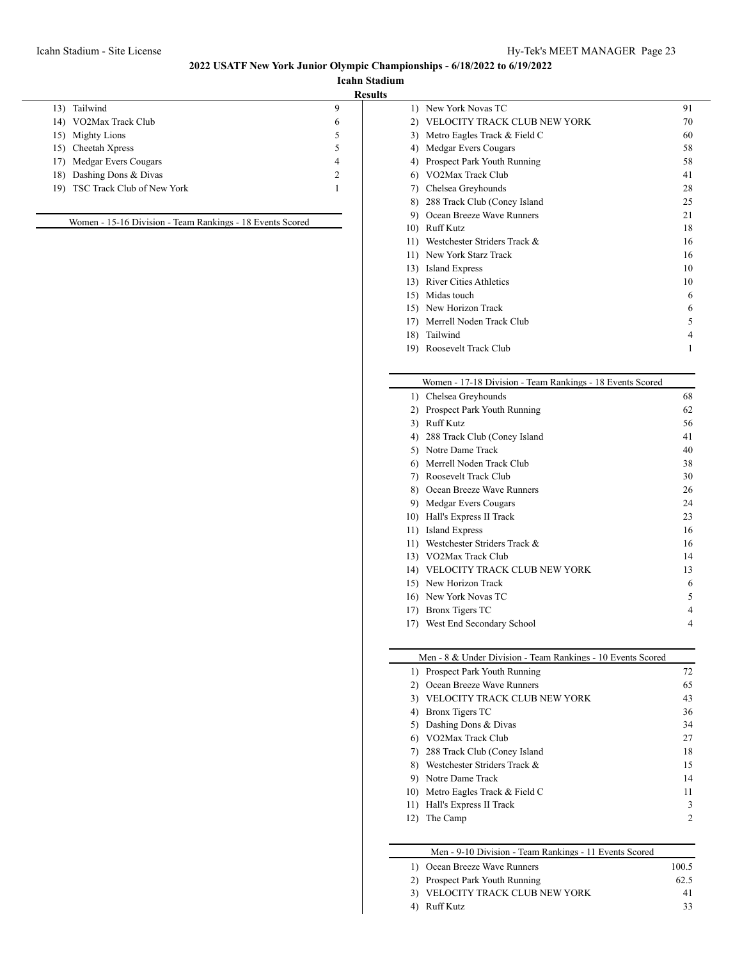**Icahn Stadium Results**

| 13) | Tailwind                       | 9              |
|-----|--------------------------------|----------------|
| 14) | VO2Max Track Club              | 6              |
| 15) | <b>Mighty Lions</b>            | 5              |
|     | 15) Cheetah Xpress             | 5              |
| 17) | Medgar Evers Cougars           | 4              |
|     | 18) Dashing Dons & Divas       | $\mathfrak{D}$ |
|     | 19) TSC Track Club of New York |                |
|     |                                |                |

Women - 15-16 Division - Team Rankings - 18 Events Scored

|     | 1) New York Novas TC          | 91 |
|-----|-------------------------------|----|
| 2)  | VELOCITY TRACK CLUB NEW YORK  | 70 |
| 3)  | Metro Eagles Track & Field C  | 60 |
| 4)  | Medgar Evers Cougars          | 58 |
| 4)  | Prospect Park Youth Running   | 58 |
| 6)  | VO2Max Track Club             | 41 |
| 7)  | Chelsea Greyhounds            | 28 |
| 8)  | 288 Track Club (Coney Island  | 25 |
| 9)  | Ocean Breeze Wave Runners     | 21 |
| 10) | <b>Ruff Kutz</b>              | 18 |
| 11) | Westchester Striders Track &  | 16 |
| 11) | New York Starz Track          | 16 |
| 13) | <b>Island Express</b>         | 10 |
| 13) | <b>River Cities Athletics</b> | 10 |
| 15) | Midas touch                   | 6  |
| 15) | New Horizon Track             | 6  |
| 17) | Merrell Noden Track Club      | 5  |
| 18) | Tailwind                      | 4  |
| 19) | Roosevelt Track Club          | 1  |
|     |                               |    |

#### Women - 17-18 Division - Team Rankings - 18 Events Scored

| 1)  | Chelsea Greyhounds           | 68 |
|-----|------------------------------|----|
| 2)  | Prospect Park Youth Running  | 62 |
| 3)  | <b>Ruff Kutz</b>             | 56 |
| 4)  | 288 Track Club (Coney Island | 41 |
| 5)  | Notre Dame Track             | 40 |
| 6)  | Merrell Noden Track Club     | 38 |
| 7)  | Roosevelt Track Club         | 30 |
| 8)  | Ocean Breeze Wave Runners    | 26 |
| 9)  | Medgar Evers Cougars         | 24 |
| 10) | Hall's Express II Track      | 23 |
| 11) | Island Express               | 16 |
| 11) | Westchester Striders Track & | 16 |
| 13) | VO2Max Track Club            | 14 |
| 14) | VELOCITY TRACK CLUB NEW YORK | 13 |
| 15) | New Horizon Track            | 6  |
| 16) | New York Novas TC            | 5  |
| 17) | Bronx Tigers TC              | 4  |
| 17) | West End Secondary School    | 4  |

# Men - 8 & Under Division - Team Rankings - 10 Events Scored

|     | 1) Prospect Park Youth Running   | 72 |
|-----|----------------------------------|----|
| 2)  | Ocean Breeze Wave Runners        | 65 |
| 3)  | VELOCITY TRACK CLUB NEW YORK     | 43 |
| 4)  | Bronx Tigers TC                  | 36 |
|     | 5) Dashing Dons & Divas          | 34 |
|     | VO2Max Track Club                | 27 |
|     | 7) 288 Track Club (Coney Island  | 18 |
| 8). | Westchester Striders Track &     | 15 |
|     | 9) Notre Dame Track              | 14 |
|     | 10) Metro Eagles Track & Field C | 11 |
| 11) | Hall's Express II Track          | 3  |
|     | The Camp                         | 2  |
|     |                                  |    |

# Men - 9-10 Division - Team Rankings - 11 Events Scored

| 1) Ocean Breeze Wave Runners    | 100.5 |
|---------------------------------|-------|
| 2) Prospect Park Youth Running  | 62.5  |
| 3) VELOCITY TRACK CLUB NEW YORK | 41    |
| 4) Ruff Kutz                    | 33    |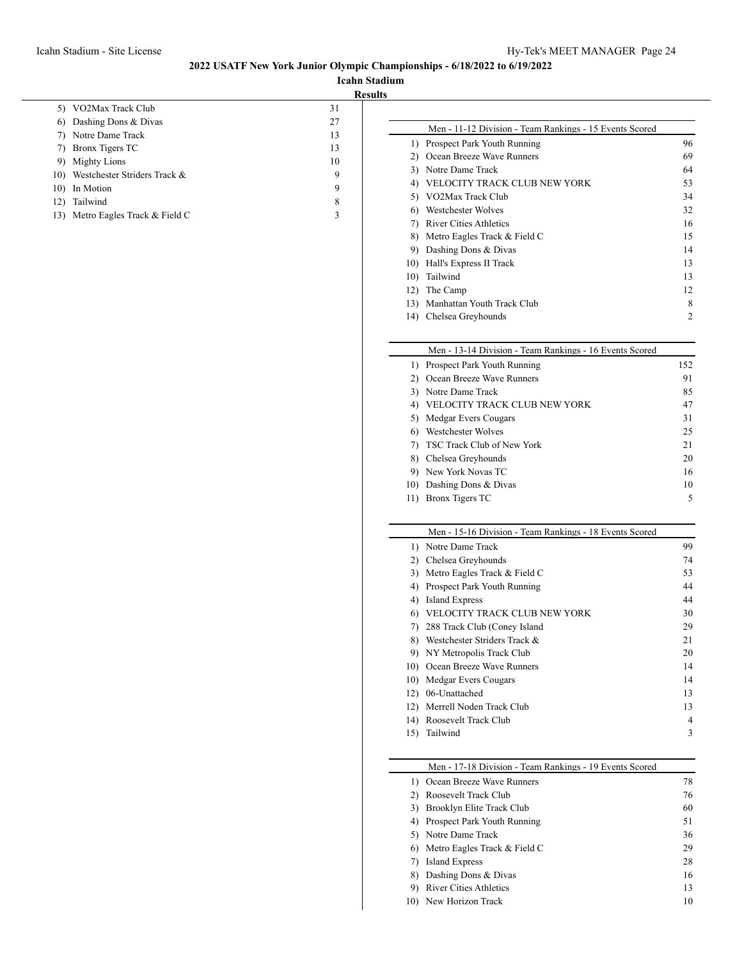**Icahn Stadium Results**

 $\overline{\phantom{0}}$ 

| 5)  | VO2Max Track Club            | 31 |
|-----|------------------------------|----|
| 6)  | Dashing Dons & Divas         | 27 |
| 7)  | Notre Dame Track             | 13 |
| 7)  | Bronx Tigers TC              | 13 |
| 9)  | <b>Mighty Lions</b>          | 10 |
| 10) | Westchester Striders Track & | 9  |
| 10) | In Motion                    | 9  |
| 12) | Tailwind                     | 8  |
| 13) | Metro Eagles Track & Field C | 3  |
|     |                              |    |

|     | Men - 11-12 Division - Team Rankings - 15 Events Scored |    |
|-----|---------------------------------------------------------|----|
| 1)  | Prospect Park Youth Running                             | 96 |
| 2)  | Ocean Breeze Wave Runners                               | 69 |
| 3)  | Notre Dame Track                                        | 64 |
| 4)  | VELOCITY TRACK CLUB NEW YORK                            | 53 |
| 5)  | VO2Max Track Club                                       | 34 |
| 6)  | Westchester Wolves                                      | 32 |
| 7)  | River Cities Athletics                                  | 16 |
| 8)  | Metro Eagles Track & Field C                            | 15 |
| 9)  | Dashing Dons & Divas                                    | 14 |
| 10) | Hall's Express II Track                                 | 13 |
| 10) | Tailwind                                                | 13 |
| 12) | The Camp                                                | 12 |
| 13) | Manhattan Youth Track Club                              | 8  |
| 14) | Chelsea Greyhounds                                      | 2  |
|     |                                                         |    |

# Men - 13-14 Division - Team Rankings - 16 Events Scored

|     | 1) Prospect Park Youth Running | 152 |
|-----|--------------------------------|-----|
|     | 2) Ocean Breeze Wave Runners   | 91  |
|     | 3) Notre Dame Track            | 85  |
|     | VELOCITY TRACK CLUB NEW YORK   | 47  |
|     | 5) Medgar Evers Cougars        | 31  |
| 6)  | Westchester Wolves             | 25  |
|     | 7) TSC Track Club of New York  | 21  |
|     | 8) Chelsea Greyhounds          | 20  |
|     | 9) New York Novas TC           | 16  |
|     | 10) Dashing Dons & Divas       | 10  |
| 11) | Bronx Tigers TC                | 5   |

#### Men - 15-16 Division - Team Rankings - 18 Events Scored

| 1) Notre Dame Track           | 99 |
|-------------------------------|----|
| Chelsea Greyhounds            | 74 |
| Metro Eagles Track & Field C  | 53 |
| Prospect Park Youth Running   | 44 |
| Island Express                | 44 |
| VELOCITY TRACK CLUB NEW YORK  | 30 |
| 288 Track Club (Coney Island  | 29 |
| Westchester Striders Track &  | 21 |
| 9) NY Metropolis Track Club   | 20 |
| 10) Ocean Breeze Wave Runners | 14 |
| Medgar Evers Cougars<br>10).  | 14 |
| 06-Unattached                 | 13 |
| Merrell Noden Track Club      | 13 |
| Roosevelt Track Club          | 4  |
| Tailwind                      | 3  |
|                               |    |

## Men - 17-18 Division - Team Rankings - 19 Events Scored

| 1) Ocean Breeze Wave Runners      | 78 |
|-----------------------------------|----|
| Roosevelt Track Club              | 76 |
| 3) Brooklyn Elite Track Club      | 60 |
| 4) Prospect Park Youth Running    | 51 |
| 5) Notre Dame Track               | 36 |
| 6) Metro Eagles Track $&$ Field C | 29 |
| Island Express                    | 28 |
| 8) Dashing Dons & Divas           | 16 |
| <b>River Cities Athletics</b>     | 13 |
| 10) New Horizon Track             | 10 |